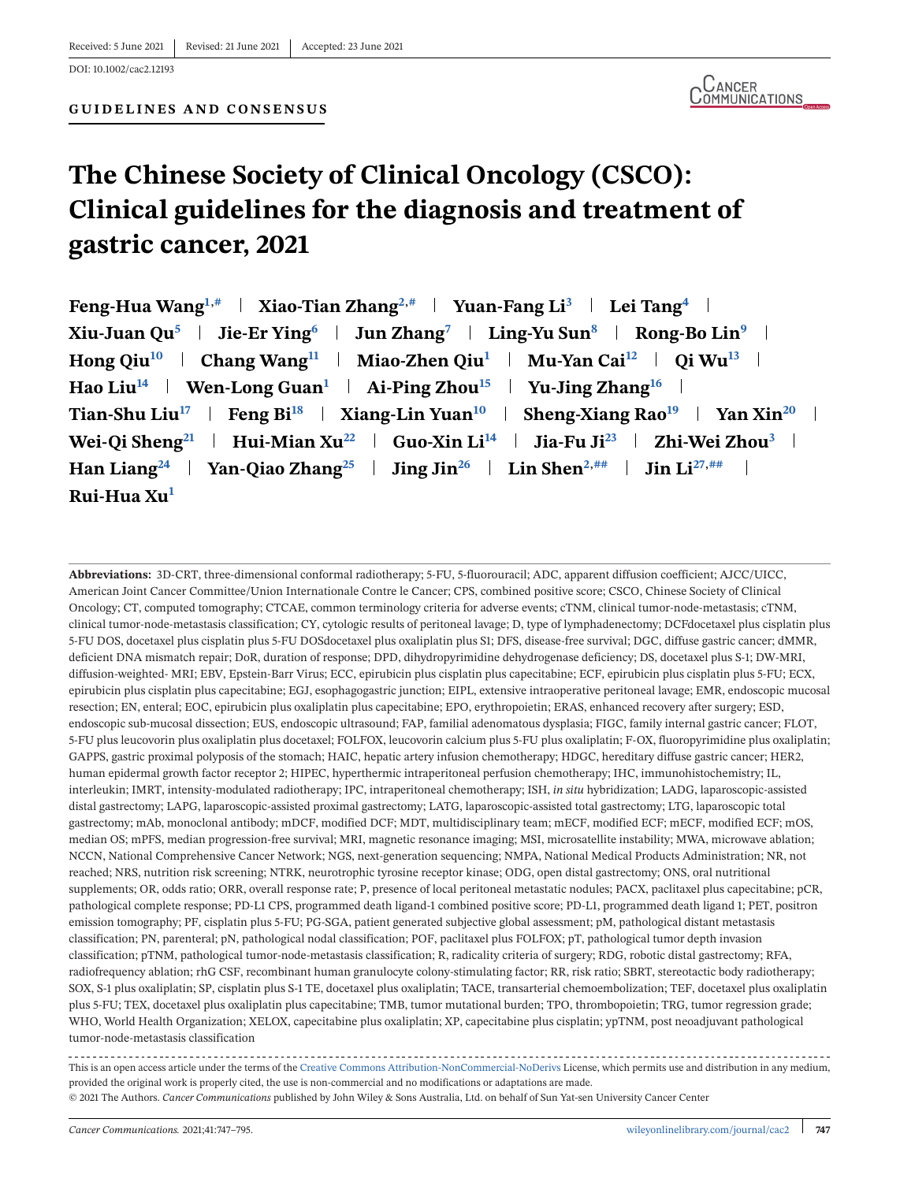DOI: 10.1002/cac2.12193

**GUIDELINES AND CONSENSUS**

# **The Chinese Society of Clinical Oncology (CSCO): Clinical guidelines for the diagnosis and treatment of gastric cancer, 2021**

| Feng-Hua Wang <sup>1,#</sup>   Xiao-Tian Zhang <sup>2,#</sup>   Yuan-Fang Li <sup>3</sup>   Lei Tang <sup>4</sup>                         |
|-------------------------------------------------------------------------------------------------------------------------------------------|
| Xiu-Juan Qu <sup>5</sup>   Jie-Er Ying <sup>6</sup>   Jun Zhang <sup>7</sup>   Ling-Yu Sun <sup>8</sup>   Rong-Bo Lin <sup>9</sup>        |
| Hong Qiu <sup>10</sup>   Chang Wang <sup>11</sup>   Miao-Zhen Qiu <sup>1</sup>   Mu-Yan Cai <sup>12</sup>   Qi Wu <sup>13</sup>           |
| Hao Liu <sup>14</sup>   Wen-Long Guan <sup>1</sup>   Ai-Ping Zhou <sup>15</sup>   Yu-Jing Zhang <sup>16</sup>                             |
| Tian-Shu Liu <sup>17</sup>   Feng Bi <sup>18</sup>   Xiang-Lin Yuan <sup>10</sup>   Sheng-Xiang Rao <sup>19</sup>   Yan Xin <sup>20</sup> |
| Wei-Qi Sheng <sup>21</sup>   Hui-Mian Xu <sup>22</sup>   Guo-Xin Li <sup>14</sup>   Jia-Fu Ji <sup>23</sup>   Zhi-Wei Zhou <sup>3</sup>   |
| Han Liang <sup>24</sup>   Yan-Qiao Zhang <sup>25</sup>   Jing Jin <sup>26</sup>   Lin Shen <sup>2,##</sup>   Jin Li <sup>27,##</sup>      |
| Rui-Hua Xu <sup>1</sup>                                                                                                                   |

**Abbreviations:** 3D-CRT, three-dimensional conformal radiotherapy; 5-FU, 5-fluorouracil; ADC, apparent diffusion coefficient; AJCC/UICC, American Joint Cancer Committee/Union Internationale Contre le Cancer; CPS, combined positive score; CSCO, Chinese Society of Clinical Oncology; CT, computed tomography; CTCAE, common terminology criteria for adverse events; cTNM, clinical tumor-node-metastasis; cTNM, clinical tumor-node-metastasis classification; CY, cytologic results of peritoneal lavage; D, type of lymphadenectomy; DCFdocetaxel plus cisplatin plus 5-FU DOS, docetaxel plus cisplatin plus 5-FU DOSdocetaxel plus oxaliplatin plus S1; DFS, disease-free survival; DGC, diffuse gastric cancer; dMMR, deficient DNA mismatch repair; DoR, duration of response; DPD, dihydropyrimidine dehydrogenase deficiency; DS, docetaxel plus S-1; DW-MRI, diffusion-weighted- MRI; EBV, Epstein-Barr Virus; ECC, epirubicin plus cisplatin plus capecitabine; ECF, epirubicin plus cisplatin plus 5-FU; ECX, epirubicin plus cisplatin plus capecitabine; EGJ, esophagogastric junction; EIPL, extensive intraoperative peritoneal lavage; EMR, endoscopic mucosal resection; EN, enteral; EOC, epirubicin plus oxaliplatin plus capecitabine; EPO, erythropoietin; ERAS, enhanced recovery after surgery; ESD, endoscopic sub-mucosal dissection; EUS, endoscopic ultrasound; FAP, familial adenomatous dysplasia; FIGC, family internal gastric cancer; FLOT, 5-FU plus leucovorin plus oxaliplatin plus docetaxel; FOLFOX, leucovorin calcium plus 5-FU plus oxaliplatin; F-OX, fluoropyrimidine plus oxaliplatin; GAPPS, gastric proximal polyposis of the stomach; HAIC, hepatic artery infusion chemotherapy; HDGC, hereditary diffuse gastric cancer; HER2, human epidermal growth factor receptor 2; HIPEC, hyperthermic intraperitoneal perfusion chemotherapy; IHC, immunohistochemistry; IL, interleukin; IMRT, intensity-modulated radiotherapy; IPC, intraperitoneal chemotherapy; ISH, *in situ* hybridization; LADG, laparoscopic-assisted distal gastrectomy; LAPG, laparoscopic-assisted proximal gastrectomy; LATG, laparoscopic-assisted total gastrectomy; LTG, laparoscopic total gastrectomy; mAb, monoclonal antibody; mDCF, modified DCF; MDT, multidisciplinary team; mECF, modified ECF; mECF, modified ECF; mOS, median OS; mPFS, median progression-free survival; MRI, magnetic resonance imaging; MSI, microsatellite instability; MWA, microwave ablation; NCCN, National Comprehensive Cancer Network; NGS, next-generation sequencing; NMPA, National Medical Products Administration; NR, not reached; NRS, nutrition risk screening; NTRK, neurotrophic tyrosine receptor kinase; ODG, open distal gastrectomy; ONS, oral nutritional supplements; OR, odds ratio; ORR, overall response rate; P, presence of local peritoneal metastatic nodules; PACX, paclitaxel plus capecitabine; pCR, pathological complete response; PD-L1 CPS, programmed death ligand-1 combined positive score; PD-L1, programmed death ligand 1; PET, positron emission tomography; PF, cisplatin plus 5-FU; PG-SGA, patient generated subjective global assessment; pM, pathological distant metastasis classification; PN, parenteral; pN, pathological nodal classification; POF, paclitaxel plus FOLFOX; pT, pathological tumor depth invasion classification; pTNM, pathological tumor-node-metastasis classification; R, radicality criteria of surgery; RDG, robotic distal gastrectomy; RFA, radiofrequency ablation; rhG CSF, recombinant human granulocyte colony-stimulating factor; RR, risk ratio; SBRT, stereotactic body radiotherapy; SOX, S-1 plus oxaliplatin; SP, cisplatin plus S-1 TE, docetaxel plus oxaliplatin; TACE, transarterial chemoembolization; TEF, docetaxel plus oxaliplatin plus 5-FU; TEX, docetaxel plus oxaliplatin plus capecitabine; TMB, tumor mutational burden; TPO, thrombopoietin; TRG, tumor regression grade; WHO, World Health Organization; XELOX, capecitabine plus oxaliplatin; XP, capecitabine plus cisplatin; ypTNM, post neoadjuvant pathological tumor-node-metastasis classification

This is an open access article under the terms of the [Creative Commons Attribution-NonCommercial-NoDerivs](http://creativecommons.org/licenses/by-nc-nd/4.0/) License, which permits use and distribution in any medium, provided the original work is properly cited, the use is non-commercial and no modifications or adaptations are made. © 2021 The Authors. *Cancer Communications* published by John Wiley & Sons Australia, Ltd. on behalf of Sun Yat-sen University Cancer Center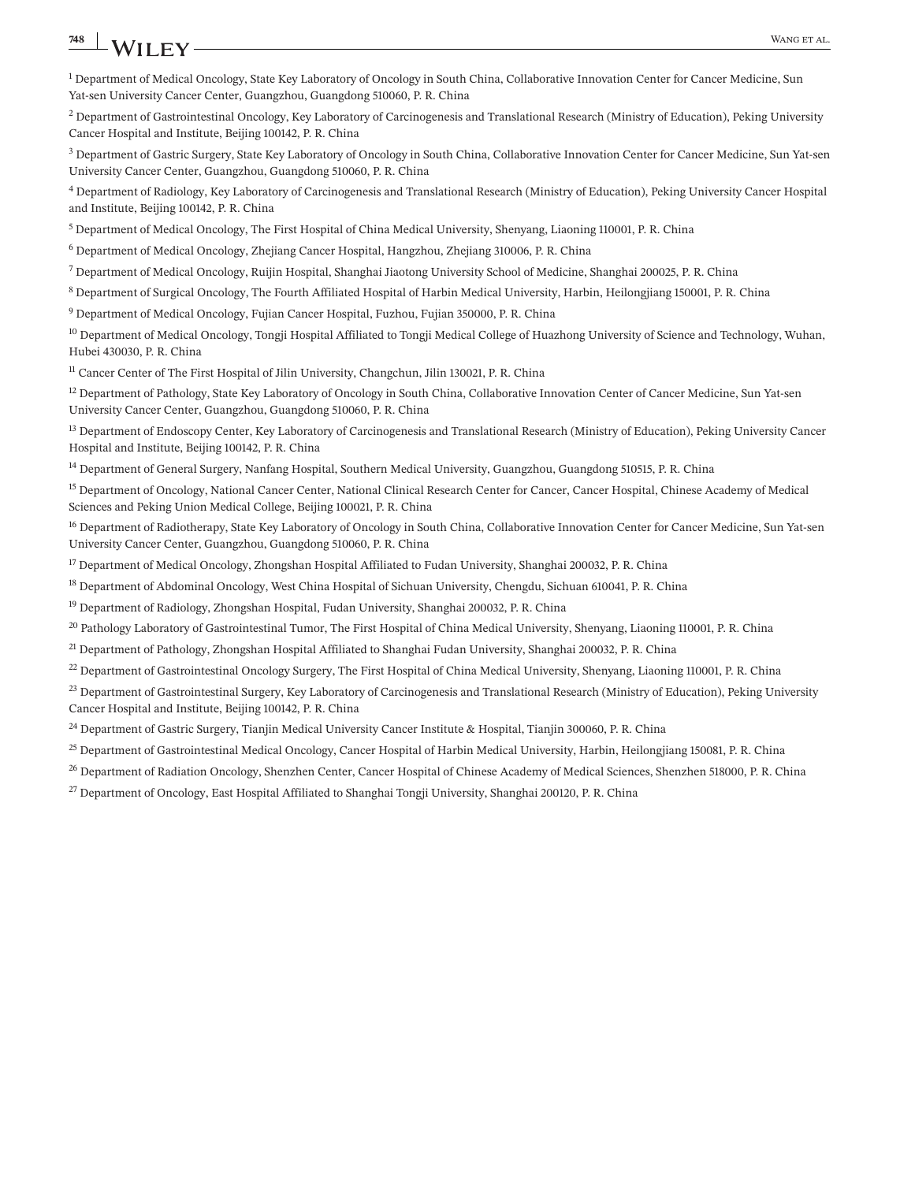## <span id="page-1-0"></span>**748 WANGET AL. WANGET AL. WANGET AL. WANGET AL. WANGET AL.**

<sup>1</sup> Department of Medical Oncology, State Key Laboratory of Oncology in South China, Collaborative Innovation Center for Cancer Medicine, Sun Yat-sen University Cancer Center, Guangzhou, Guangdong 510060, P. R. China

<sup>2</sup> Department of Gastrointestinal Oncology, Key Laboratory of Carcinogenesis and Translational Research (Ministry of Education), Peking University Cancer Hospital and Institute, Beijing 100142, P. R. China

 $3$  Department of Gastric Surgery, State Key Laboratory of Oncology in South China, Collaborative Innovation Center for Cancer Medicine, Sun Yat-sen University Cancer Center, Guangzhou, Guangdong 510060, P. R. China

<sup>4</sup> Department of Radiology, Key Laboratory of Carcinogenesis and Translational Research (Ministry of Education), Peking University Cancer Hospital and Institute, Beijing 100142, P. R. China

 $<sup>5</sup>$  Department of Medical Oncology, The First Hospital of China Medical University, Shenyang, Liaoning 110001, P. R. China</sup>

<sup>6</sup> Department of Medical Oncology, Zhejiang Cancer Hospital, Hangzhou, Zhejiang 310006, P. R. China

 $^7$  Department of Medical Oncology, Ruijin Hospital, Shanghai Jiaotong University School of Medicine, Shanghai 200025, P. R. China

<sup>8</sup> Department of Surgical Oncology, The Fourth Affiliated Hospital of Harbin Medical University, Harbin, Heilongjiang 150001, P. R. China

<sup>9</sup> Department of Medical Oncology, Fujian Cancer Hospital, Fuzhou, Fujian 350000, P. R. China

<sup>10</sup> Department of Medical Oncology, Tongji Hospital Affiliated to Tongji Medical College of Huazhong University of Science and Technology, Wuhan, Hubei 430030, P. R. China

<sup>11</sup> Cancer Center of The First Hospital of Jilin University, Changchun, Jilin 130021, P. R. China

<sup>12</sup> Department of Pathology, State Key Laboratory of Oncology in South China, Collaborative Innovation Center of Cancer Medicine, Sun Yat-sen University Cancer Center, Guangzhou, Guangdong 510060, P. R. China

<sup>13</sup> Department of Endoscopy Center, Key Laboratory of Carcinogenesis and Translational Research (Ministry of Education), Peking University Cancer Hospital and Institute, Beijing 100142, P. R. China

<sup>14</sup> Department of General Surgery, Nanfang Hospital, Southern Medical University, Guangzhou, Guangdong 510515, P. R. China

<sup>15</sup> Department of Oncology, National Cancer Center, National Clinical Research Center for Cancer, Cancer Hospital, Chinese Academy of Medical Sciences and Peking Union Medical College, Beijing 100021, P. R. China

<sup>16</sup> Department of Radiotherapy, State Key Laboratory of Oncology in South China, Collaborative Innovation Center for Cancer Medicine, Sun Yat-sen University Cancer Center, Guangzhou, Guangdong 510060, P. R. China

<sup>17</sup> Department of Medical Oncology, Zhongshan Hospital Affiliated to Fudan University, Shanghai 200032, P. R. China

<sup>18</sup> Department of Abdominal Oncology, West China Hospital of Sichuan University, Chengdu, Sichuan 610041, P. R. China

<sup>19</sup> Department of Radiology, Zhongshan Hospital, Fudan University, Shanghai 200032, P. R. China

<sup>20</sup> Pathology Laboratory of Gastrointestinal Tumor, The First Hospital of China Medical University, Shenyang, Liaoning 110001, P. R. China

<sup>21</sup> Department of Pathology, Zhongshan Hospital Affiliated to Shanghai Fudan University, Shanghai 200032, P. R. China

 $^{22}$  Department of Gastrointestinal Oncology Surgery, The First Hospital of China Medical University, Shenyang, Liaoning 110001, P. R. China

<sup>23</sup> Department of Gastrointestinal Surgery, Key Laboratory of Carcinogenesis and Translational Research (Ministry of Education), Peking University Cancer Hospital and Institute, Beijing 100142, P. R. China

<sup>24</sup> Department of Gastric Surgery, Tianjin Medical University Cancer Institute & Hospital, Tianjin 300060, P. R. China

<sup>25</sup> Department of Gastrointestinal Medical Oncology, Cancer Hospital of Harbin Medical University, Harbin, Heilongjiang 150081, P. R. China

<sup>26</sup> Department of Radiation Oncology, Shenzhen Center, Cancer Hospital of Chinese Academy of Medical Sciences, Shenzhen 518000, P. R. China

<sup>27</sup> Department of Oncology, East Hospital Affiliated to Shanghai Tongji University, Shanghai 200120, P. R. China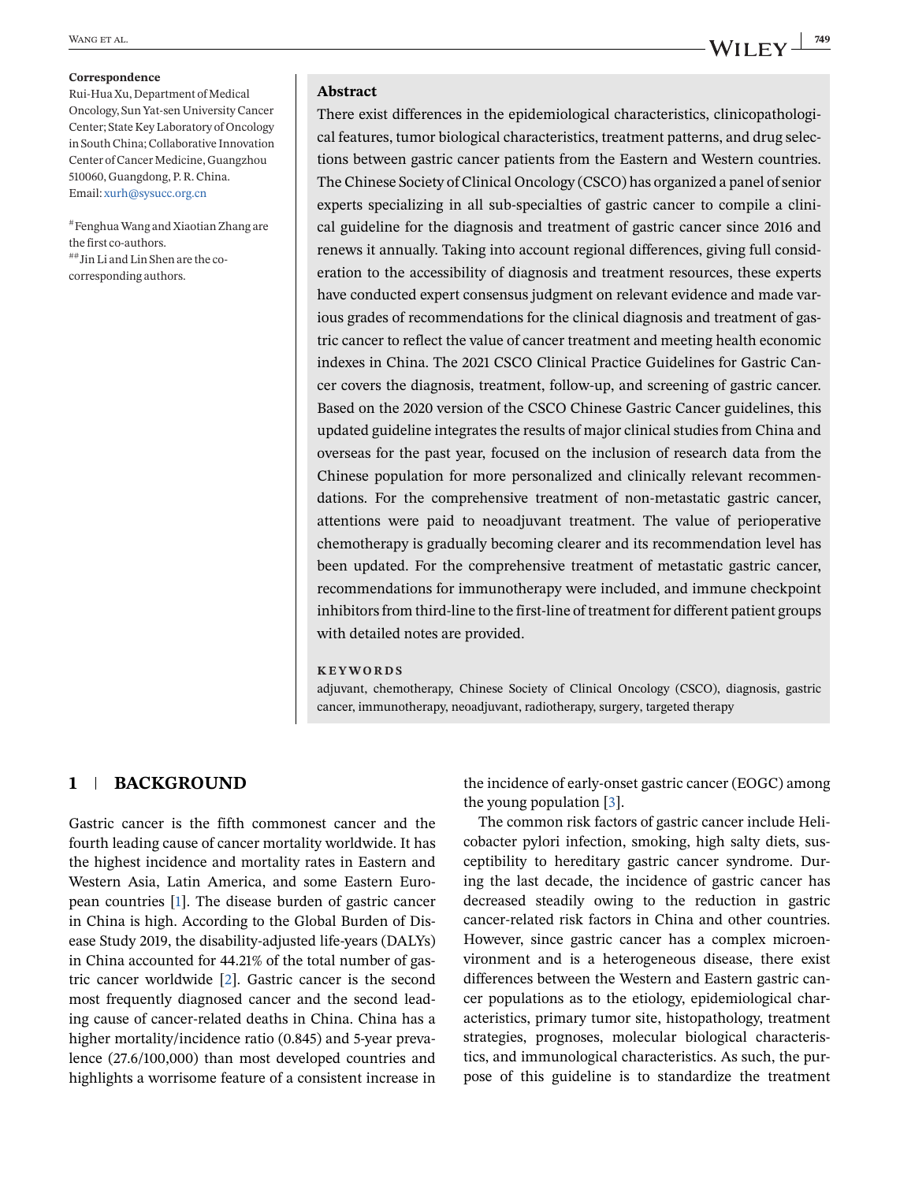#### <span id="page-2-0"></span>**Correspondence**

Rui-Hua Xu, Department of Medical Oncology, Sun Yat-sen University Cancer Center; State Key Laboratory of Oncology in South China; Collaborative Innovation Center of Cancer Medicine, Guangzhou 510060, Guangdong, P. R. China. Email: [xurh@sysucc.org.cn](mailto:xurh@sysucc.org.cn)

#FenghuaWang and Xiaotian Zhang are the first co-authors. ##Jin Li and Lin Shen are the cocorresponding authors.

### **Abstract**

There exist differences in the epidemiological characteristics, clinicopathological features, tumor biological characteristics, treatment patterns, and drug selections between gastric cancer patients from the Eastern and Western countries. The Chinese Society of Clinical Oncology (CSCO) has organized a panel of senior experts specializing in all sub-specialties of gastric cancer to compile a clinical guideline for the diagnosis and treatment of gastric cancer since 2016 and renews it annually. Taking into account regional differences, giving full consideration to the accessibility of diagnosis and treatment resources, these experts have conducted expert consensus judgment on relevant evidence and made various grades of recommendations for the clinical diagnosis and treatment of gastric cancer to reflect the value of cancer treatment and meeting health economic indexes in China. The 2021 CSCO Clinical Practice Guidelines for Gastric Cancer covers the diagnosis, treatment, follow-up, and screening of gastric cancer. Based on the 2020 version of the CSCO Chinese Gastric Cancer guidelines, this updated guideline integrates the results of major clinical studies from China and overseas for the past year, focused on the inclusion of research data from the Chinese population for more personalized and clinically relevant recommendations. For the comprehensive treatment of non-metastatic gastric cancer, attentions were paid to neoadjuvant treatment. The value of perioperative chemotherapy is gradually becoming clearer and its recommendation level has been updated. For the comprehensive treatment of metastatic gastric cancer, recommendations for immunotherapy were included, and immune checkpoint inhibitors from third-line to the first-line of treatment for different patient groups with detailed notes are provided.

#### **KEYWORDS**

adjuvant, chemotherapy, Chinese Society of Clinical Oncology (CSCO), diagnosis, gastric cancer, immunotherapy, neoadjuvant, radiotherapy, surgery, targeted therapy

### **1 BACKGROUND**

Gastric cancer is the fifth commonest cancer and the fourth leading cause of cancer mortality worldwide. It has the highest incidence and mortality rates in Eastern and Western Asia, Latin America, and some Eastern European countries [\[1\]](#page-38-0). The disease burden of gastric cancer in China is high. According to the Global Burden of Disease Study 2019, the disability-adjusted life-years (DALYs) in China accounted for 44.21% of the total number of gastric cancer worldwide [\[2\]](#page-38-0). Gastric cancer is the second most frequently diagnosed cancer and the second leading cause of cancer-related deaths in China. China has a higher mortality/incidence ratio (0.845) and 5-year prevalence (27.6/100,000) than most developed countries and highlights a worrisome feature of a consistent increase in

the incidence of early-onset gastric cancer (EOGC) among the young population [\[3\]](#page-38-0).

The common risk factors of gastric cancer include Helicobacter pylori infection, smoking, high salty diets, susceptibility to hereditary gastric cancer syndrome. During the last decade, the incidence of gastric cancer has decreased steadily owing to the reduction in gastric cancer-related risk factors in China and other countries. However, since gastric cancer has a complex microenvironment and is a heterogeneous disease, there exist differences between the Western and Eastern gastric cancer populations as to the etiology, epidemiological characteristics, primary tumor site, histopathology, treatment strategies, prognoses, molecular biological characteristics, and immunological characteristics. As such, the purpose of this guideline is to standardize the treatment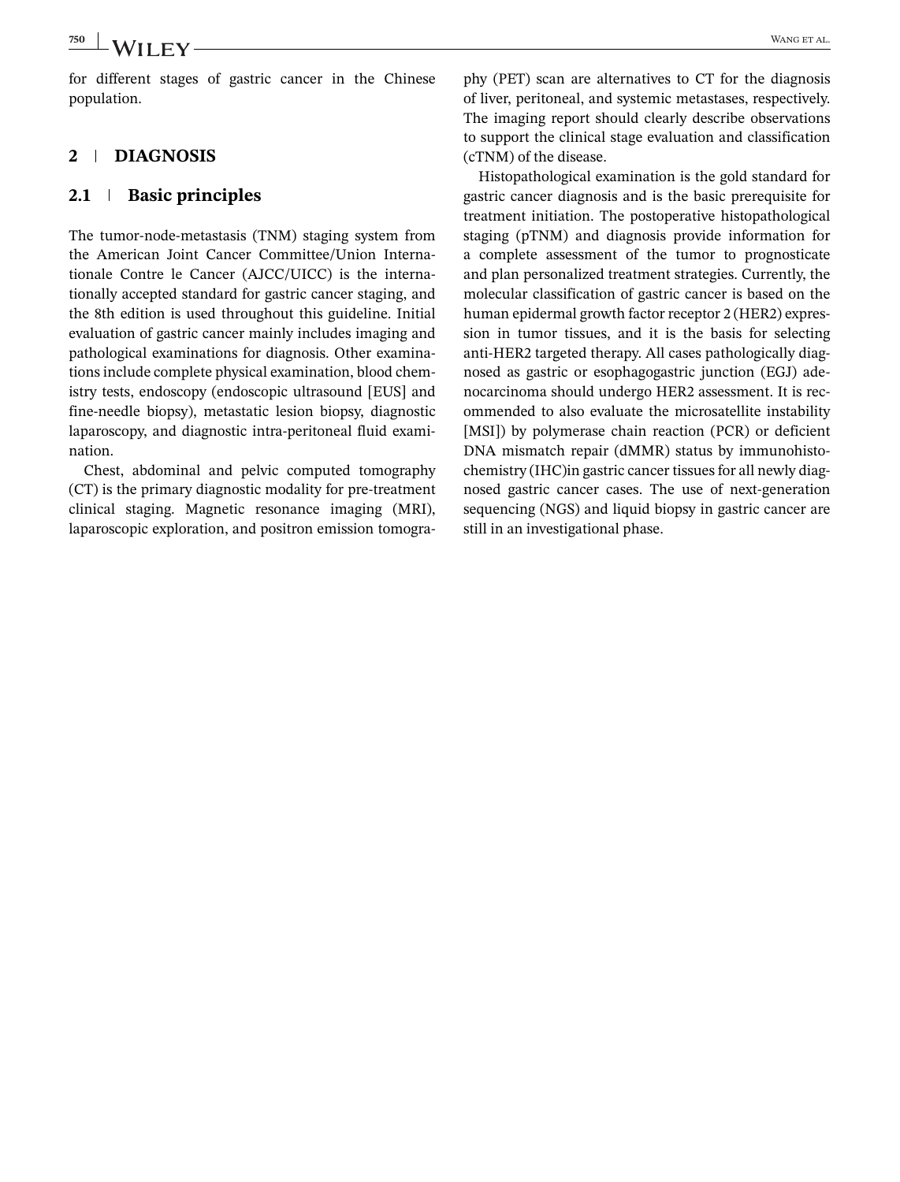for different stages of gastric cancer in the Chinese population.

### **2 DIAGNOSIS**

### **2.1 Basic principles**

The tumor-node-metastasis (TNM) staging system from the American Joint Cancer Committee/Union Internationale Contre le Cancer (AJCC/UICC) is the internationally accepted standard for gastric cancer staging, and the 8th edition is used throughout this guideline. Initial evaluation of gastric cancer mainly includes imaging and pathological examinations for diagnosis. Other examinations include complete physical examination, blood chemistry tests, endoscopy (endoscopic ultrasound [EUS] and fine-needle biopsy), metastatic lesion biopsy, diagnostic laparoscopy, and diagnostic intra-peritoneal fluid examination.

Chest, abdominal and pelvic computed tomography (CT) is the primary diagnostic modality for pre-treatment clinical staging. Magnetic resonance imaging (MRI), laparoscopic exploration, and positron emission tomogra-

phy (PET) scan are alternatives to CT for the diagnosis of liver, peritoneal, and systemic metastases, respectively. The imaging report should clearly describe observations to support the clinical stage evaluation and classification (cTNM) of the disease.

Histopathological examination is the gold standard for gastric cancer diagnosis and is the basic prerequisite for treatment initiation. The postoperative histopathological staging (pTNM) and diagnosis provide information for a complete assessment of the tumor to prognosticate and plan personalized treatment strategies. Currently, the molecular classification of gastric cancer is based on the human epidermal growth factor receptor 2 (HER2) expression in tumor tissues, and it is the basis for selecting anti-HER2 targeted therapy. All cases pathologically diagnosed as gastric or esophagogastric junction (EGJ) adenocarcinoma should undergo HER2 assessment. It is recommended to also evaluate the microsatellite instability [MSI]) by polymerase chain reaction (PCR) or deficient DNA mismatch repair (dMMR) status by immunohistochemistry (IHC)in gastric cancer tissues for all newly diagnosed gastric cancer cases. The use of next-generation sequencing (NGS) and liquid biopsy in gastric cancer are still in an investigational phase.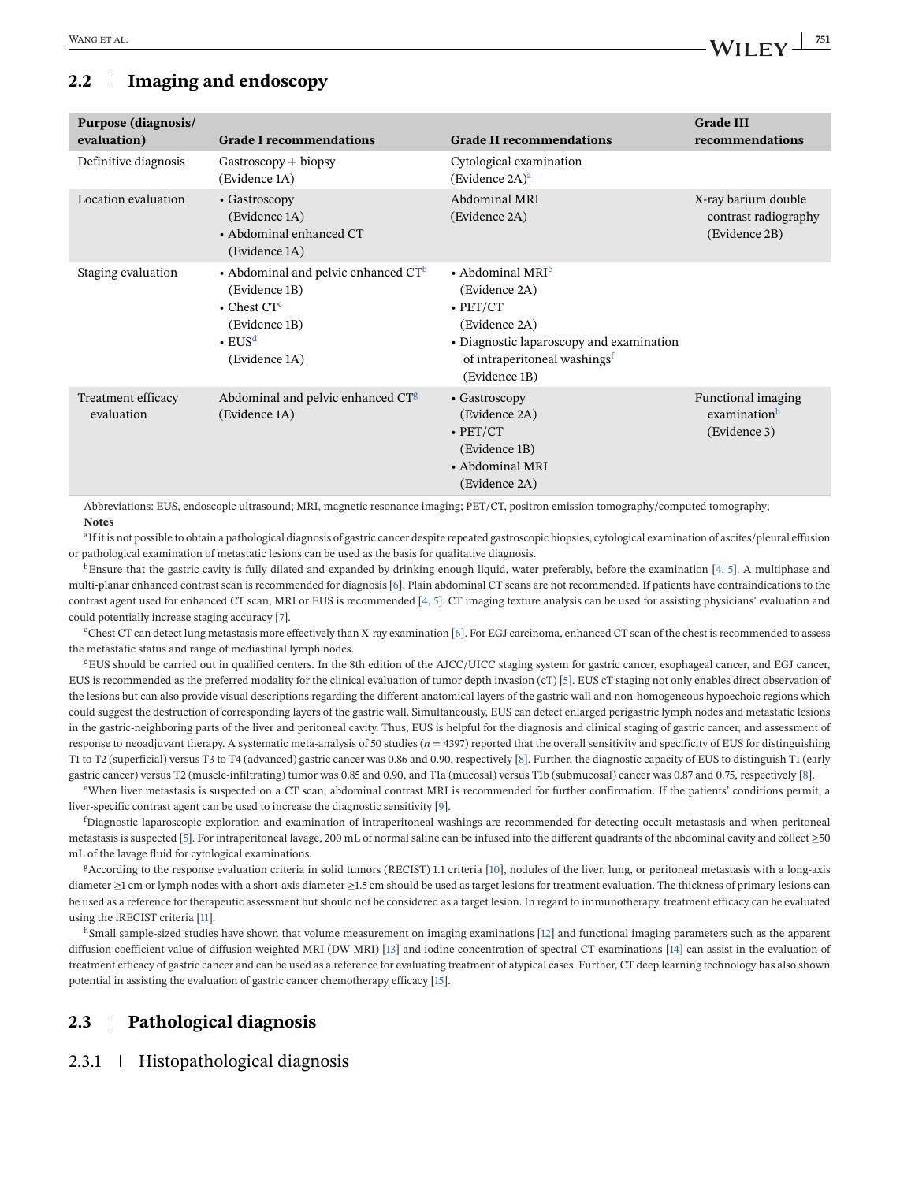### **2.2 Imaging and endoscopy**

| Purpose (diagnosis/<br>evaluation) | <b>Grade I recommendations</b>                                                                                                                           | <b>Grade II recommendations</b>                                                                                                                                                  | <b>Grade III</b><br>recommendations                          |
|------------------------------------|----------------------------------------------------------------------------------------------------------------------------------------------------------|----------------------------------------------------------------------------------------------------------------------------------------------------------------------------------|--------------------------------------------------------------|
| Definitive diagnosis               | Gastroscopy + biopsy<br>(Evidence 1A)                                                                                                                    | Cytological examination<br>(Evidence $2A)^a$ )                                                                                                                                   |                                                              |
| Location evaluation                | • Gastroscopy<br>(Evidence 1A)<br>• Abdominal enhanced CT<br>(Evidence 1A)                                                                               | Abdominal MRI<br>(Evidence 2A)                                                                                                                                                   | X-ray barium double<br>contrast radiography<br>(Evidence 2B) |
| Staging evaluation                 | • Abdominal and pelvic enhanced $CT^b$<br>(Evidence 1B)<br>$\bullet$ Chest CT <sup>c</sup><br>(Evidence 1B)<br>$\cdot$ EUS <sup>d</sup><br>(Evidence 1A) | • Abdominal MRI $e$<br>(Evidence 2A)<br>$\cdot$ PET/CT<br>(Evidence 2A)<br>• Diagnostic laparoscopy and examination<br>of intraperitoneal washings <sup>f</sup><br>(Evidence 1B) |                                                              |
| Treatment efficacy<br>evaluation   | Abdominal and pelvic enhanced CT <sup>g</sup><br>(Evidence 1A)                                                                                           | • Gastroscopy<br>(Evidence 2A)<br>$\cdot$ PET/CT<br>(Evidence 1B)<br>• Abdominal MRI<br>(Evidence 2A)                                                                            | Functional imaging<br>examinationh<br>(Evidence 3)           |

Abbreviations: EUS, endoscopic ultrasound; MRI, magnetic resonance imaging; PET/CT, positron emission tomography/computed tomography; **Notes**

<sup>a</sup>If it is not possible to obtain a pathological diagnosis of gastric cancer despite repeated gastroscopic biopsies, cytological examination of ascites/pleural effusion or pathological examination of metastatic lesions can be used as the basis for qualitative diagnosis.

 $b$ Ensure that the gastric cavity is fully dilated and expanded by drinking enough liquid, water preferably, before the examination [\[4, 5\]](#page-38-0). A multiphase and multi-planar enhanced contrast scan is recommended for diagnosis [\[6\]](#page-39-0). Plain abdominal CT scans are not recommended. If patients have contraindications to the contrast agent used for enhanced CT scan, MRI or EUS is recommended [\[4, 5\]](#page-38-0). CT imaging texture analysis can be used for assisting physicians' evaluation and could potentially increase staging accuracy [\[7\]](#page-39-0).

<sup>c</sup>Chest CT can detect lung metastasis more effectively than X-ray examination [\[6\]](#page-39-0). For EGJ carcinoma, enhanced CT scan of the chest is recommended to assess the metastatic status and range of mediastinal lymph nodes.

<sup>d</sup>EUS should be carried out in qualified centers. In the 8th edition of the AJCC/UICC staging system for gastric cancer, esophageal cancer, and EGJ cancer, EUS is recommended as the preferred modality for the clinical evaluation of tumor depth invasion (cT) [\[5\]](#page-39-0). EUS cT staging not only enables direct observation of the lesions but can also provide visual descriptions regarding the different anatomical layers of the gastric wall and non-homogeneous hypoechoic regions which could suggest the destruction of corresponding layers of the gastric wall. Simultaneously, EUS can detect enlarged perigastric lymph nodes and metastatic lesions in the gastric-neighboring parts of the liver and peritoneal cavity. Thus, EUS is helpful for the diagnosis and clinical staging of gastric cancer, and assessment of response to neoadjuvant therapy. A systematic meta-analysis of 50 studies (*n* = 4397) reported that the overall sensitivity and specificity of EUS for distinguishing T1 to T2 (superficial) versus T3 to T4 (advanced) gastric cancer was 0.86 and 0.90, respectively [\[8\]](#page-39-0). Further, the diagnostic capacity of EUS to distinguish T1 (early gastric cancer) versus T2 (muscle-infiltrating) tumor was 0.85 and 0.90, and T1a (mucosal) versus T1b (submucosal) cancer was 0.87 and 0.75, respectively [\[8\]](#page-39-0).

eWhen liver metastasis is suspected on a CT scan, abdominal contrast MRI is recommended for further confirmation. If the patients' conditions permit, a liver-specific contrast agent can be used to increase the diagnostic sensitivity [\[9\]](#page-39-0).

f Diagnostic laparoscopic exploration and examination of intraperitoneal washings are recommended for detecting occult metastasis and when peritoneal metastasis is suspected [\[5\]](#page-39-0). For intraperitoneal lavage, 200 mL of normal saline can be infused into the different quadrants of the abdominal cavity and collect ≥50 mL of the lavage fluid for cytological examinations.

<sup>g</sup>According to the response evaluation criteria in solid tumors (RECIST) 1.1 criteria [\[10\]](#page-39-0), nodules of the liver, lung, or peritoneal metastasis with a long-axis diameter ≥1 cm or lymph nodes with a short-axis diameter ≥1.5 cm should be used as target lesions for treatment evaluation. The thickness of primary lesions can be used as a reference for therapeutic assessment but should not be considered as a target lesion. In regard to immunotherapy, treatment efficacy can be evaluated using the iRECIST criteria [\[11\]](#page-39-0).

h Small sample-sized studies have shown that volume measurement on imaging examinations [\[12\]](#page-39-0) and functional imaging parameters such as the apparent diffusion coefficient value of diffusion-weighted MRI (DW-MRI) [\[13\]](#page-39-0) and iodine concentration of spectral CT examinations [\[14\]](#page-39-0) can assist in the evaluation of treatment efficacy of gastric cancer and can be used as a reference for evaluating treatment of atypical cases. Further, CT deep learning technology has also shown potential in assisting the evaluation of gastric cancer chemotherapy efficacy [\[15\]](#page-39-0).

### **2.3 Pathological diagnosis**

### 2.3.1 Histopathological diagnosis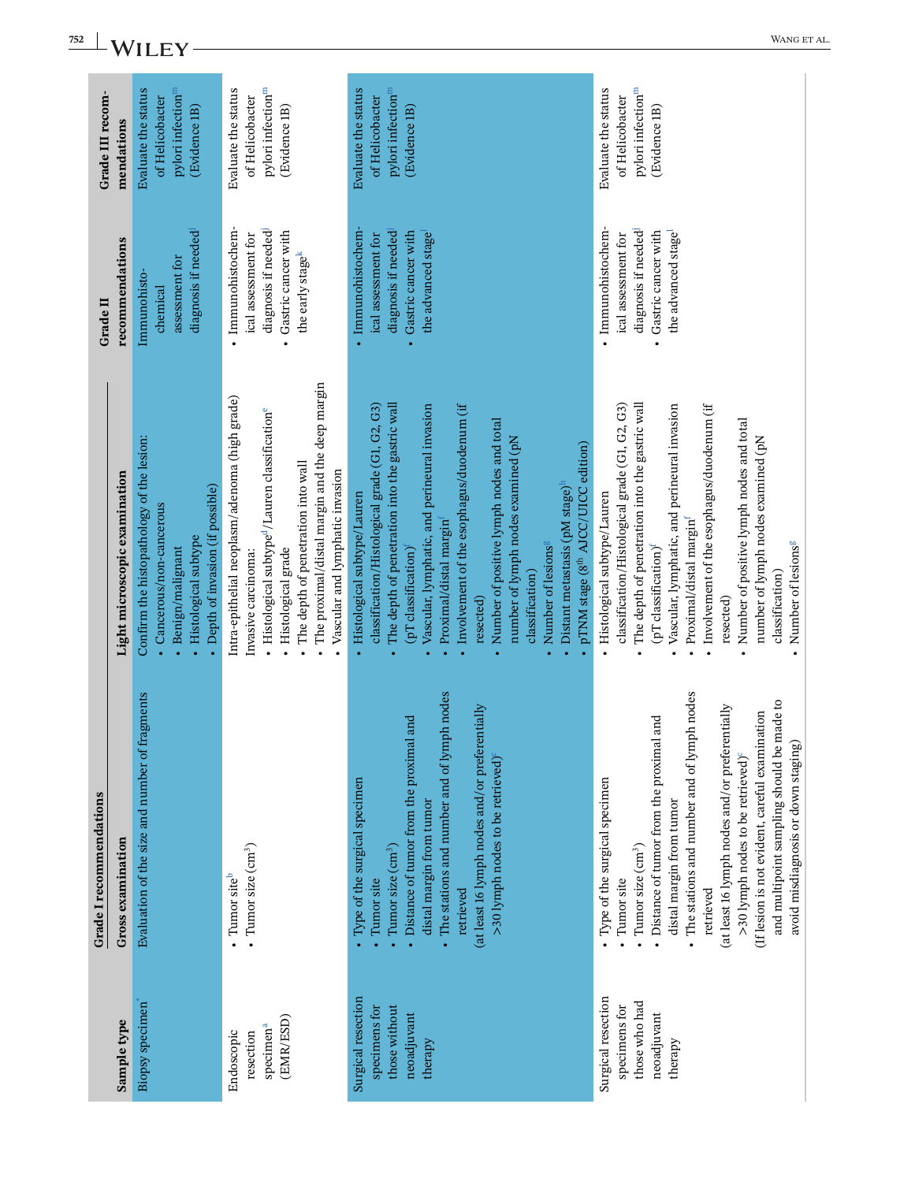| 752 | WANG ET AL<br>WILEY                                 |                                                                                                                                                         |                                                                                                                                                                                                                                                                                                   |                                                                                                                                                                                                                                                                                                                                                                                                                                                                                                                                   |                                                                                                                                                                                                                                                                                                                                                                                                                                                             |  |
|-----|-----------------------------------------------------|---------------------------------------------------------------------------------------------------------------------------------------------------------|---------------------------------------------------------------------------------------------------------------------------------------------------------------------------------------------------------------------------------------------------------------------------------------------------|-----------------------------------------------------------------------------------------------------------------------------------------------------------------------------------------------------------------------------------------------------------------------------------------------------------------------------------------------------------------------------------------------------------------------------------------------------------------------------------------------------------------------------------|-------------------------------------------------------------------------------------------------------------------------------------------------------------------------------------------------------------------------------------------------------------------------------------------------------------------------------------------------------------------------------------------------------------------------------------------------------------|--|
|     | Grade III recom-<br>mendations                      | pylori infection <sup>m</sup><br>Evaluate the status<br>of Helicobacter<br>(Evidence 1B)                                                                | pylori infection <sup>m</sup><br>Evaluate the status<br>of Helicobacter<br>(Evidence 1B)                                                                                                                                                                                                          | pylori infection <sup>m</sup><br>Evaluate the status<br>of Helicobacter<br>(Evidence 1B)                                                                                                                                                                                                                                                                                                                                                                                                                                          | pylori infection <sup>m</sup><br>Evaluate the status<br>of Helicobacter<br>(Evidence 1B)                                                                                                                                                                                                                                                                                                                                                                    |  |
|     | recommendations<br>Grade II                         | diagnosis if needed<br>assessment for<br>Immunohisto-<br>chemical                                                                                       | · Immunohistochem-<br>diagnosis if needed<br>Gastric cancer with<br>ical assessment for<br>the early stage <sup>k</sup><br>$\bullet$                                                                                                                                                              | · Immunohistochem-<br>Gastric cancer with<br>diagnosis if needed<br>the advanced stage<br>ical assessment for                                                                                                                                                                                                                                                                                                                                                                                                                     | · Immunohistochem-<br>diagnosis if needed<br>Gastric cancer with<br>the advanced stage<br>ical assessment for<br>$\bullet$                                                                                                                                                                                                                                                                                                                                  |  |
|     | Light microscopic examination                       | Confirm the histopathology of the lesion:<br>• Depth of invasion (if possible)<br>Cancerous/non-cancerous<br>· Histological subtype<br>Benign/malignant | The proximal/distal margin and the deep margin<br>Intra-epithelial neoplasm/adenoma (high grade)<br>· Histological subtype <sup>d</sup> /Lauren classification <sup>e</sup><br>The depth of penetration into wall<br>Vascular and lymphatic invasion<br>Histological grade<br>Invasive carcinoma: | The depth of penetration into the gastric wall<br>classification/Histological grade (G1, G2, G3)<br>Vascular, lymphatic, and perineural invasion<br>Involvement of the esophagus/duodenum (if<br>Number of positive lymph nodes and total<br>number of lymph nodes examined (pN<br>pTNM stage (8 <sup>th</sup> AJCC/UICC edition)<br>Distant metastasis (pM stage) <sup>h</sup><br>Histological subtype/Lauren<br>Proximal/distal margin<br>Number of lesions <sup>s</sup><br>(pT classification)<br>classification)<br>resected) | The depth of penetration into the gastric wall<br>classification/Histological grade (G1, G2, G3)<br>Involvement of the esophagus/duodenum (if<br>Vascular, lymphatic, and perineural invasion<br>Number of positive lymph nodes and total<br>number of lymph nodes examined (pN<br>Histological subtype/Lauren<br>Proximal/distal margin<br>Number of lesions <sup>s</sup><br>(pT classification) <sup>f</sup><br>classification)<br>resected)              |  |
|     | Grade I recommendations<br><b>Gross examination</b> | Evaluation of the size and number of fragments                                                                                                          | • Tumor size $(cm3)$<br>• Tumor site <sup>b</sup>                                                                                                                                                                                                                                                 | 8<br>• The stations and number and of lymph nod<br>(at least 16 lymph nodes and/or preferentially<br>Distance of tumor from the proximal and<br>>30 lymph nodes to be retrieved)<br>· Type of the surgical specimen<br>distal margin from tumor<br>Tumor size (cm <sup>3</sup> )<br>Tumor site<br>retrieved                                                                                                                                                                                                                       | S<br>and multipoint sampling should be made to<br>· The stations and number and of lymph nod<br>(at least 16 lymph nodes and/or preferentially<br>(If lesion is not evident, careful examination<br>Distance of tumor from the proximal and<br>avoid misdiagnosis or down staging)<br>>30 lymph nodes to be retrieved) <sup>c</sup><br>· Type of the surgical specimen<br>distal margin from tumor<br>Tumor size $\text{cm}^3$ )<br>Tumor site<br>retrieved |  |
|     | Sample type                                         | <b>Biopsy</b> specimen                                                                                                                                  | (EMR/ESD)<br>specimen <sup>a</sup><br>Endoscopic<br>resection                                                                                                                                                                                                                                     | Surgical resection<br>specimens for<br>those without<br>neoadjuvant<br>therapy                                                                                                                                                                                                                                                                                                                                                                                                                                                    | Surgical resection<br>those who had<br>specimens for<br>neoadjuvant<br>therapy                                                                                                                                                                                                                                                                                                                                                                              |  |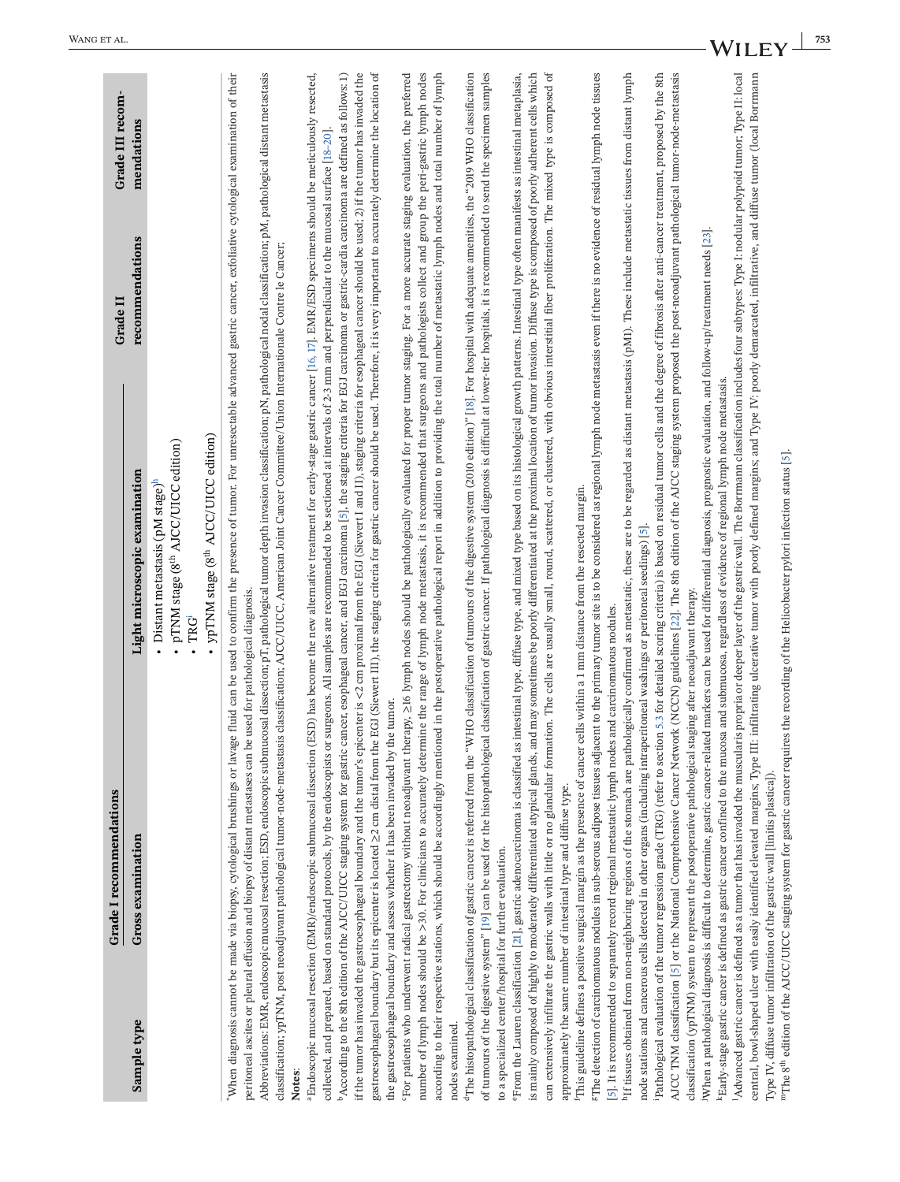<span id="page-6-0"></span>

|                                                          | Grade I recommendations                                                                                                                                                                                                                                                                                                                                                                                                                                                                                        |                                                                                                                                                                                                                                                                                                                                                                                                                                                                                                                                                                                                                                                                                                                                                                                                                                                                                                                                                                                                                                                                                                                                                    | Grade II        | Grade III recom- |
|----------------------------------------------------------|----------------------------------------------------------------------------------------------------------------------------------------------------------------------------------------------------------------------------------------------------------------------------------------------------------------------------------------------------------------------------------------------------------------------------------------------------------------------------------------------------------------|----------------------------------------------------------------------------------------------------------------------------------------------------------------------------------------------------------------------------------------------------------------------------------------------------------------------------------------------------------------------------------------------------------------------------------------------------------------------------------------------------------------------------------------------------------------------------------------------------------------------------------------------------------------------------------------------------------------------------------------------------------------------------------------------------------------------------------------------------------------------------------------------------------------------------------------------------------------------------------------------------------------------------------------------------------------------------------------------------------------------------------------------------|-----------------|------------------|
| Sample type                                              | Gross examination                                                                                                                                                                                                                                                                                                                                                                                                                                                                                              | Light microscopic examination                                                                                                                                                                                                                                                                                                                                                                                                                                                                                                                                                                                                                                                                                                                                                                                                                                                                                                                                                                                                                                                                                                                      | recommendations | mendations       |
|                                                          |                                                                                                                                                                                                                                                                                                                                                                                                                                                                                                                | • ypTNM stage (8 <sup>th</sup> AJCC/UICC edition)<br>- pTNM stage (8 <sup>th</sup> AJCC/UICC edition)<br>• Distant metastasis ( $pM$ stage) $h$<br>$\cdot$ TRG <sup>1</sup>                                                                                                                                                                                                                                                                                                                                                                                                                                                                                                                                                                                                                                                                                                                                                                                                                                                                                                                                                                        |                 |                  |
| Notes:                                                   | peritoneal ascites or pleural effusion and biopsy of distant metastases can be used for pathological diagnosis.                                                                                                                                                                                                                                                                                                                                                                                                | When diagnosis cannot be made via biopsy, cytological brushings or lavage fluid can be used to confirm the presence of tumor. For unresectable advanced gastric cancer, exfoliative cytological examination of their<br>Abbreviations: EMR, endoscopic mucosal resection; ESD, endoscopic submucosal dissection; pT, pathological tumor depth invasion classification; pN, pathological nodal classification; pM, pathological distant metastasis<br>classification; ypTNM, post neoadjuvant pathological tumor-node-metastasis classification; AICC/UICC, American Joint Cancer Committee/Union Internationale Contre le Cancer;                                                                                                                                                                                                                                                                                                                                                                                                                                                                                                                  |                 |                  |
|                                                          | the gastroesophageal boundary and assess whether it has been invaded by the tumor.                                                                                                                                                                                                                                                                                                                                                                                                                             | gastroesophageal boundary but its epicenter is located 22 cm distal from the EGJ (Siewert III), the staging criteria for gastric cancer should be used. Therefore, it is very important to accurately determine the location o<br><sup>a</sup> Endoscopic mucosal resection (EMR)/endoscopic submucosal dissection (ESD) has become the new alternative treatment for early-stage gastric cancer [16, 17]. EMR/ESD specimens should be meticulously resected,<br>if the tumor has invaded the gastroesophageal boundary and the tumor's epicenter is <2 cm proximal from the EGJ (Siewert I and II), staging criteria for esophageal cancer should be used; 2) if the tumor has invaded the<br><sup>b</sup> According to the 8th edition of the AJCC/UICC staging system for gastric cancer, exophageal cancer, and EGJ carcinoma [5], the staging criteria for EGJ carcinoma or gastric-cardia carcinoma are defined as follows: 1)<br>collected, and prepared, based on standard protocols, by the endoscopists or surgeons. All samples are recommended to be sectioned at intervals of 2-3 mm and perpendicular to the mucosal surface [18-20] |                 |                  |
| nodes examined.                                          | according to their respective stations, which should be accordingly mentioned                                                                                                                                                                                                                                                                                                                                                                                                                                  | For patients who underwent radical gastrectomy without neoadjuvant therapy, >16 lymph nodes should be pathologically evaluated for proper tumor staging. For a more accurate staging evaluation, the preferred<br>number of lymph nodes should be >30. For clinicians to accurately determine the range of lymph node metastasis, it is recommended that surgeons and pathologists collect and group the peri-gastric lymph nodes<br>in the postoperative pathological report in addition to providing the total number of metastatic lymph nodes and total number of lymph                                                                                                                                                                                                                                                                                                                                                                                                                                                                                                                                                                        |                 |                  |
| to a specialized center/hospital for further evaluation. |                                                                                                                                                                                                                                                                                                                                                                                                                                                                                                                | <sup>d</sup> The histopathological classification of gastric cancer is referred from the "WHO classification of tumours of the digestive system (2010 edition)" [18]. For hospital with adequate amenities, the "2019 WHO classification<br>of tumours of the digestive system" [19] can be used for the histopathological classification of gastric cancer. If pathological diagnosis is difficult at lower-tier hospitals, it is recommended to send the specimen sample                                                                                                                                                                                                                                                                                                                                                                                                                                                                                                                                                                                                                                                                         |                 |                  |
|                                                          | <sup>e</sup> From the Lauren classification [21], gastric adenocarcinoma is classified as int<br>is mainly composed of highly to moderately differentiated atypical glands, and                                                                                                                                                                                                                                                                                                                                | can extensively infiltrate the gastric walls with little or no glandular formation. The cells are usually small, round, scattered, or clustered, with obvious interstitial fiber proliferation. The mixed type is composed of<br>estinal type, diffuse type, and mixed type based on its histological growth patterns. Intestinal type often manifests as intestinal metaplasia,<br>may sometimes be poorly differentiated at the proximal location of tumor invasion. Diffuse type is composed of poorly adherent cells which                                                                                                                                                                                                                                                                                                                                                                                                                                                                                                                                                                                                                     |                 |                  |
|                                                          | <sup>1</sup> This guideline defines a positive surgical margin as the presence of cancer cells within a 1 mm distance from the resected margin.<br>[5]. It is recommended to separately record regional metastatic lymph nodes and carcinomatous nodules.<br>approximately the same number of intestinal type and diffuse type.                                                                                                                                                                                | <sup>g</sup> The detection of carcinomatous nodules in sub-serous adipose tissues adjacent to the primary tumor site is to be considered as regional lymph node metastasis even if there is no evidence of residual lymph node tissues                                                                                                                                                                                                                                                                                                                                                                                                                                                                                                                                                                                                                                                                                                                                                                                                                                                                                                             |                 |                  |
|                                                          | node stations and cancerous cells detected in other organs (including intraperitoneal washings or peritoneal seedings) [5].                                                                                                                                                                                                                                                                                                                                                                                    | h If tissues obtained from non-neighboring regions of the stomach are pathologically confirmed as metastatic, these are to be regarded as distant metastasis (pM1). These include metastatic tissues from distant lymph                                                                                                                                                                                                                                                                                                                                                                                                                                                                                                                                                                                                                                                                                                                                                                                                                                                                                                                            |                 |                  |
|                                                          | classification (ypTNM) system to represent the postoperative pathological staging after neoadjuvant therapy.<br>AJCC TNM classification [5] or the National Comprehensive Cancer Network<br>Pathological evaluation of the tumor regression grade (TRG) (refer to section                                                                                                                                                                                                                                      | 5.3 for detailed scoring criteria) is based on residual tumor cells and the degree of fibrosis after anti-cancer treatment, proposed by the 8th<br>(NCCN) guidelines [22]. The 8th edition of the AJCC staging system proposed the post-neoadjuvant pathological tumor-node-metastasis                                                                                                                                                                                                                                                                                                                                                                                                                                                                                                                                                                                                                                                                                                                                                                                                                                                             |                 |                  |
|                                                          | "The 8 <sup>th</sup> edition of the AJCC/UICC staging system for gastric cancer requires the recording of the Helicobacter pylori infection status [5].<br>central, bowl-shaped ulcer with easily identified elevated margins; Type III: in<br>iWhen a pathological diagnosis is difficult to determine, gastric cancer-related<br><sup>k</sup> Early-stage gastric cancer is defined as gastric cancer confined to the mucosa<br>Type IV, diffuse tumor infiltration of the gastric wall [linitis plastica]). | filtrating ulcerative tumor with poorly defined margins; and Type IV: poorly demarcated, infiltrative, and diffuse tumor (local Borrmann<br>Advanced gastric cancer is defined as a tumor that has invaded the muscularis propria or deeper layer of the gastric wall. The Borrmann classification includes four subtypes: Type I: nodular polypoid tumor; Type II: local<br>markers can be used for differential diagnosis, prognostic evaluation, and follow-up/treatment needs [23]<br>and submucosa, regardless of evidence of regional lymph node metastasis.                                                                                                                                                                                                                                                                                                                                                                                                                                                                                                                                                                                 |                 | V V<br>ILC       |
|                                                          |                                                                                                                                                                                                                                                                                                                                                                                                                                                                                                                |                                                                                                                                                                                                                                                                                                                                                                                                                                                                                                                                                                                                                                                                                                                                                                                                                                                                                                                                                                                                                                                                                                                                                    |                 |                  |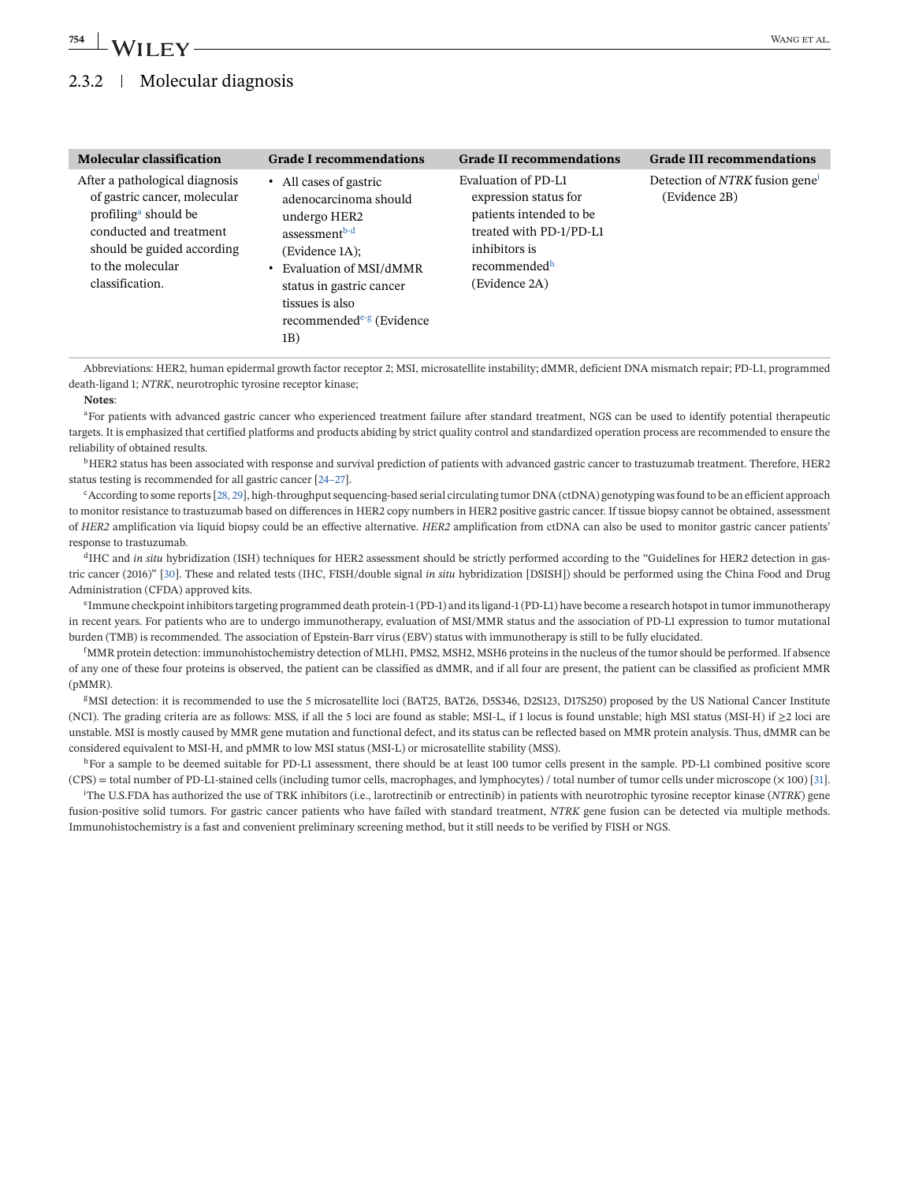## 2.3.2 | Molecular diagnosis

| <b>Molecular classification</b>                                                                                                                                                                    | <b>Grade I recommendations</b>                                                                                                                                                                                                           | <b>Grade II recommendations</b>                                                                                                                                  | <b>Grade III recommendations</b>                            |
|----------------------------------------------------------------------------------------------------------------------------------------------------------------------------------------------------|------------------------------------------------------------------------------------------------------------------------------------------------------------------------------------------------------------------------------------------|------------------------------------------------------------------------------------------------------------------------------------------------------------------|-------------------------------------------------------------|
| After a pathological diagnosis<br>of gastric cancer, molecular<br>profiling <sup>a</sup> should be<br>conducted and treatment<br>should be guided according<br>to the molecular<br>classification. | • All cases of gastric<br>adenocarcinoma should<br>undergo HER2<br>assessment <sup>b-d</sup><br>(Evidence 1A);<br>• Evaluation of MSI/dMMR<br>status in gastric cancer<br>tissues is also<br>recommended <sup>e-g</sup> (Evidence<br>1B) | Evaluation of PD-L1<br>expression status for<br>patients intended to be<br>treated with PD-1/PD-L1<br>inhibitors is<br>recommended <sup>h</sup><br>(Evidence 2A) | Detection of NTRK fusion gene <sup>1</sup><br>(Evidence 2B) |

Abbreviations: HER2, human epidermal growth factor receptor 2; MSI, microsatellite instability; dMMR, deficient DNA mismatch repair; PD-L1, programmed death-ligand 1; *NTRK*, neurotrophic tyrosine receptor kinase;

**Notes**:

<sup>a</sup>For patients with advanced gastric cancer who experienced treatment failure after standard treatment, NGS can be used to identify potential therapeutic targets. It is emphasized that certified platforms and products abiding by strict quality control and standardized operation process are recommended to ensure the reliability of obtained results.

<sup>b</sup>HER2 status has been associated with response and survival prediction of patients with advanced gastric cancer to trastuzumab treatment. Therefore, HER2 status testing is recommended for all gastric cancer [\[24–27\]](#page-39-0).

<sup>c</sup>According to some reports [\[28, 29\]](#page-39-0), high-throughput sequencing-based serial circulating tumor DNA (ctDNA) genotyping was found to be an efficient approach to monitor resistance to trastuzumab based on differences in HER2 copy numbers in HER2 positive gastric cancer. If tissue biopsy cannot be obtained, assessment of *HER2* amplification via liquid biopsy could be an effective alternative. *HER2* amplification from ctDNA can also be used to monitor gastric cancer patients' response to trastuzumab.

<sup>d</sup>IHC and *in situ* hybridization (ISH) techniques for HER2 assessment should be strictly performed according to the "Guidelines for HER2 detection in gastric cancer (2016)" [\[30\]](#page-39-0). These and related tests (IHC, FISH/double signal *in situ* hybridization [DSISH]) should be performed using the China Food and Drug Administration (CFDA) approved kits.

<sup>e</sup>Immune checkpoint inhibitors targeting programmed death protein-1 (PD-1) and its ligand-1 (PD-L1) have become a research hotspot in tumor immunotherapy in recent years. For patients who are to undergo immunotherapy, evaluation of MSI/MMR status and the association of PD-L1 expression to tumor mutational burden (TMB) is recommended. The association of Epstein-Barr virus (EBV) status with immunotherapy is still to be fully elucidated.

f MMR protein detection: immunohistochemistry detection of MLH1, PMS2, MSH2, MSH6 proteins in the nucleus of the tumor should be performed. If absence of any one of these four proteins is observed, the patient can be classified as dMMR, and if all four are present, the patient can be classified as proficient MMR (pMMR).

<sup>g</sup>MSI detection: it is recommended to use the 5 microsatellite loci (BAT25, BAT26, D5S346, D2S123, D17S250) proposed by the US National Cancer Institute (NCI). The grading criteria are as follows: MSS, if all the 5 loci are found as stable; MSI-L, if 1 locus is found unstable; high MSI status (MSI-H) if ≥2 loci are unstable. MSI is mostly caused by MMR gene mutation and functional defect, and its status can be reflected based on MMR protein analysis. Thus, dMMR can be considered equivalent to MSI-H, and pMMR to low MSI status (MSI-L) or microsatellite stability (MSS).

hFor a sample to be deemed suitable for PD-L1 assessment, there should be at least 100 tumor cells present in the sample. PD-L1 combined positive score (CPS) = total number of PD-L1-stained cells (including tumor cells, macrophages, and lymphocytes) / total number of tumor cells under microscope (× 100) [\[31\]](#page-39-0).

i The U.S.FDA has authorized the use of TRK inhibitors (i.e., larotrectinib or entrectinib) in patients with neurotrophic tyrosine receptor kinase (*NTRK*) gene fusion-positive solid tumors. For gastric cancer patients who have failed with standard treatment, *NTRK* gene fusion can be detected via multiple methods. Immunohistochemistry is a fast and convenient preliminary screening method, but it still needs to be verified by FISH or NGS.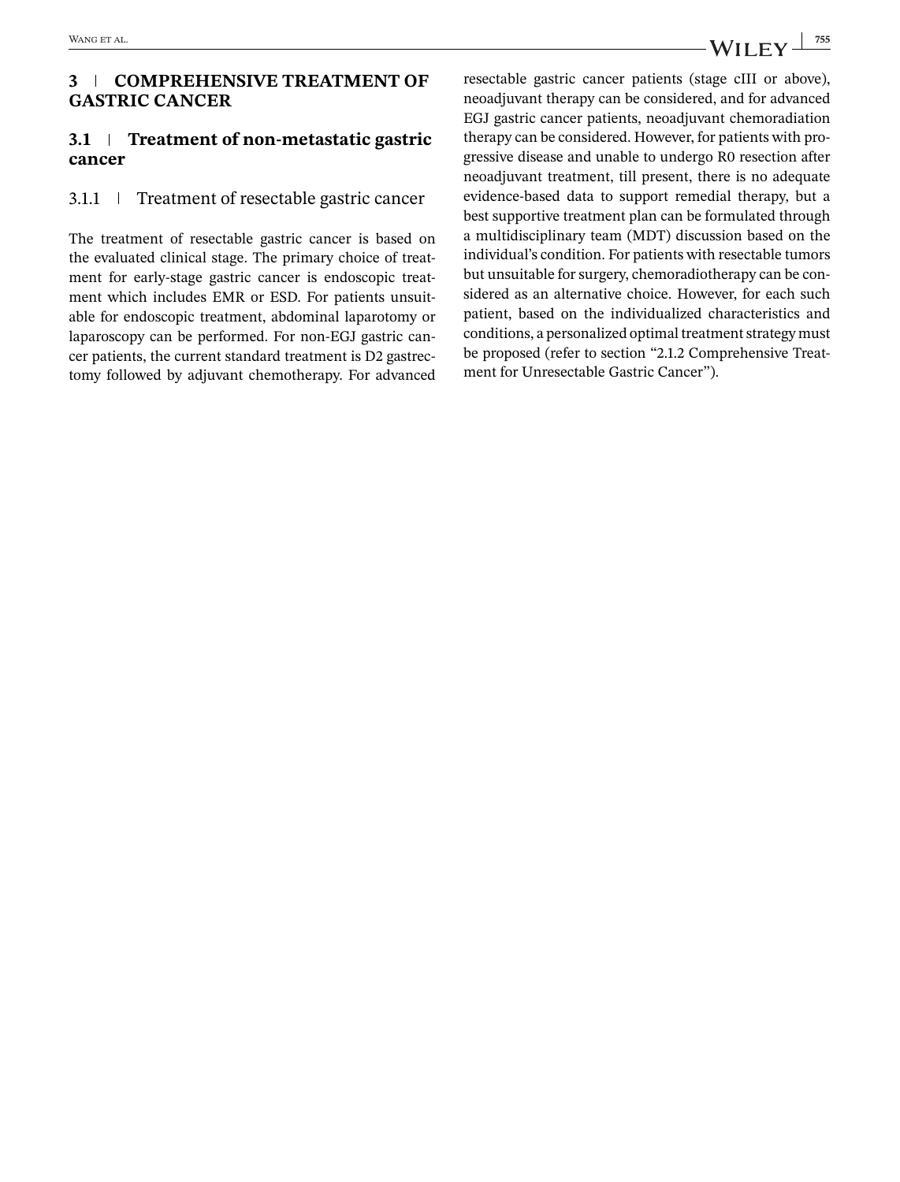### **3 COMPREHENSIVE TREATMENT OF GASTRIC CANCER**

### **3.1 Treatment of non-metastatic gastric cancer**

## 3.1.1 Treatment of resectable gastric cancer

The treatment of resectable gastric cancer is based on the evaluated clinical stage. The primary choice of treatment for early-stage gastric cancer is endoscopic treatment which includes EMR or ESD. For patients unsuitable for endoscopic treatment, abdominal laparotomy or laparoscopy can be performed. For non-EGJ gastric cancer patients, the current standard treatment is D2 gastrectomy followed by adjuvant chemotherapy. For advanced resectable gastric cancer patients (stage cIII or above), neoadjuvant therapy can be considered, and for advanced EGJ gastric cancer patients, neoadjuvant chemoradiation therapy can be considered. However, for patients with progressive disease and unable to undergo R0 resection after neoadjuvant treatment, till present, there is no adequate evidence-based data to support remedial therapy, but a best supportive treatment plan can be formulated through a multidisciplinary team (MDT) discussion based on the individual's condition. For patients with resectable tumors but unsuitable for surgery, chemoradiotherapy can be considered as an alternative choice. However, for each such patient, based on the individualized characteristics and conditions, a personalized optimal treatment strategy must be proposed (refer to section "2.1.2 Comprehensive Treatment for Unresectable Gastric Cancer").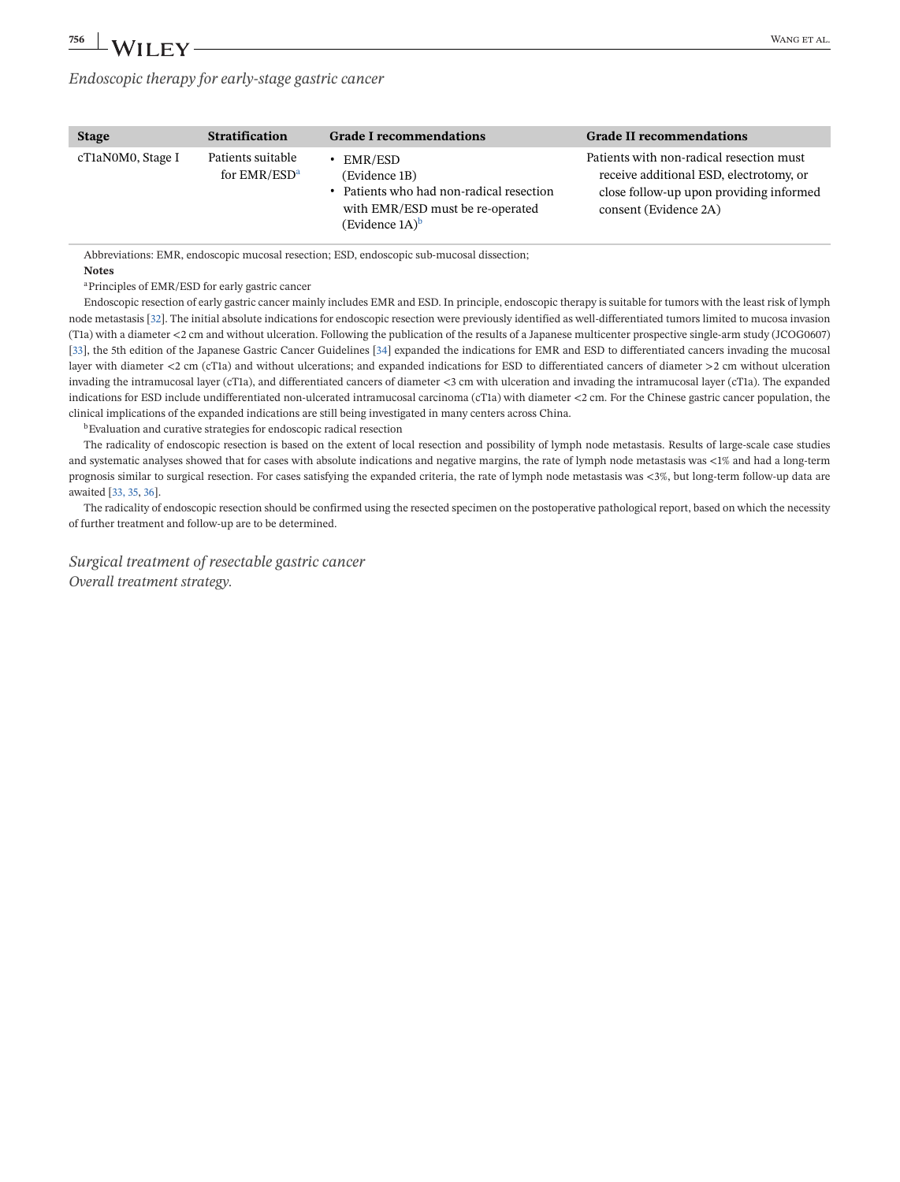*Endoscopic therapy for early-stage gastric cancer*

Abbreviations: EMR, endoscopic mucosal resection; ESD, endoscopic sub-mucosal dissection; **Notes**

aPrinciples of EMR/ESD for early gastric cancer

Endoscopic resection of early gastric cancer mainly includes EMR and ESD. In principle, endoscopic therapy is suitable for tumors with the least risk of lymph node metastasis [\[32\]](#page-39-0). The initial absolute indications for endoscopic resection were previously identified as well-differentiated tumors limited to mucosa invasion (T1a) with a diameter <2 cm and without ulceration. Following the publication of the results of a Japanese multicenter prospective single-arm study (JCOG0607) [\[33\]](#page-39-0), the 5th edition of the Japanese Gastric Cancer Guidelines [\[34\]](#page-40-0) expanded the indications for EMR and ESD to differentiated cancers invading the mucosal layer with diameter <2 cm (cT1a) and without ulcerations; and expanded indications for ESD to differentiated cancers of diameter >2 cm without ulceration invading the intramucosal layer (cT1a), and differentiated cancers of diameter <3 cm with ulceration and invading the intramucosal layer (cT1a). The expanded indications for ESD include undifferentiated non-ulcerated intramucosal carcinoma (cT1a) with diameter <2 cm. For the Chinese gastric cancer population, the clinical implications of the expanded indications are still being investigated in many centers across China.

bEvaluation and curative strategies for endoscopic radical resection

The radicality of endoscopic resection is based on the extent of local resection and possibility of lymph node metastasis. Results of large-scale case studies and systematic analyses showed that for cases with absolute indications and negative margins, the rate of lymph node metastasis was <1% and had a long-term prognosis similar to surgical resection. For cases satisfying the expanded criteria, the rate of lymph node metastasis was <3%, but long-term follow-up data are awaited [\[33, 35,](#page-39-0) [36\]](#page-40-0).

The radicality of endoscopic resection should be confirmed using the resected specimen on the postoperative pathological report, based on which the necessity of further treatment and follow-up are to be determined.

*Surgical treatment of resectable gastric cancer Overall treatment strategy.*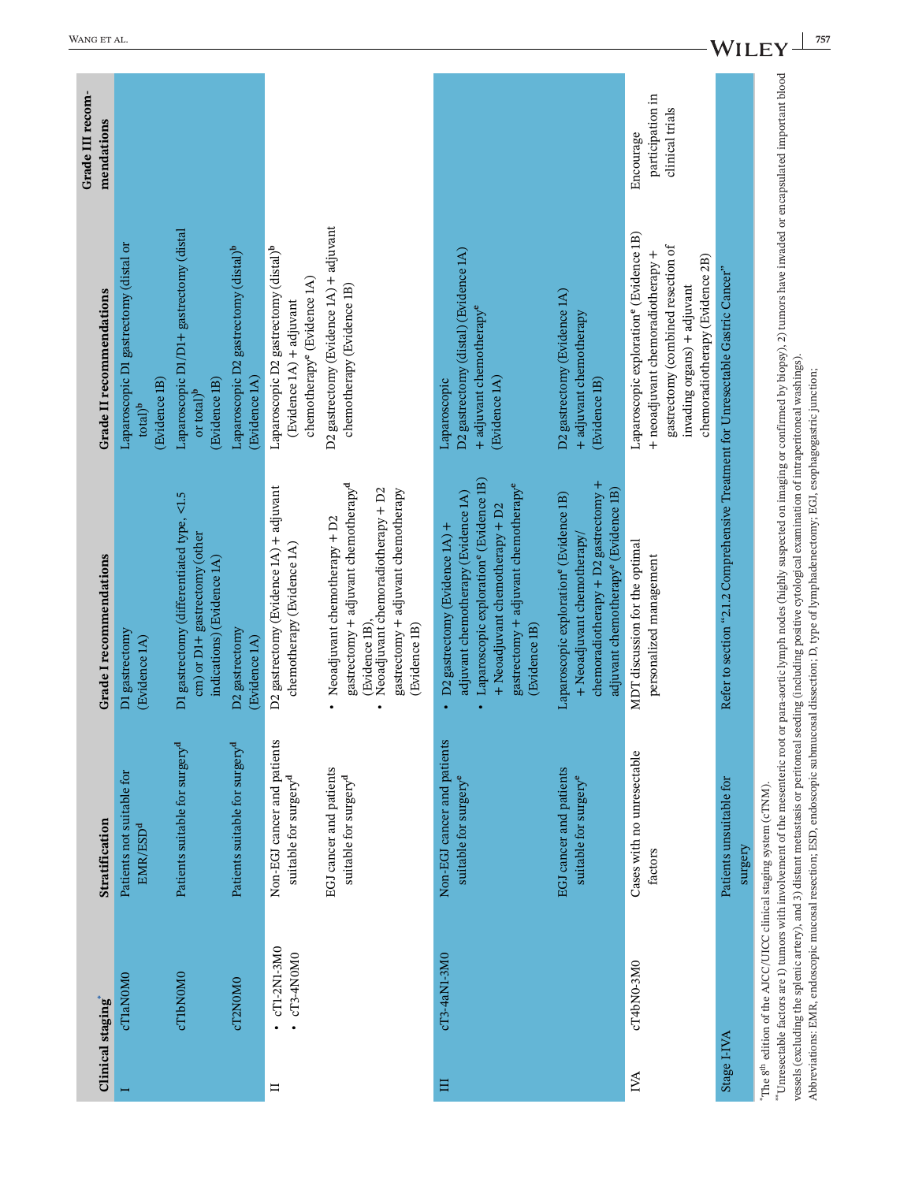|                                | 757<br>WANG ET AL.<br><b>WII</b>                                                |                                                                                                          |                                                                    |                                                                                                                          |                                                                                                                                                                                                   |                                                                                                                                                                                                                          |                                                                                                                                                                               |                                                                                                                                                                                                  |                                                                                 |                                                                                                                                                                                                                                                                                                                                                                                                                                                                                                                                                 |
|--------------------------------|---------------------------------------------------------------------------------|----------------------------------------------------------------------------------------------------------|--------------------------------------------------------------------|--------------------------------------------------------------------------------------------------------------------------|---------------------------------------------------------------------------------------------------------------------------------------------------------------------------------------------------|--------------------------------------------------------------------------------------------------------------------------------------------------------------------------------------------------------------------------|-------------------------------------------------------------------------------------------------------------------------------------------------------------------------------|--------------------------------------------------------------------------------------------------------------------------------------------------------------------------------------------------|---------------------------------------------------------------------------------|-------------------------------------------------------------------------------------------------------------------------------------------------------------------------------------------------------------------------------------------------------------------------------------------------------------------------------------------------------------------------------------------------------------------------------------------------------------------------------------------------------------------------------------------------|
| Grade III recom-<br>mendations |                                                                                 |                                                                                                          |                                                                    |                                                                                                                          |                                                                                                                                                                                                   |                                                                                                                                                                                                                          |                                                                                                                                                                               | participation in<br>clinical trials<br>Encourage                                                                                                                                                 |                                                                                 |                                                                                                                                                                                                                                                                                                                                                                                                                                                                                                                                                 |
| Grade II recommendations       | Laparoscopic D1 gastrectomy (distal or<br>(Evidence 1B)<br>$total$ <sup>b</sup> | Laparoscopic D1/D1+ gastrectomy (distal<br>(Evidence 1B)<br>or total) <sup>b</sup>                       | Laparoscopic D2 gastrectomy (distal) <sup>b</sup><br>(Evidence 1A) | Laparoscopic D2 gastrectomy (distal) <sup>b</sup><br>chemotherapy <sup>e</sup> (Evidence 1A)<br>(Evidence 1A) + adjuvant | D2 gastrectomy (Evidence 1A) + adjuvant<br>chemotherapy (Evidence 1B)                                                                                                                             | D2 gastrectomy (distal) (Evidence 1A)<br>+ adjuvant chemotherapy <sup>e</sup><br>(Evidence 1A)<br>Laparoscopic                                                                                                           | D2 gastrectomy (Evidence 1A)<br>+ adjuvant chemotherapy<br>(Evidence 1B)                                                                                                      | Laparoscopic exploration <sup>e</sup> (Evidence 1B)<br>gastrectomy (combined resection of<br>+ neoadjuvant chemoradiotherapy +<br>chemoradiotherapy (Evidence 2B)<br>invading organs) + adjuvant |                                                                                 |                                                                                                                                                                                                                                                                                                                                                                                                                                                                                                                                                 |
| Grade I recommendations        | )1 gastrectomy<br>Evidence <sub>1A</sub> )                                      | D1 gastrectomy (differentiated type, <1.5<br>cm) or D1+ gastrectomy (other<br>indications) (Evidence 1A) | D2 gastrectomy<br>Evidence 1A)                                     | D2 gastrectomy (Evidence 1A) + adjuvant<br>chemotherapy (Evidence 1A)                                                    | gastrectomy + adjuvant chemotherapy <sup>d</sup><br>Neoadjuvant chemoradiotherapy + D2<br>gastrectomy + adjuvant chemotherapy<br>Neoadjuvant chemotherapy + D2<br>(Evidence 1B),<br>(Evidence 1B) | Laparoscopic exploration <sup>e</sup> (Evidence 1B)<br>gastrectomy + adjuvant chemotherapye<br>adjuvant chemotherapy (Evidence 1A)<br>+ Neoadjuvant chemotherapy + D2<br>D2 gastrectomy (Evidence 1A) +<br>(Evidence 1B) | chemoradiotherapy + D2 gastrectomy +<br>adjuvant chemotherapy <sup>e</sup> (Evidence 1B)<br>aparoscopic exploration <sup>e</sup> (Evidence 1B)<br>+ Neoadjuvant chemotherapy/ | MDT discussion for the optimal<br>personalized management                                                                                                                                        | efer to section "2.1.2 Comprehensive Treatment for Unresectable Gastric Cancer" | *Unresectable factors are 1) tumors with involvement of the mesenteric root or para-aortic lymph nodes (highly suspected on imaging or confirmed by biopsy), 2) tumors have invaded or encapsulated important blood<br>vessels (excluding the splenic artery), and 3) distant metastasis or peritoneal seeding (including positive cytological examination of intraperitoneal washings).<br>Abbreviations: EMR, endoscopic mucosal resection; ESD, endoscopic submucosal dissection; D, type of lymphadenectomy; EGI, esophagogastric junction; |
| Stratification                 | Patients not suitable for<br>EMR/ESD <sup>d</sup>                               | Patients suitable for surgery <sup>d</sup>                                                               | Patients suitable for surgery <sup>d</sup>                         | Non-EGJ cancer and patients<br>suitable for surgery <sup>d</sup>                                                         | EGJ cancer and patients<br>suitable for surgery <sup>d</sup>                                                                                                                                      | Non-EGJ cancer and patients<br>suitable for surgery <sup>e</sup>                                                                                                                                                         | EGJ cancer and patients<br>suitable for surgery <sup>e</sup>                                                                                                                  | Cases with no unresectable<br>factors                                                                                                                                                            | Patients unsuitable for<br>surgery                                              |                                                                                                                                                                                                                                                                                                                                                                                                                                                                                                                                                 |
| <b>Clinical staging</b>        | <b>CT1aNOMO</b>                                                                 | <b>CT1bNOMO</b>                                                                                          | cT2N0MO                                                            | cT1-2N1-3M0<br>cT3-4N0M0<br>$\Box$                                                                                       |                                                                                                                                                                                                   | cT3-4aN1-3M0<br>Ħ                                                                                                                                                                                                        |                                                                                                                                                                               | cT4bN0-3M0<br>IVA                                                                                                                                                                                | Stage I-IVA                                                                     | 'The 8 <sup>th</sup> edition of the AJCC/UICC clinical staging system (cTNM).                                                                                                                                                                                                                                                                                                                                                                                                                                                                   |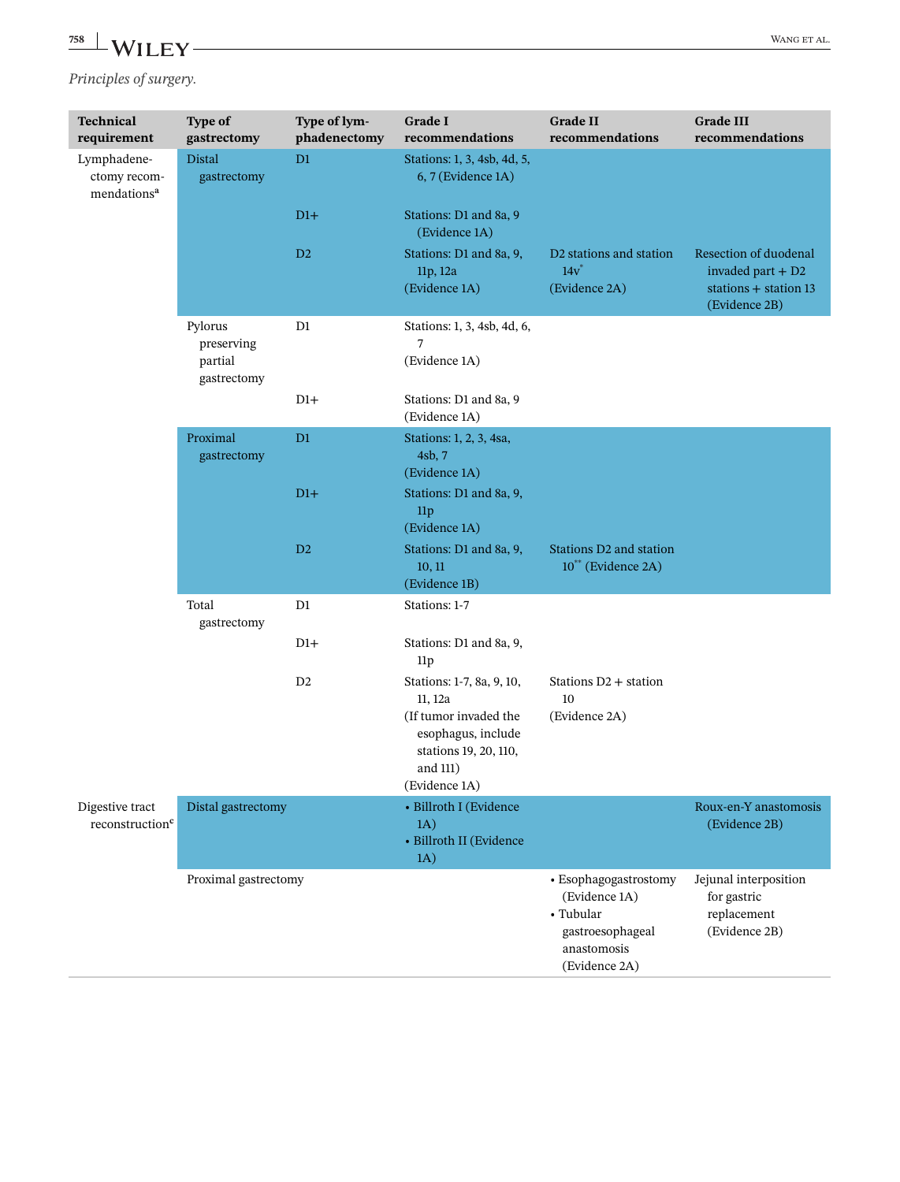*Principles of surgery.*

| Technical<br>requirement                               | Type of<br>gastrectomy                          | Type of lym-<br>phadenectomy | <b>Grade I</b><br>recommendations                                                                                                         | <b>Grade II</b><br>recommendations                                                                      | <b>Grade III</b><br>recommendations                                                     |
|--------------------------------------------------------|-------------------------------------------------|------------------------------|-------------------------------------------------------------------------------------------------------------------------------------------|---------------------------------------------------------------------------------------------------------|-----------------------------------------------------------------------------------------|
| Lymphadene-<br>ctomy recom-<br>mendations <sup>a</sup> | <b>Distal</b><br>gastrectomy                    | D1                           | Stations: 1, 3, 4sb, 4d, 5,<br>6, 7 (Evidence 1A)                                                                                         |                                                                                                         |                                                                                         |
|                                                        |                                                 | $D1+$                        | Stations: D1 and 8a, 9<br>(Evidence 1A)                                                                                                   |                                                                                                         |                                                                                         |
|                                                        |                                                 | $\mathbf{D}2$                | Stations: D1 and 8a, 9,<br>11p, 12a<br>(Evidence 1A)                                                                                      | D2 stations and station<br>$14v^*$<br>(Evidence 2A)                                                     | Resection of duodenal<br>invaded part $+D2$<br>stations $+$ station 13<br>(Evidence 2B) |
|                                                        | Pylorus<br>preserving<br>partial<br>gastrectomy | D1                           | Stations: 1, 3, 4sb, 4d, 6,<br>7<br>(Evidence 1A)                                                                                         |                                                                                                         |                                                                                         |
|                                                        |                                                 | $D1+$                        | Stations: D1 and 8a, 9<br>(Evidence 1A)                                                                                                   |                                                                                                         |                                                                                         |
|                                                        | Proximal<br>gastrectomy                         | D1                           | Stations: 1, 2, 3, 4sa,<br>4sb, 7<br>(Evidence 1A)                                                                                        |                                                                                                         |                                                                                         |
|                                                        |                                                 | $D1+$                        | Stations: D1 and 8a, 9,<br>11p<br>(Evidence 1A)                                                                                           |                                                                                                         |                                                                                         |
|                                                        |                                                 | D2                           | Stations: D1 and 8a, 9,<br>10, 11<br>(Evidence 1B)                                                                                        | <b>Stations D2 and station</b><br>10 <sup>**</sup> (Evidence 2A)                                        |                                                                                         |
|                                                        | Total<br>gastrectomy                            | D1                           | Stations: 1-7                                                                                                                             |                                                                                                         |                                                                                         |
|                                                        |                                                 | $D1+$                        | Stations: D1 and 8a, 9,<br>11p                                                                                                            |                                                                                                         |                                                                                         |
|                                                        |                                                 | D <sub>2</sub>               | Stations: 1-7, 8a, 9, 10,<br>11, 12a<br>(If tumor invaded the<br>esophagus, include<br>stations 19, 20, 110,<br>and 111)<br>(Evidence 1A) | Stations D2 + station<br>10<br>(Evidence 2A)                                                            |                                                                                         |
| Digestive tract<br>reconstruction <sup>c</sup>         | Distal gastrectomy                              |                              | • Billroth I (Evidence<br>1A)<br>· Billroth II (Evidence<br>1A)                                                                           |                                                                                                         | Roux-en-Y anastomosis<br>(Evidence 2B)                                                  |
|                                                        | Proximal gastrectomy                            |                              |                                                                                                                                           | · Esophagogastrostomy<br>(Evidence 1A)<br>• Tubular<br>gastroesophageal<br>anastomosis<br>(Evidence 2A) | Jejunal interposition<br>for gastric<br>replacement<br>(Evidence 2B)                    |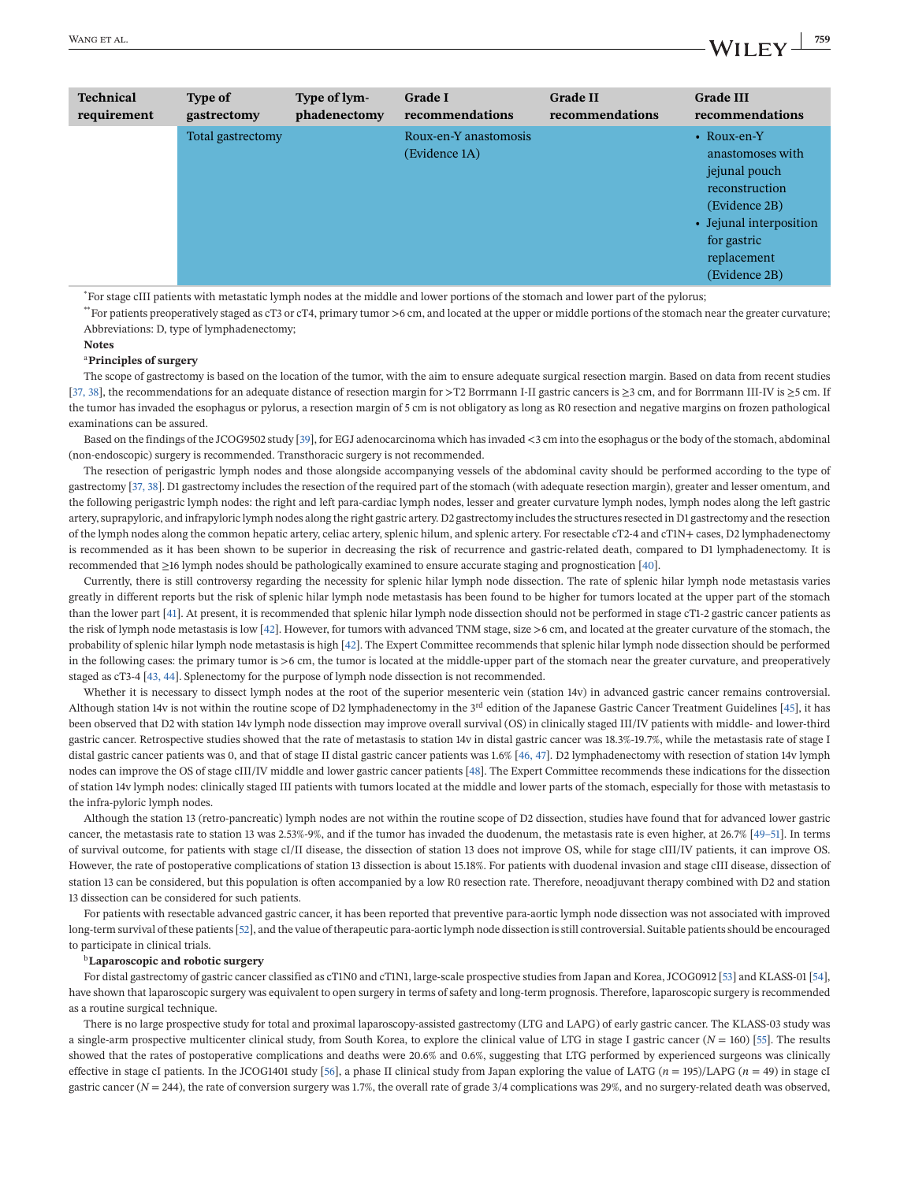| <b>Technical</b> | <b>Type of</b>    | Type of lym- | <b>Grade I</b>                         | <b>Grade II</b> | <b>Grade III</b>                                                                                                                                              |
|------------------|-------------------|--------------|----------------------------------------|-----------------|---------------------------------------------------------------------------------------------------------------------------------------------------------------|
| requirement      | gastrectomy       | phadenectomy | recommendations                        | recommendations | recommendations                                                                                                                                               |
|                  | Total gastrectomy |              | Roux-en-Y anastomosis<br>(Evidence 1A) |                 | • Roux-en-Y<br>anastomoses with<br>jejunal pouch<br>reconstruction<br>(Evidence 2B)<br>• Jejunal interposition<br>for gastric<br>replacement<br>(Evidence 2B) |

\* For stage cIII patients with metastatic lymph nodes at the middle and lower portions of the stomach and lower part of the pylorus;

\*\*For patients preoperatively staged as cT3 or cT4, primary tumor >6 cm, and located at the upper or middle portions of the stomach near the greater curvature; Abbreviations: D, type of lymphadenectomy;

**Notes**

#### <sup>a</sup>**Principles of surgery**

The scope of gastrectomy is based on the location of the tumor, with the aim to ensure adequate surgical resection margin. Based on data from recent studies [\[37, 38\]](#page-40-0), the recommendations for an adequate distance of resection margin for >T2 Borrmann I-II gastric cancers is ≥3 cm, and for Borrmann III-IV is ≥5 cm. If the tumor has invaded the esophagus or pylorus, a resection margin of 5 cm is not obligatory as long as R0 resection and negative margins on frozen pathological examinations can be assured.

Based on the findings of the JCOG9502 study [\[39\]](#page-40-0), for EGJ adenocarcinoma which has invaded <3 cm into the esophagus or the body of the stomach, abdominal (non-endoscopic) surgery is recommended. Transthoracic surgery is not recommended.

The resection of perigastric lymph nodes and those alongside accompanying vessels of the abdominal cavity should be performed according to the type of gastrectomy [\[37, 38\]](#page-40-0). D1 gastrectomy includes the resection of the required part of the stomach (with adequate resection margin), greater and lesser omentum, and the following perigastric lymph nodes: the right and left para-cardiac lymph nodes, lesser and greater curvature lymph nodes, lymph nodes along the left gastric artery, suprapyloric, and infrapyloric lymph nodes along the right gastric artery. D2 gastrectomy includes the structures resected in D1 gastrectomy and the resection of the lymph nodes along the common hepatic artery, celiac artery, splenic hilum, and splenic artery. For resectable cT2-4 and cT1N+ cases, D2 lymphadenectomy is recommended as it has been shown to be superior in decreasing the risk of recurrence and gastric-related death, compared to D1 lymphadenectomy. It is recommended that ≥16 lymph nodes should be pathologically examined to ensure accurate staging and prognostication [\[40\]](#page-40-0).

Currently, there is still controversy regarding the necessity for splenic hilar lymph node dissection. The rate of splenic hilar lymph node metastasis varies greatly in different reports but the risk of splenic hilar lymph node metastasis has been found to be higher for tumors located at the upper part of the stomach than the lower part [\[41\]](#page-40-0). At present, it is recommended that splenic hilar lymph node dissection should not be performed in stage cT1-2 gastric cancer patients as the risk of lymph node metastasis is low [\[42\]](#page-40-0). However, for tumors with advanced TNM stage, size >6 cm, and located at the greater curvature of the stomach, the probability of splenic hilar lymph node metastasis is high [\[42\]](#page-40-0). The Expert Committee recommends that splenic hilar lymph node dissection should be performed in the following cases: the primary tumor is >6 cm, the tumor is located at the middle-upper part of the stomach near the greater curvature, and preoperatively staged as cT3-4 [\[43, 44\]](#page-40-0). Splenectomy for the purpose of lymph node dissection is not recommended.

Whether it is necessary to dissect lymph nodes at the root of the superior mesenteric vein (station 14v) in advanced gastric cancer remains controversial. Although station 14v is not within the routine scope of D2 lymphadenectomy in the  $3<sup>rd</sup>$  edition of the Japanese Gastric Cancer Treatment Guidelines [\[45\]](#page-40-0), it has been observed that D2 with station 14v lymph node dissection may improve overall survival (OS) in clinically staged III/IV patients with middle- and lower-third gastric cancer. Retrospective studies showed that the rate of metastasis to station 14v in distal gastric cancer was 18.3%-19.7%, while the metastasis rate of stage I distal gastric cancer patients was 0, and that of stage II distal gastric cancer patients was 1.6% [\[46, 47\]](#page-40-0). D2 lymphadenectomy with resection of station 14v lymph nodes can improve the OS of stage cIII/IV middle and lower gastric cancer patients [\[48\]](#page-40-0). The Expert Committee recommends these indications for the dissection of station 14v lymph nodes: clinically staged III patients with tumors located at the middle and lower parts of the stomach, especially for those with metastasis to the infra-pyloric lymph nodes.

Although the station 13 (retro-pancreatic) lymph nodes are not within the routine scope of D2 dissection, studies have found that for advanced lower gastric cancer, the metastasis rate to station 13 was 2.53%-9%, and if the tumor has invaded the duodenum, the metastasis rate is even higher, at 26.7% [\[49–51\]](#page-40-0). In terms of survival outcome, for patients with stage cI/II disease, the dissection of station 13 does not improve OS, while for stage cIII/IV patients, it can improve OS. However, the rate of postoperative complications of station 13 dissection is about 15.18%. For patients with duodenal invasion and stage cIII disease, dissection of station 13 can be considered, but this population is often accompanied by a low R0 resection rate. Therefore, neoadjuvant therapy combined with D2 and station 13 dissection can be considered for such patients.

For patients with resectable advanced gastric cancer, it has been reported that preventive para-aortic lymph node dissection was not associated with improved long-term survival of these patients [\[52\]](#page-40-0), and the value of therapeutic para-aortic lymph node dissection is still controversial. Suitable patients should be encouraged to participate in clinical trials.

#### <sup>b</sup>**Laparoscopic and robotic surgery**

For distal gastrectomy of gastric cancer classified as cT1N0 and cT1N1, large-scale prospective studies from Japan and Korea, JCOG0912 [\[53\]](#page-40-0) and KLASS-01 [\[54\]](#page-40-0), have shown that laparoscopic surgery was equivalent to open surgery in terms of safety and long-term prognosis. Therefore, laparoscopic surgery is recommended as a routine surgical technique.

There is no large prospective study for total and proximal laparoscopy-assisted gastrectomy (LTG and LAPG) of early gastric cancer. The KLASS-03 study was a single-arm prospective multicenter clinical study, from South Korea, to explore the clinical value of LTG in stage I gastric cancer (*N* = 160) [\[55\]](#page-40-0). The results showed that the rates of postoperative complications and deaths were 20.6% and 0.6%, suggesting that LTG performed by experienced surgeons was clinically effective in stage cI patients. In the JCOG1401 study [\[56\]](#page-40-0), a phase II clinical study from Japan exploring the value of LATG ( $n = 195$ )/LAPG ( $n = 49$ ) in stage cI gastric cancer  $(N = 244)$ , the rate of conversion surgery was 1.7%, the overall rate of grade  $3/4$  complications was  $29\%$ , and no surgery-related death was observed,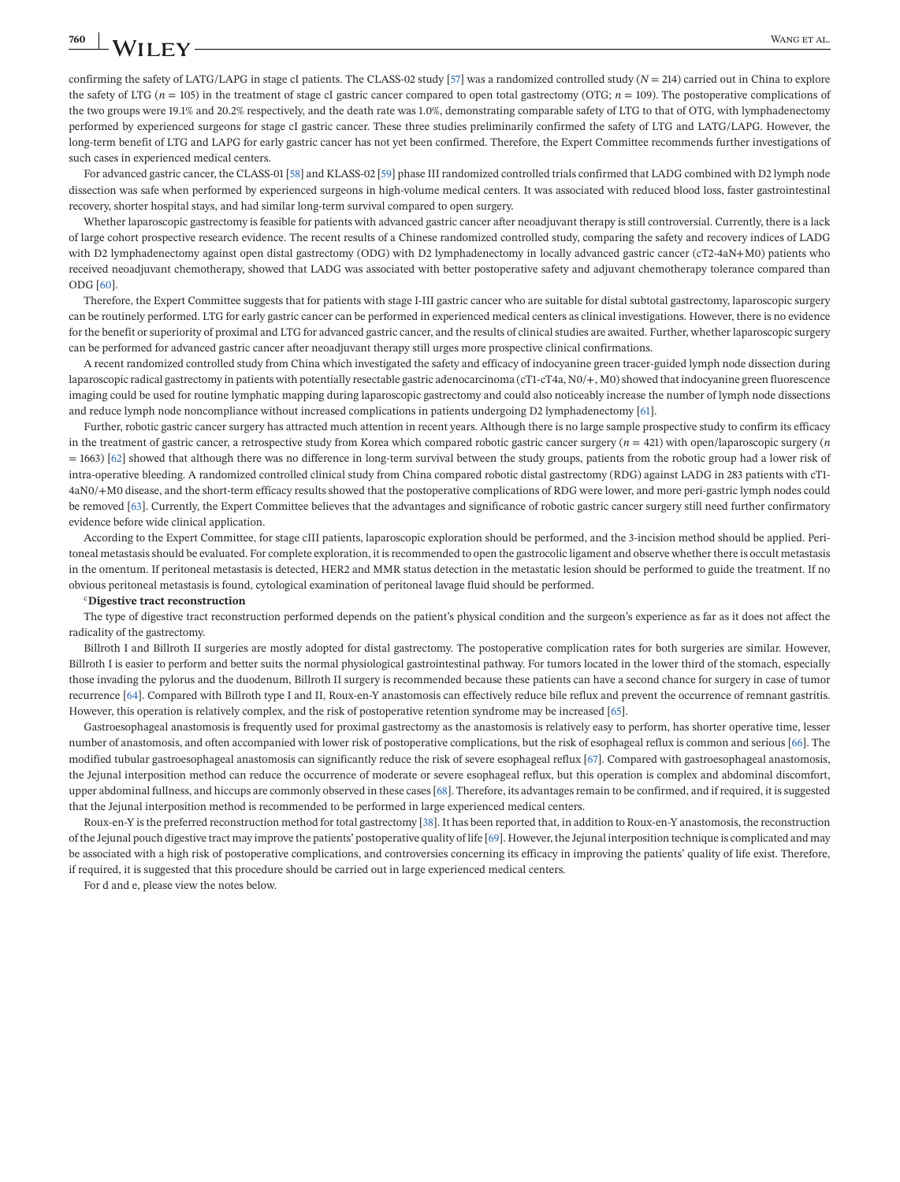confirming the safety of LATG/LAPG in stage cI patients. The CLASS-02 study [\[57\]](#page-40-0) was a randomized controlled study (*N* = 214) carried out in China to explore the safety of LTG ( $n = 105$ ) in the treatment of stage cI gastric cancer compared to open total gastrectomy (OTG;  $n = 109$ ). The postoperative complications of the two groups were 19.1% and 20.2% respectively, and the death rate was 1.0%, demonstrating comparable safety of LTG to that of OTG, with lymphadenectomy performed by experienced surgeons for stage cI gastric cancer. These three studies preliminarily confirmed the safety of LTG and LATG/LAPG. However, the long-term benefit of LTG and LAPG for early gastric cancer has not yet been confirmed. Therefore, the Expert Committee recommends further investigations of such cases in experienced medical centers.

For advanced gastric cancer, the CLASS-01 [\[58\]](#page-40-0) and KLASS-02 [\[59\]](#page-40-0) phase III randomized controlled trials confirmed that LADG combined with D2 lymph node dissection was safe when performed by experienced surgeons in high-volume medical centers. It was associated with reduced blood loss, faster gastrointestinal recovery, shorter hospital stays, and had similar long-term survival compared to open surgery.

Whether laparoscopic gastrectomy is feasible for patients with advanced gastric cancer after neoadjuvant therapy is still controversial. Currently, there is a lack of large cohort prospective research evidence. The recent results of a Chinese randomized controlled study, comparing the safety and recovery indices of LADG with D2 lymphadenectomy against open distal gastrectomy (ODG) with D2 lymphadenectomy in locally advanced gastric cancer (cT2-4aN+M0) patients who received neoadjuvant chemotherapy, showed that LADG was associated with better postoperative safety and adjuvant chemotherapy tolerance compared than ODG [\[60\]](#page-40-0).

Therefore, the Expert Committee suggests that for patients with stage I-III gastric cancer who are suitable for distal subtotal gastrectomy, laparoscopic surgery can be routinely performed. LTG for early gastric cancer can be performed in experienced medical centers as clinical investigations. However, there is no evidence for the benefit or superiority of proximal and LTG for advanced gastric cancer, and the results of clinical studies are awaited. Further, whether laparoscopic surgery can be performed for advanced gastric cancer after neoadjuvant therapy still urges more prospective clinical confirmations.

A recent randomized controlled study from China which investigated the safety and efficacy of indocyanine green tracer-guided lymph node dissection during laparoscopic radical gastrectomy in patients with potentially resectable gastric adenocarcinoma (cT1-cT4a, N0/+, M0) showed that indocyanine green fluorescence imaging could be used for routine lymphatic mapping during laparoscopic gastrectomy and could also noticeably increase the number of lymph node dissections and reduce lymph node noncompliance without increased complications in patients undergoing D2 lymphadenectomy [\[61\]](#page-40-0).

Further, robotic gastric cancer surgery has attracted much attention in recent years. Although there is no large sample prospective study to confirm its efficacy in the treatment of gastric cancer, a retrospective study from Korea which compared robotic gastric cancer surgery (*n* = 421) with open/laparoscopic surgery (*n* = 1663) [\[62\]](#page-41-0) showed that although there was no difference in long-term survival between the study groups, patients from the robotic group had a lower risk of intra-operative bleeding. A randomized controlled clinical study from China compared robotic distal gastrectomy (RDG) against LADG in 283 patients with cT1- 4aN0/+M0 disease, and the short-term efficacy results showed that the postoperative complications of RDG were lower, and more peri-gastric lymph nodes could be removed [\[63\]](#page-41-0). Currently, the Expert Committee believes that the advantages and significance of robotic gastric cancer surgery still need further confirmatory evidence before wide clinical application.

According to the Expert Committee, for stage cIII patients, laparoscopic exploration should be performed, and the 3-incision method should be applied. Peritoneal metastasis should be evaluated. For complete exploration, it is recommended to open the gastrocolic ligament and observe whether there is occult metastasis in the omentum. If peritoneal metastasis is detected, HER2 and MMR status detection in the metastatic lesion should be performed to guide the treatment. If no obvious peritoneal metastasis is found, cytological examination of peritoneal lavage fluid should be performed.

#### <sup>c</sup>**Digestive tract reconstruction**

The type of digestive tract reconstruction performed depends on the patient's physical condition and the surgeon's experience as far as it does not affect the radicality of the gastrectomy.

Billroth I and Billroth II surgeries are mostly adopted for distal gastrectomy. The postoperative complication rates for both surgeries are similar. However, Billroth I is easier to perform and better suits the normal physiological gastrointestinal pathway. For tumors located in the lower third of the stomach, especially those invading the pylorus and the duodenum, Billroth II surgery is recommended because these patients can have a second chance for surgery in case of tumor recurrence [\[64\]](#page-41-0). Compared with Billroth type I and II, Roux-en-Y anastomosis can effectively reduce bile reflux and prevent the occurrence of remnant gastritis. However, this operation is relatively complex, and the risk of postoperative retention syndrome may be increased [\[65\]](#page-41-0).

Gastroesophageal anastomosis is frequently used for proximal gastrectomy as the anastomosis is relatively easy to perform, has shorter operative time, lesser number of anastomosis, and often accompanied with lower risk of postoperative complications, but the risk of esophageal reflux is common and serious [\[66\]](#page-41-0). The modified tubular gastroesophageal anastomosis can significantly reduce the risk of severe esophageal reflux [\[67\]](#page-41-0). Compared with gastroesophageal anastomosis, the Jejunal interposition method can reduce the occurrence of moderate or severe esophageal reflux, but this operation is complex and abdominal discomfort, upper abdominal fullness, and hiccups are commonly observed in these cases [\[68\]](#page-41-0). Therefore, its advantages remain to be confirmed, and if required, it is suggested that the Jejunal interposition method is recommended to be performed in large experienced medical centers.

Roux-en-Y is the preferred reconstruction method for total gastrectomy [\[38\]](#page-40-0). It has been reported that, in addition to Roux-en-Y anastomosis, the reconstruction of the Jejunal pouch digestive tract may improve the patients' postoperative quality of life [\[69\]](#page-41-0). However, the Jejunal interposition technique is complicated and may be associated with a high risk of postoperative complications, and controversies concerning its efficacy in improving the patients' quality of life exist. Therefore, if required, it is suggested that this procedure should be carried out in large experienced medical centers.

For d and e, please view the notes below.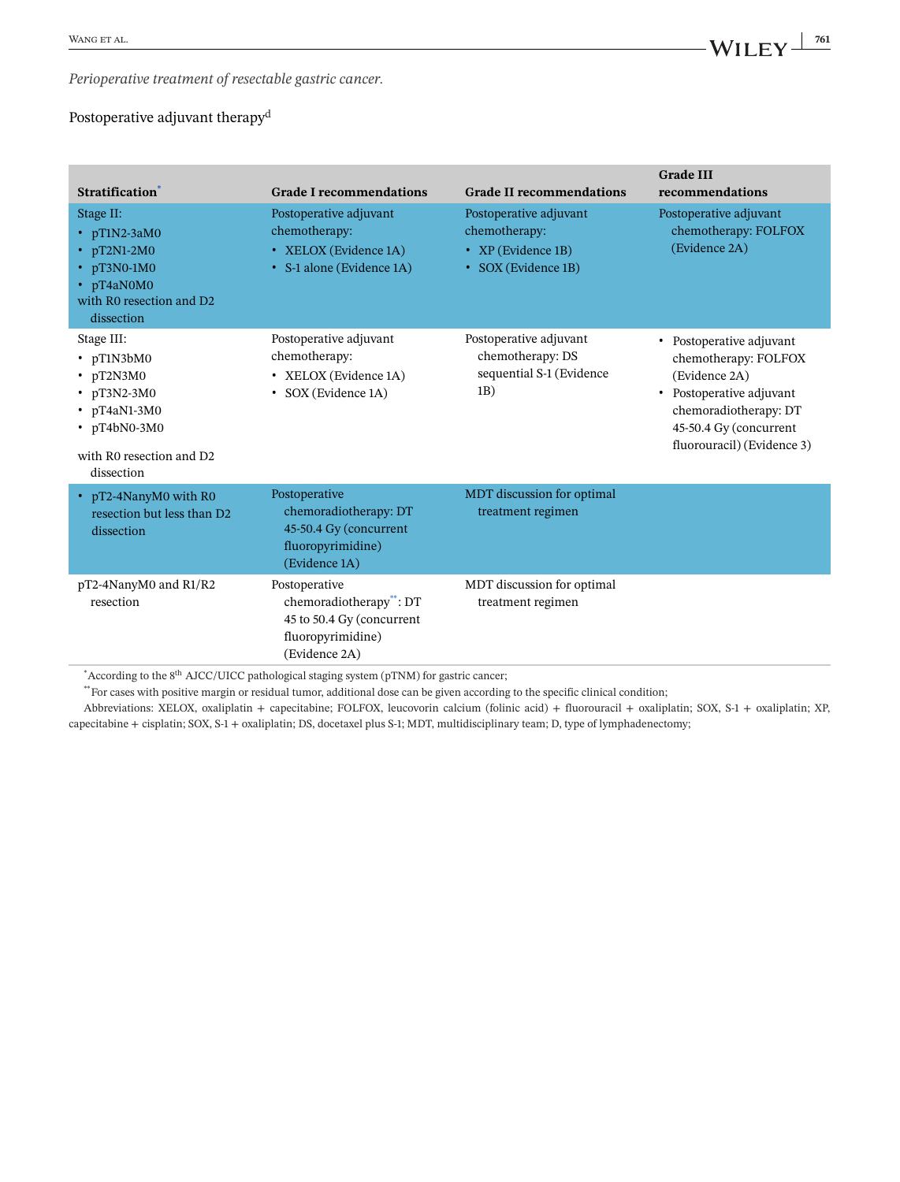*Perioperative treatment of resectable gastric cancer.*

### Postoperative adjuvant therapy<sup>d</sup>

| Stratification <sup>*</sup>                                                                                                                            | <b>Grade I recommendations</b>                                                                              | <b>Grade II recommendations</b>                                                      | <b>Grade III</b><br>recommendations                                                                                                                                            |
|--------------------------------------------------------------------------------------------------------------------------------------------------------|-------------------------------------------------------------------------------------------------------------|--------------------------------------------------------------------------------------|--------------------------------------------------------------------------------------------------------------------------------------------------------------------------------|
| Stage II:<br>• $pT1N2-3aM0$<br>$\cdot$ pT2N1-2M0<br>$\cdot$ pT3N0-1M0<br>• pT4aN0M0<br>with R0 resection and D2<br>dissection                          | Postoperative adjuvant<br>chemotherapy:<br>• XELOX (Evidence 1A)<br>• S-1 alone (Evidence 1A)               | Postoperative adjuvant<br>chemotherapy:<br>• XP (Evidence 1B)<br>• SOX (Evidence 1B) | Postoperative adjuvant<br>chemotherapy: FOLFOX<br>(Evidence 2A)                                                                                                                |
| Stage III:<br>• pT1N3bM0<br>$\cdot$ pT2N3M0<br>$\cdot$ pT3N2-3M0<br>$\cdot$ pT4aN1-3M0<br>$\cdot$ pT4bN0-3M0<br>with R0 resection and D2<br>dissection | Postoperative adjuvant<br>chemotherapy:<br>• XELOX (Evidence 1A)<br>• SOX (Evidence 1A)                     | Postoperative adjuvant<br>chemotherapy: DS<br>sequential S-1 (Evidence<br>1B)        | • Postoperative adjuvant<br>chemotherapy: FOLFOX<br>(Evidence 2A)<br>• Postoperative adjuvant<br>chemoradiotherapy: DT<br>45-50.4 Gy (concurrent<br>fluorouracil) (Evidence 3) |
| • pT2-4NanyM0 with R0<br>resection but less than D <sub>2</sub><br>dissection                                                                          | Postoperative<br>chemoradiotherapy: DT<br>45-50.4 Gy (concurrent<br>fluoropyrimidine)<br>(Evidence 1A)      | MDT discussion for optimal<br>treatment regimen                                      |                                                                                                                                                                                |
| pT2-4NanyM0 and R1/R2<br>resection                                                                                                                     | Postoperative<br>chemoradiotherapy**: DT<br>45 to 50.4 Gy (concurrent<br>fluoropyrimidine)<br>(Evidence 2A) | MDT discussion for optimal<br>treatment regimen                                      |                                                                                                                                                                                |

 $^*$ According to the 8<sup>th</sup> AJCC/UICC pathological staging system (pTNM) for gastric cancer;

\*\*For cases with positive margin or residual tumor, additional dose can be given according to the specific clinical condition;

Abbreviations: XELOX, oxaliplatin + capecitabine; FOLFOX, leucovorin calcium (folinic acid) + fluorouracil + oxaliplatin; SOX, S-1 + oxaliplatin; XP, capecitabine + cisplatin; SOX, S-1 + oxaliplatin; DS, docetaxel plus S-1; MDT, multidisciplinary team; D, type of lymphadenectomy;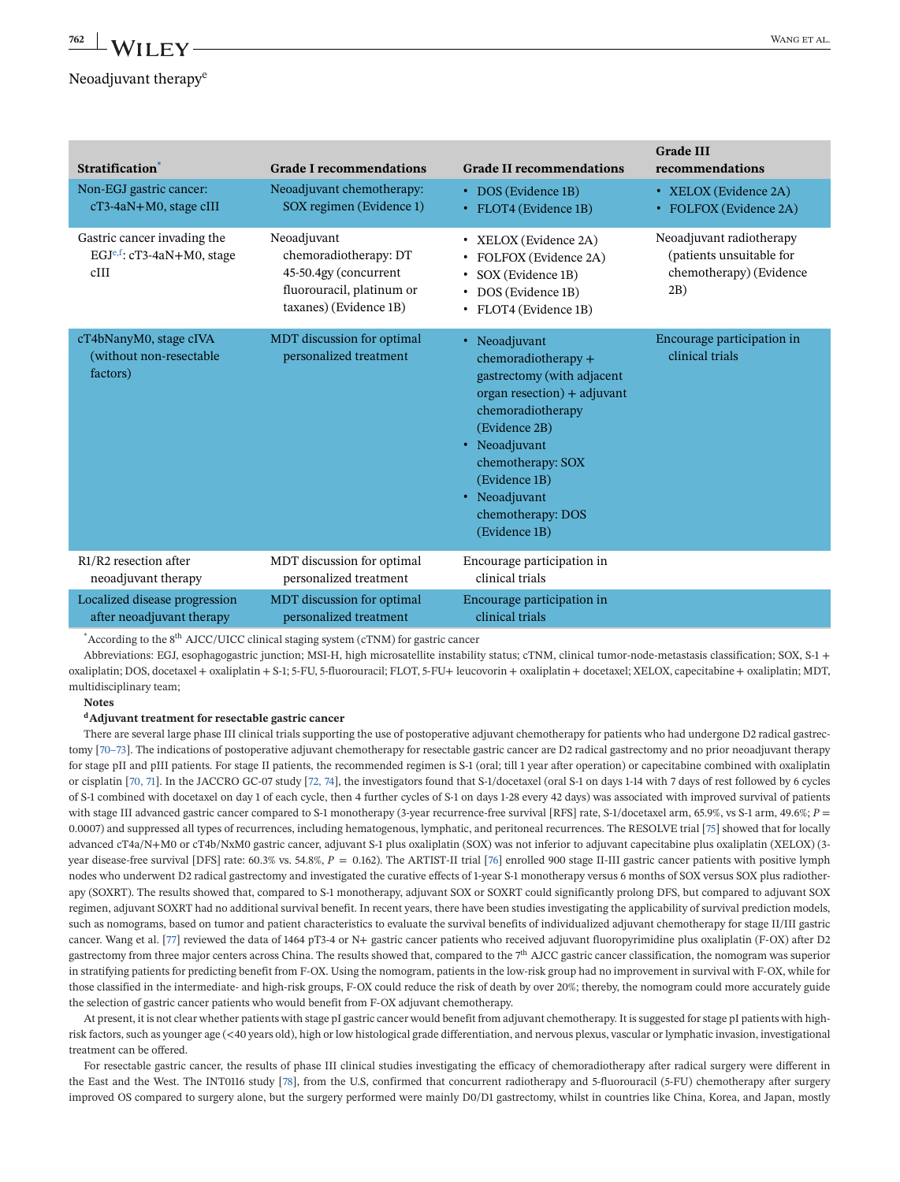### Neoadjuvant therapy<sup>e</sup>

| <b>Stratification</b>                                               | <b>Grade I recommendations</b>                                                                                       | <b>Grade II recommendations</b>                                                                                                                                                                                                                       | <b>Grade III</b><br>recommendations                                                    |
|---------------------------------------------------------------------|----------------------------------------------------------------------------------------------------------------------|-------------------------------------------------------------------------------------------------------------------------------------------------------------------------------------------------------------------------------------------------------|----------------------------------------------------------------------------------------|
| Non-EGJ gastric cancer:                                             | Neoadjuvant chemotherapy:                                                                                            | • DOS (Evidence 1B)                                                                                                                                                                                                                                   | • XELOX (Evidence 2A)                                                                  |
| cT3-4aN+M0, stage cIII                                              | SOX regimen (Evidence 1)                                                                                             | • FLOT4 (Evidence 1B)                                                                                                                                                                                                                                 | • FOLFOX (Evidence 2A)                                                                 |
| Gastric cancer invading the<br>$EGJe,f$ : cT3-4aN+M0, stage<br>cIII | Neoadjuvant<br>chemoradiotherapy: DT<br>45-50.4gy (concurrent<br>fluorouracil, platinum or<br>taxanes) (Evidence 1B) | • XELOX (Evidence 2A)<br>• FOLFOX (Evidence 2A)<br>• SOX (Evidence 1B)<br>• DOS (Evidence 1B)<br>· FLOT4 (Evidence 1B)                                                                                                                                | Neoadjuvant radiotherapy<br>(patients unsuitable for<br>chemotherapy) (Evidence<br>2B) |
| cT4bNanyM0, stage cIVA<br>(without non-resectable)<br>factors)      | MDT discussion for optimal<br>personalized treatment                                                                 | • Neoadjuvant<br>chemoradiotherapy +<br>gastrectomy (with adjacent<br>organ resection) + adjuvant<br>chemoradiotherapy<br>(Evidence 2B)<br>• Neoadjuvant<br>chemotherapy: SOX<br>(Evidence 1B)<br>• Neoadjuvant<br>chemotherapy: DOS<br>(Evidence 1B) | Encourage participation in<br>clinical trials                                          |
| R1/R2 resection after                                               | MDT discussion for optimal                                                                                           | Encourage participation in                                                                                                                                                                                                                            |                                                                                        |
| neoadjuvant therapy                                                 | personalized treatment                                                                                               | clinical trials                                                                                                                                                                                                                                       |                                                                                        |
| Localized disease progression                                       | MDT discussion for optimal                                                                                           | Encourage participation in                                                                                                                                                                                                                            |                                                                                        |
| after neoadjuvant therapy                                           | personalized treatment                                                                                               | clinical trials                                                                                                                                                                                                                                       |                                                                                        |

 $*$  According to the 8<sup>th</sup> AJCC/UICC clinical staging system (cTNM) for gastric cancer

Abbreviations: EGJ, esophagogastric junction; MSI-H, high microsatellite instability status; cTNM, clinical tumor-node-metastasis classification; SOX, S-1 + oxaliplatin; DOS, docetaxel + oxaliplatin + S-1; 5-FU, 5-fluorouracil; FLOT, 5-FU+ leucovorin + oxaliplatin + docetaxel; XELOX, capecitabine + oxaliplatin; MDT, multidisciplinary team;

### **Notes**

#### **dAdjuvant treatment for resectable gastric cancer**

There are several large phase III clinical trials supporting the use of postoperative adjuvant chemotherapy for patients who had undergone D2 radical gastrectomy [\[70–73\]](#page-41-0). The indications of postoperative adjuvant chemotherapy for resectable gastric cancer are D2 radical gastrectomy and no prior neoadjuvant therapy for stage pII and pIII patients. For stage II patients, the recommended regimen is S-1 (oral; till 1 year after operation) or capecitabine combined with oxaliplatin or cisplatin [\[70, 71\]](#page-41-0). In the JACCRO GC-07 study [\[72, 74\]](#page-41-0), the investigators found that S-1/docetaxel (oral S-1 on days 1-14 with 7 days of rest followed by 6 cycles of S-1 combined with docetaxel on day 1 of each cycle, then 4 further cycles of S-1 on days 1-28 every 42 days) was associated with improved survival of patients with stage III advanced gastric cancer compared to S-1 monotherapy (3-year recurrence-free survival [RFS] rate, S-1/docetaxel arm, 65.9%, vs S-1 arm, 49.6%; *P* = 0.0007) and suppressed all types of recurrences, including hematogenous, lymphatic, and peritoneal recurrences. The RESOLVE trial [\[75\]](#page-41-0) showed that for locally advanced cT4a/N+M0 or cT4b/NxM0 gastric cancer, adjuvant S-1 plus oxaliplatin (SOX) was not inferior to adjuvant capecitabine plus oxaliplatin (XELOX) (3 year disease-free survival [DFS] rate: 60.3% vs. 54.8%,  $P = 0.162$ ). The ARTIST-II trial [\[76\]](#page-41-0) enrolled 900 stage II-III gastric cancer patients with positive lymph nodes who underwent D2 radical gastrectomy and investigated the curative effects of 1-year S-1 monotherapy versus 6 months of SOX versus SOX plus radiotherapy (SOXRT). The results showed that, compared to S-1 monotherapy, adjuvant SOX or SOXRT could significantly prolong DFS, but compared to adjuvant SOX regimen, adjuvant SOXRT had no additional survival benefit. In recent years, there have been studies investigating the applicability of survival prediction models, such as nomograms, based on tumor and patient characteristics to evaluate the survival benefits of individualized adjuvant chemotherapy for stage II/III gastric cancer. Wang et al. [\[77\]](#page-41-0) reviewed the data of 1464 pT3-4 or N+ gastric cancer patients who received adjuvant fluoropyrimidine plus oxaliplatin (F-OX) after D2 gastrectomy from three major centers across China. The results showed that, compared to the 7<sup>th</sup> AJCC gastric cancer classification, the nomogram was superior in stratifying patients for predicting benefit from F-OX. Using the nomogram, patients in the low-risk group had no improvement in survival with F-OX, while for those classified in the intermediate- and high-risk groups, F-OX could reduce the risk of death by over 20%; thereby, the nomogram could more accurately guide the selection of gastric cancer patients who would benefit from F-OX adjuvant chemotherapy.

At present, it is not clear whether patients with stage pI gastric cancer would benefit from adjuvant chemotherapy. It is suggested for stage pI patients with highrisk factors, such as younger age (<40 years old), high or low histological grade differentiation, and nervous plexus, vascular or lymphatic invasion, investigational treatment can be offered.

For resectable gastric cancer, the results of phase III clinical studies investigating the efficacy of chemoradiotherapy after radical surgery were different in the East and the West. The INT0116 study [\[78\]](#page-41-0), from the U.S, confirmed that concurrent radiotherapy and 5-fluorouracil (5-FU) chemotherapy after surgery improved OS compared to surgery alone, but the surgery performed were mainly D0/D1 gastrectomy, whilst in countries like China, Korea, and Japan, mostly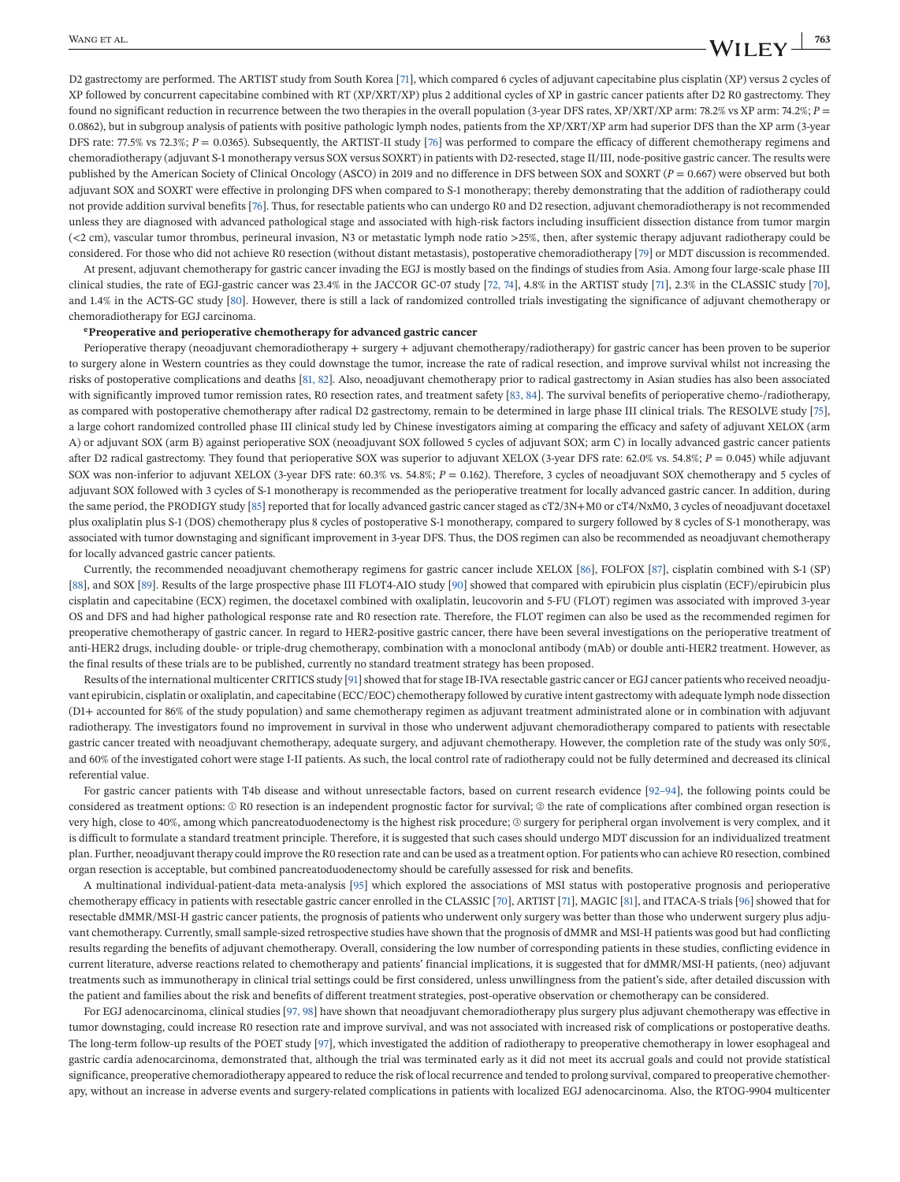<span id="page-16-0"></span>D2 gastrectomy are performed. The ARTIST study from South Korea [\[71\]](#page-41-0), which compared 6 cycles of adjuvant capecitabine plus cisplatin (XP) versus 2 cycles of XP followed by concurrent capecitabine combined with RT (XP/XRT/XP) plus 2 additional cycles of XP in gastric cancer patients after D2 R0 gastrectomy. They found no significant reduction in recurrence between the two therapies in the overall population (3-year DFS rates,  $XP/XRT/XP$  arm: 78.2% vs XP arm: 74.2%;  $P =$ 0.0862), but in subgroup analysis of patients with positive pathologic lymph nodes, patients from the XP/XRT/XP arm had superior DFS than the XP arm (3-year DFS rate: 77.5% vs 72.3%;  $P = 0.0365$ ). Subsequently, the ARTIST-II study [\[76\]](#page-41-0) was performed to compare the efficacy of different chemotherapy regimens and chemoradiotherapy (adjuvant S-1 monotherapy versus SOX versus SOXRT) in patients with D2-resected, stage II/III, node-positive gastric cancer. The results were published by the American Society of Clinical Oncology (ASCO) in 2019 and no difference in DFS between SOX and SOXRT (*P* = 0.667) were observed but both adjuvant SOX and SOXRT were effective in prolonging DFS when compared to S-1 monotherapy; thereby demonstrating that the addition of radiotherapy could not provide addition survival benefits [\[76\]](#page-41-0). Thus, for resectable patients who can undergo R0 and D2 resection, adjuvant chemoradiotherapy is not recommended unless they are diagnosed with advanced pathological stage and associated with high-risk factors including insufficient dissection distance from tumor margin (<2 cm), vascular tumor thrombus, perineural invasion, N3 or metastatic lymph node ratio >25%, then, after systemic therapy adjuvant radiotherapy could be considered. For those who did not achieve R0 resection (without distant metastasis), postoperative chemoradiotherapy [\[79\]](#page-41-0) or MDT discussion is recommended.

At present, adjuvant chemotherapy for gastric cancer invading the EGJ is mostly based on the findings of studies from Asia. Among four large-scale phase III clinical studies, the rate of EGJ-gastric cancer was 23.4% in the JACCOR GC-07 study [\[72, 74\]](#page-41-0), 4.8% in the ARTIST study [\[71\]](#page-41-0), 2.3% in the CLASSIC study [\[70\]](#page-41-0), and 1.4% in the ACTS-GC study [\[80\]](#page-41-0). However, there is still a lack of randomized controlled trials investigating the significance of adjuvant chemotherapy or chemoradiotherapy for EGJ carcinoma.

#### **ePreoperative and perioperative chemotherapy for advanced gastric cancer**

Perioperative therapy (neoadjuvant chemoradiotherapy + surgery + adjuvant chemotherapy/radiotherapy) for gastric cancer has been proven to be superior to surgery alone in Western countries as they could downstage the tumor, increase the rate of radical resection, and improve survival whilst not increasing the risks of postoperative complications and deaths [\[81, 82\]](#page-41-0). Also, neoadjuvant chemotherapy prior to radical gastrectomy in Asian studies has also been associated with significantly improved tumor remission rates, R0 resection rates, and treatment safety [\[83, 84\]](#page-41-0). The survival benefits of perioperative chemo-/radiotherapy, as compared with postoperative chemotherapy after radical D2 gastrectomy, remain to be determined in large phase III clinical trials. The RESOLVE study [\[75\]](#page-41-0), a large cohort randomized controlled phase III clinical study led by Chinese investigators aiming at comparing the efficacy and safety of adjuvant XELOX (arm A) or adjuvant SOX (arm B) against perioperative SOX (neoadjuvant SOX followed 5 cycles of adjuvant SOX; arm C) in locally advanced gastric cancer patients after D2 radical gastrectomy. They found that perioperative SOX was superior to adjuvant XELOX (3-year DFS rate: 62.0% vs. 54.8%; *P* = 0.045) while adjuvant SOX was non-inferior to adjuvant XELOX (3-year DFS rate: 60.3% vs. 54.8%; *P* = 0.162). Therefore, 3 cycles of neoadjuvant SOX chemotherapy and 5 cycles of adjuvant SOX followed with 3 cycles of S-1 monotherapy is recommended as the perioperative treatment for locally advanced gastric cancer. In addition, during the same period, the PRODIGY study [\[85\]](#page-41-0) reported that for locally advanced gastric cancer staged as cT2/3N+M0 or cT4/NxM0, 3 cycles of neoadjuvant docetaxel plus oxaliplatin plus S-1 (DOS) chemotherapy plus 8 cycles of postoperative S-1 monotherapy, compared to surgery followed by 8 cycles of S-1 monotherapy, was associated with tumor downstaging and significant improvement in 3-year DFS. Thus, the DOS regimen can also be recommended as neoadjuvant chemotherapy for locally advanced gastric cancer patients.

Currently, the recommended neoadjuvant chemotherapy regimens for gastric cancer include XELOX [\[86\]](#page-41-0), FOLFOX [\[87\]](#page-41-0), cisplatin combined with S-1 (SP) [\[88\]](#page-42-0), and SOX [\[89\]](#page-42-0). Results of the large prospective phase III FLOT4-AIO study [\[90\]](#page-42-0) showed that compared with epirubicin plus cisplatin (ECF)/epirubicin plus cisplatin and capecitabine (ECX) regimen, the docetaxel combined with oxaliplatin, leucovorin and 5-FU (FLOT) regimen was associated with improved 3-year OS and DFS and had higher pathological response rate and R0 resection rate. Therefore, the FLOT regimen can also be used as the recommended regimen for preoperative chemotherapy of gastric cancer. In regard to HER2-positive gastric cancer, there have been several investigations on the perioperative treatment of anti-HER2 drugs, including double- or triple-drug chemotherapy, combination with a monoclonal antibody (mAb) or double anti-HER2 treatment. However, as the final results of these trials are to be published, currently no standard treatment strategy has been proposed.

Results of the international multicenter CRITICS study [\[91\]](#page-42-0) showed that for stage IB-IVA resectable gastric cancer or EGJ cancer patients who received neoadjuvant epirubicin, cisplatin or oxaliplatin, and capecitabine (ECC/EOC) chemotherapy followed by curative intent gastrectomy with adequate lymph node dissection (D1+ accounted for 86% of the study population) and same chemotherapy regimen as adjuvant treatment administrated alone or in combination with adjuvant radiotherapy. The investigators found no improvement in survival in those who underwent adjuvant chemoradiotherapy compared to patients with resectable gastric cancer treated with neoadjuvant chemotherapy, adequate surgery, and adjuvant chemotherapy. However, the completion rate of the study was only 50%, and 60% of the investigated cohort were stage I-II patients. As such, the local control rate of radiotherapy could not be fully determined and decreased its clinical referential value.

For gastric cancer patients with T4b disease and without unresectable factors, based on current research evidence [\[92–94\]](#page-42-0), the following points could be considered as treatment options: ① R0 resection is an independent prognostic factor for survival; ② the rate of complications after combined organ resection is very high, close to 40%, among which pancreatoduodenectomy is the highest risk procedure; ③ surgery for peripheral organ involvement is very complex, and it is difficult to formulate a standard treatment principle. Therefore, it is suggested that such cases should undergo MDT discussion for an individualized treatment plan. Further, neoadjuvant therapy could improve the R0 resection rate and can be used as a treatment option. For patients who can achieve R0 resection, combined organ resection is acceptable, but combined pancreatoduodenectomy should be carefully assessed for risk and benefits.

A multinational individual-patient-data meta-analysis [\[95\]](#page-42-0) which explored the associations of MSI status with postoperative prognosis and perioperative chemotherapy efficacy in patients with resectable gastric cancer enrolled in the CLASSIC [\[70\]](#page-41-0), ARTIST [\[71\]](#page-41-0), MAGIC [\[81\]](#page-41-0), and ITACA-S trials [\[96\]](#page-42-0) showed that for resectable dMMR/MSI-H gastric cancer patients, the prognosis of patients who underwent only surgery was better than those who underwent surgery plus adjuvant chemotherapy. Currently, small sample-sized retrospective studies have shown that the prognosis of dMMR and MSI-H patients was good but had conflicting results regarding the benefits of adjuvant chemotherapy. Overall, considering the low number of corresponding patients in these studies, conflicting evidence in current literature, adverse reactions related to chemotherapy and patients' financial implications, it is suggested that for dMMR/MSI-H patients, (neo) adjuvant treatments such as immunotherapy in clinical trial settings could be first considered, unless unwillingness from the patient's side, after detailed discussion with the patient and families about the risk and benefits of different treatment strategies, post-operative observation or chemotherapy can be considered.

For EGJ adenocarcinoma, clinical studies [\[97, 98\]](#page-42-0) have shown that neoadjuvant chemoradiotherapy plus surgery plus adjuvant chemotherapy was effective in tumor downstaging, could increase R0 resection rate and improve survival, and was not associated with increased risk of complications or postoperative deaths. The long-term follow-up results of the POET study [\[97\]](#page-42-0), which investigated the addition of radiotherapy to preoperative chemotherapy in lower esophageal and gastric cardia adenocarcinoma, demonstrated that, although the trial was terminated early as it did not meet its accrual goals and could not provide statistical significance, preoperative chemoradiotherapy appeared to reduce the risk of local recurrence and tended to prolong survival, compared to preoperative chemotherapy, without an increase in adverse events and surgery-related complications in patients with localized EGJ adenocarcinoma. Also, the RTOG-9904 multicenter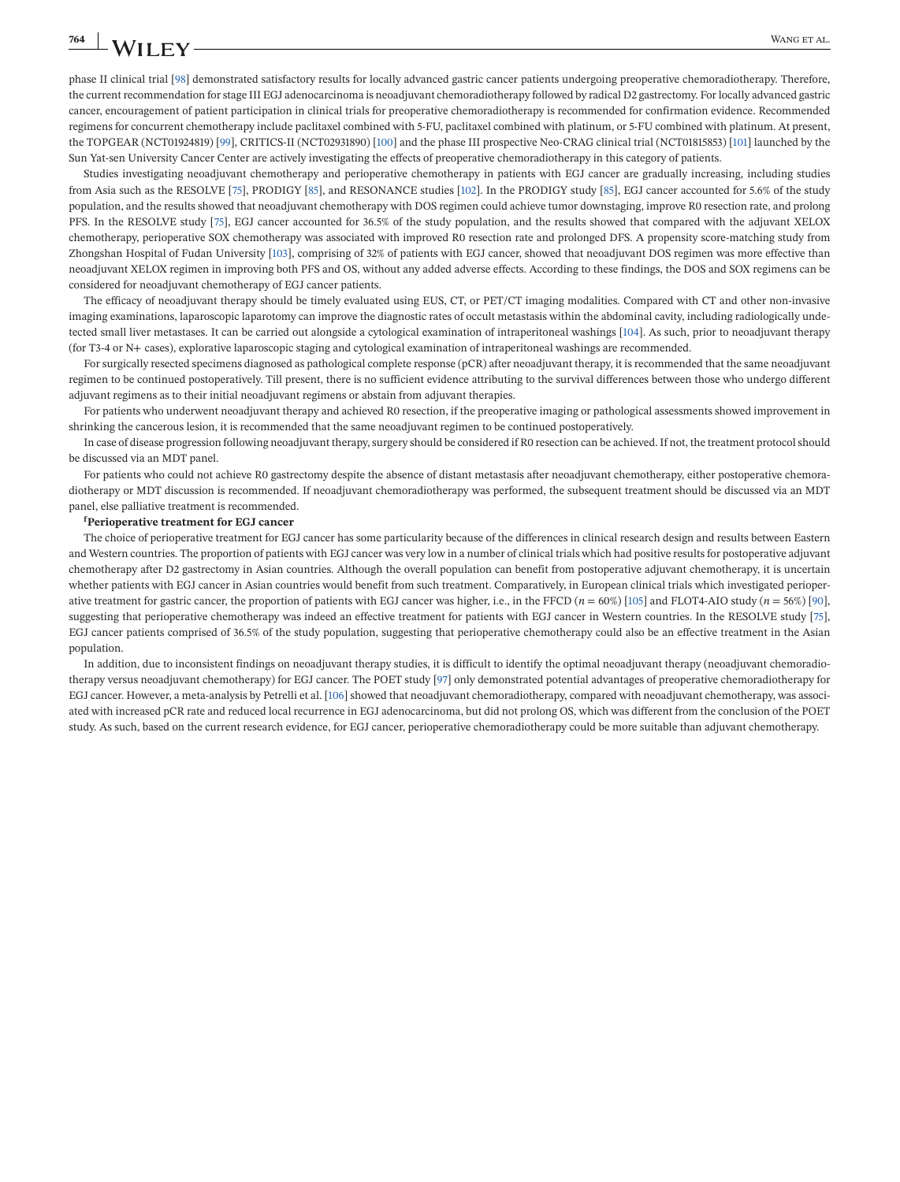phase II clinical trial [\[98\]](#page-42-0) demonstrated satisfactory results for locally advanced gastric cancer patients undergoing preoperative chemoradiotherapy. Therefore, the current recommendation for stage III EGJ adenocarcinoma is neoadjuvant chemoradiotherapy followed by radical D2 gastrectomy. For locally advanced gastric cancer, encouragement of patient participation in clinical trials for preoperative chemoradiotherapy is recommended for confirmation evidence. Recommended regimens for concurrent chemotherapy include paclitaxel combined with 5-FU, paclitaxel combined with platinum, or 5-FU combined with platinum. At present, the TOPGEAR (NCT01924819) [\[99\]](#page-42-0), CRITICS-II (NCT02931890) [\[100\]](#page-42-0) and the phase III prospective Neo-CRAG clinical trial (NCT01815853) [\[101\]](#page-42-0) launched by the Sun Yat-sen University Cancer Center are actively investigating the effects of preoperative chemoradiotherapy in this category of patients.

Studies investigating neoadjuvant chemotherapy and perioperative chemotherapy in patients with EGJ cancer are gradually increasing, including studies from Asia such as the RESOLVE [\[75\]](#page-41-0), PRODIGY [\[85\]](#page-41-0), and RESONANCE studies [\[102\]](#page-42-0). In the PRODIGY study [\[85\]](#page-41-0), EGJ cancer accounted for 5.6% of the study population, and the results showed that neoadjuvant chemotherapy with DOS regimen could achieve tumor downstaging, improve R0 resection rate, and prolong PFS. In the RESOLVE study [\[75\]](#page-41-0), EGJ cancer accounted for 36.5% of the study population, and the results showed that compared with the adjuvant XELOX chemotherapy, perioperative SOX chemotherapy was associated with improved R0 resection rate and prolonged DFS. A propensity score-matching study from Zhongshan Hospital of Fudan University [\[103\]](#page-42-0), comprising of 32% of patients with EGJ cancer, showed that neoadjuvant DOS regimen was more effective than neoadjuvant XELOX regimen in improving both PFS and OS, without any added adverse effects. According to these findings, the DOS and SOX regimens can be considered for neoadjuvant chemotherapy of EGJ cancer patients.

The efficacy of neoadjuvant therapy should be timely evaluated using EUS, CT, or PET/CT imaging modalities. Compared with CT and other non-invasive imaging examinations, laparoscopic laparotomy can improve the diagnostic rates of occult metastasis within the abdominal cavity, including radiologically undetected small liver metastases. It can be carried out alongside a cytological examination of intraperitoneal washings [\[104\]](#page-42-0). As such, prior to neoadjuvant therapy (for T3-4 or N+ cases), explorative laparoscopic staging and cytological examination of intraperitoneal washings are recommended.

For surgically resected specimens diagnosed as pathological complete response (pCR) after neoadjuvant therapy, it is recommended that the same neoadjuvant regimen to be continued postoperatively. Till present, there is no sufficient evidence attributing to the survival differences between those who undergo different adjuvant regimens as to their initial neoadjuvant regimens or abstain from adjuvant therapies.

For patients who underwent neoadjuvant therapy and achieved R0 resection, if the preoperative imaging or pathological assessments showed improvement in shrinking the cancerous lesion, it is recommended that the same neoadjuvant regimen to be continued postoperatively.

In case of disease progression following neoadjuvant therapy, surgery should be considered if R0 resection can be achieved. If not, the treatment protocol should be discussed via an MDT panel.

For patients who could not achieve R0 gastrectomy despite the absence of distant metastasis after neoadjuvant chemotherapy, either postoperative chemoradiotherapy or MDT discussion is recommended. If neoadjuvant chemoradiotherapy was performed, the subsequent treatment should be discussed via an MDT panel, else palliative treatment is recommended.

#### **f Perioperative treatment for EGJ cancer**

The choice of perioperative treatment for EGJ cancer has some particularity because of the differences in clinical research design and results between Eastern and Western countries. The proportion of patients with EGJ cancer was very low in a number of clinical trials which had positive results for postoperative adjuvant chemotherapy after D2 gastrectomy in Asian countries. Although the overall population can benefit from postoperative adjuvant chemotherapy, it is uncertain whether patients with EGJ cancer in Asian countries would benefit from such treatment. Comparatively, in European clinical trials which investigated perioperative treatment for gastric cancer, the proportion of patients with EGJ cancer was higher, i.e., in the FFCD  $(n = 60%)$  [\[105\]](#page-42-0) and FLOT4-AIO study  $(n = 56%)$  [\[90\]](#page-42-0), suggesting that perioperative chemotherapy was indeed an effective treatment for patients with EGJ cancer in Western countries. In the RESOLVE study [\[75\]](#page-41-0), EGJ cancer patients comprised of 36.5% of the study population, suggesting that perioperative chemotherapy could also be an effective treatment in the Asian population.

In addition, due to inconsistent findings on neoadjuvant therapy studies, it is difficult to identify the optimal neoadjuvant therapy (neoadjuvant chemoradiotherapy versus neoadjuvant chemotherapy) for EGJ cancer. The POET study [\[97\]](#page-42-0) only demonstrated potential advantages of preoperative chemoradiotherapy for EGJ cancer. However, a meta-analysis by Petrelli et al. [\[106\]](#page-42-0) showed that neoadjuvant chemoradiotherapy, compared with neoadjuvant chemotherapy, was associated with increased pCR rate and reduced local recurrence in EGJ adenocarcinoma, but did not prolong OS, which was different from the conclusion of the POET study. As such, based on the current research evidence, for EGJ cancer, perioperative chemoradiotherapy could be more suitable than adjuvant chemotherapy.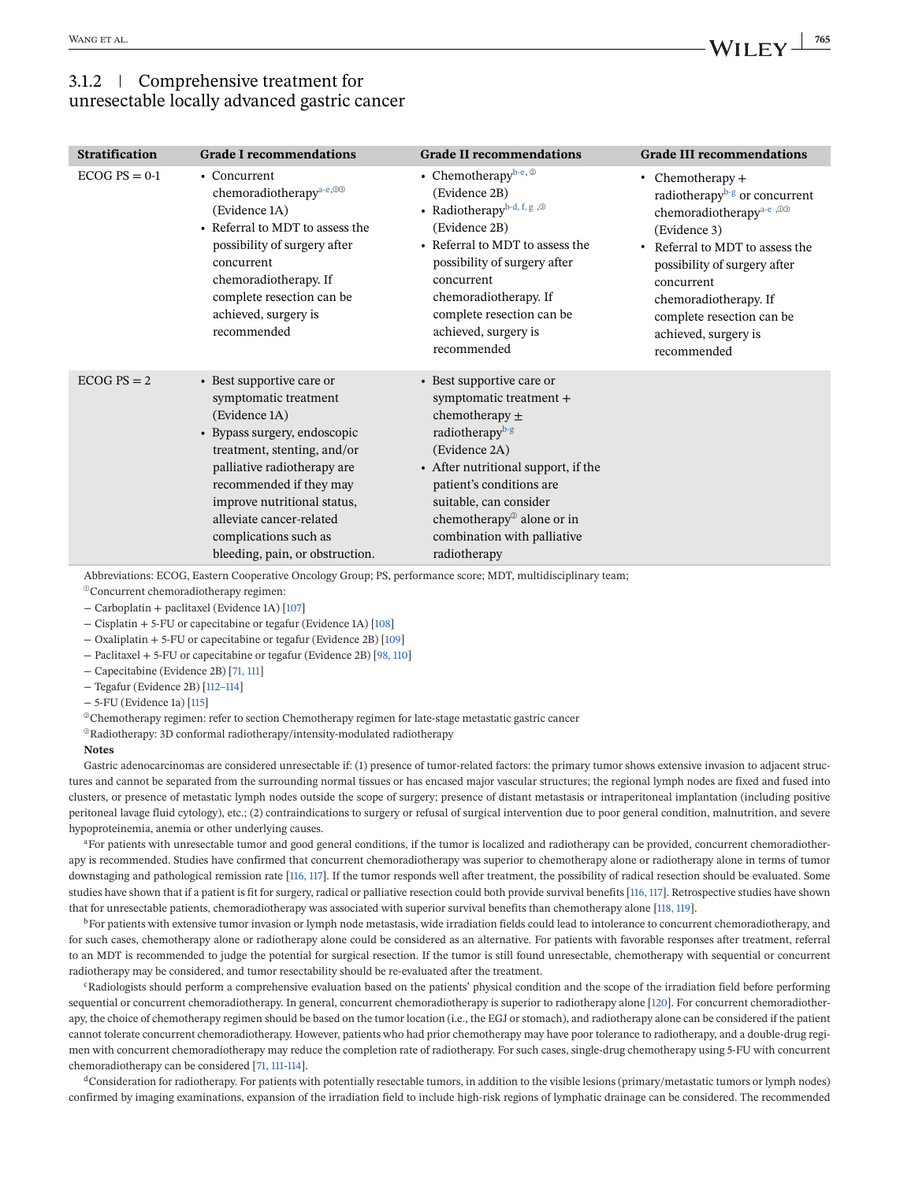### 3.1.2 Comprehensive treatment for unresectable locally advanced gastric cancer

| <b>Stratification</b> | <b>Grade I recommendations</b>                                                                                                                                                                                                                                                                                      | <b>Grade II recommendations</b>                                                                                                                                                                                                                                                                                 | <b>Grade III recommendations</b>                                                                                                                                                                                                                                                                      |
|-----------------------|---------------------------------------------------------------------------------------------------------------------------------------------------------------------------------------------------------------------------------------------------------------------------------------------------------------------|-----------------------------------------------------------------------------------------------------------------------------------------------------------------------------------------------------------------------------------------------------------------------------------------------------------------|-------------------------------------------------------------------------------------------------------------------------------------------------------------------------------------------------------------------------------------------------------------------------------------------------------|
| $ECOG PS = 0-1$       | • Concurrent<br>chemoradiotherapy <sup>a-e, 03</sup><br>(Evidence 1A)<br>• Referral to MDT to assess the<br>possibility of surgery after<br>concurrent<br>chemoradiotherapy. If<br>complete resection can be<br>achieved, surgery is<br>recommended                                                                 | • Chemotherapybe, $\circledcirc$<br>(Evidence 2B)<br>• Radiotherapyb-d, f, g , $\circledcirc$<br>(Evidence 2B)<br>• Referral to MDT to assess the<br>possibility of surgery after<br>concurrent<br>chemoradiotherapy. If<br>complete resection can be<br>achieved, surgery is<br>recommended                    | • Chemotherapy $+$<br>radiotherapy <sup>b-g</sup> or concurrent<br>chemoradiotherapy <sup>a-e, 00</sup><br>(Evidence 3)<br>• Referral to MDT to assess the<br>possibility of surgery after<br>concurrent<br>chemoradiotherapy. If<br>complete resection can be<br>achieved, surgery is<br>recommended |
| $ECOG PS = 2$         | • Best supportive care or<br>symptomatic treatment<br>(Evidence 1A)<br>• Bypass surgery, endoscopic<br>treatment, stenting, and/or<br>palliative radiotherapy are<br>recommended if they may<br>improve nutritional status,<br>alleviate cancer-related<br>complications such as<br>bleeding, pain, or obstruction. | • Best supportive care or<br>symptomatic treatment +<br>chemotherapy $\pm$<br>radiotherapy <sup>b-g</sup><br>(Evidence 2A)<br>• After nutritional support, if the<br>patient's conditions are<br>suitable, can consider<br>chemotherapy <sup>®</sup> alone or in<br>combination with palliative<br>radiotherapy |                                                                                                                                                                                                                                                                                                       |

Abbreviations: ECOG, Eastern Cooperative Oncology Group; PS, performance score; MDT, multidisciplinary team;

<sup>®</sup>Concurrent chemoradiotherapy regimen:

− Carboplatin + paclitaxel (Evidence 1A) [\[107\]](#page-42-0)

− Cisplatin + 5-FU or capecitabine or tegafur (Evidence 1A) [\[108\]](#page-42-0)

− Oxaliplatin + 5-FU or capecitabine or tegafur (Evidence 2B) [\[109\]](#page-42-0)

− Paclitaxel + 5-FU or capecitabine or tegafur (Evidence 2B) [\[98, 110\]](#page-42-0)

− Capecitabine (Evidence 2B) [\[71, 111\]](#page-41-0)

− Tegafur (Evidence 2B) [\[112–114\]](#page-42-0)

− 5-FU (Evidence 1a) [\[115\]](#page-43-0)

<sup>②</sup>Chemotherapy regimen: refer to section Chemotherapy regimen for late-stage metastatic gastric cancer

<sup>③</sup>Radiotherapy: 3D conformal radiotherapy/intensity-modulated radiotherapy

#### **Notes**

Gastric adenocarcinomas are considered unresectable if: (1) presence of tumor-related factors: the primary tumor shows extensive invasion to adjacent structures and cannot be separated from the surrounding normal tissues or has encased major vascular structures; the regional lymph nodes are fixed and fused into clusters, or presence of metastatic lymph nodes outside the scope of surgery; presence of distant metastasis or intraperitoneal implantation (including positive peritoneal lavage fluid cytology), etc.; (2) contraindications to surgery or refusal of surgical intervention due to poor general condition, malnutrition, and severe hypoproteinemia, anemia or other underlying causes.

<sup>a</sup>For patients with unresectable tumor and good general conditions, if the tumor is localized and radiotherapy can be provided, concurrent chemoradiotherapy is recommended. Studies have confirmed that concurrent chemoradiotherapy was superior to chemotherapy alone or radiotherapy alone in terms of tumor downstaging and pathological remission rate [\[116, 117\]](#page-43-0). If the tumor responds well after treatment, the possibility of radical resection should be evaluated. Some studies have shown that if a patient is fit for surgery, radical or palliative resection could both provide survival benefits [\[116, 117\]](#page-43-0). Retrospective studies have shown that for unresectable patients, chemoradiotherapy was associated with superior survival benefits than chemotherapy alone [\[118, 119\]](#page-43-0).

<sup>b</sup>For patients with extensive tumor invasion or lymph node metastasis, wide irradiation fields could lead to intolerance to concurrent chemoradiotherapy, and for such cases, chemotherapy alone or radiotherapy alone could be considered as an alternative. For patients with favorable responses after treatment, referral to an MDT is recommended to judge the potential for surgical resection. If the tumor is still found unresectable, chemotherapy with sequential or concurrent radiotherapy may be considered, and tumor resectability should be re-evaluated after the treatment.

cRadiologists should perform a comprehensive evaluation based on the patients' physical condition and the scope of the irradiation field before performing sequential or concurrent chemoradiotherapy. In general, concurrent chemoradiotherapy is superior to radiotherapy alone [\[120\]](#page-43-0). For concurrent chemoradiotherapy, the choice of chemotherapy regimen should be based on the tumor location (i.e., the EGJ or stomach), and radiotherapy alone can be considered if the patient cannot tolerate concurrent chemoradiotherapy. However, patients who had prior chemotherapy may have poor tolerance to radiotherapy, and a double-drug regimen with concurrent chemoradiotherapy may reduce the completion rate of radiotherapy. For such cases, single-drug chemotherapy using 5-FU with concurrent chemoradiotherapy can be considered [\[71, 111](#page-41-0)[-114\]](#page-43-0).

<sup>d</sup>Consideration for radiotherapy. For patients with potentially resectable tumors, in addition to the visible lesions (primary/metastatic tumors or lymph nodes) confirmed by imaging examinations, expansion of the irradiation field to include high-risk regions of lymphatic drainage can be considered. The recommended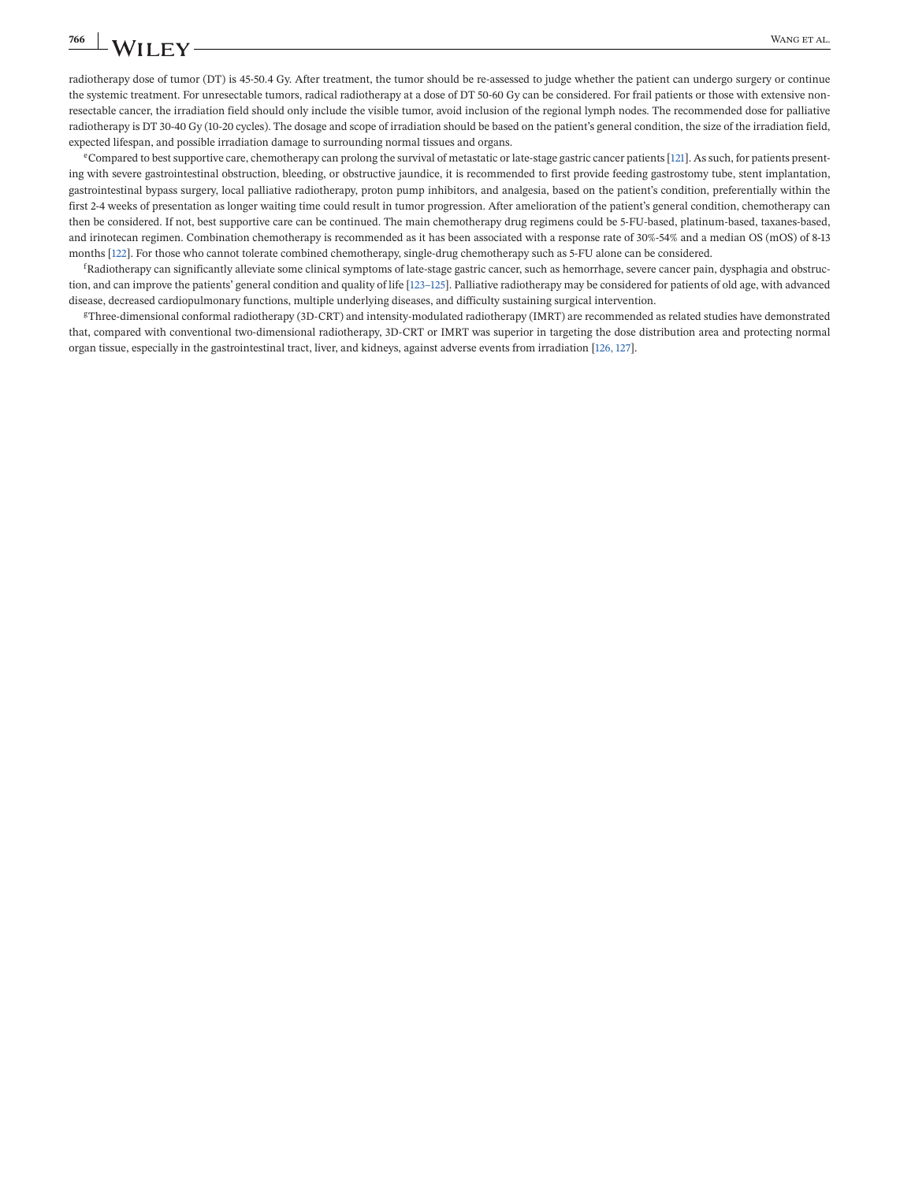radiotherapy dose of tumor (DT) is 45-50.4 Gy. After treatment, the tumor should be re-assessed to judge whether the patient can undergo surgery or continue the systemic treatment. For unresectable tumors, radical radiotherapy at a dose of DT 50-60 Gy can be considered. For frail patients or those with extensive nonresectable cancer, the irradiation field should only include the visible tumor, avoid inclusion of the regional lymph nodes. The recommended dose for palliative radiotherapy is DT 30-40 Gy (10-20 cycles). The dosage and scope of irradiation should be based on the patient's general condition, the size of the irradiation field, expected lifespan, and possible irradiation damage to surrounding normal tissues and organs.

eCompared to best supportive care, chemotherapy can prolong the survival of metastatic or late-stage gastric cancer patients [\[121\]](#page-43-0). As such, for patients presenting with severe gastrointestinal obstruction, bleeding, or obstructive jaundice, it is recommended to first provide feeding gastrostomy tube, stent implantation, gastrointestinal bypass surgery, local palliative radiotherapy, proton pump inhibitors, and analgesia, based on the patient's condition, preferentially within the first 2-4 weeks of presentation as longer waiting time could result in tumor progression. After amelioration of the patient's general condition, chemotherapy can then be considered. If not, best supportive care can be continued. The main chemotherapy drug regimens could be 5-FU-based, platinum-based, taxanes-based, and irinotecan regimen. Combination chemotherapy is recommended as it has been associated with a response rate of 30%-54% and a median OS (mOS) of 8-13 months [\[122\]](#page-43-0). For those who cannot tolerate combined chemotherapy, single-drug chemotherapy such as 5-FU alone can be considered.

f Radiotherapy can significantly alleviate some clinical symptoms of late-stage gastric cancer, such as hemorrhage, severe cancer pain, dysphagia and obstruction, and can improve the patients' general condition and quality of life [123-125]. Palliative radiotherapy may be considered for patients of old age, with advanced disease, decreased cardiopulmonary functions, multiple underlying diseases, and difficulty sustaining surgical intervention.

gThree-dimensional conformal radiotherapy (3D-CRT) and intensity-modulated radiotherapy (IMRT) are recommended as related studies have demonstrated that, compared with conventional two-dimensional radiotherapy, 3D-CRT or IMRT was superior in targeting the dose distribution area and protecting normal organ tissue, especially in the gastrointestinal tract, liver, and kidneys, against adverse events from irradiation [\[126, 127\]](#page-43-0).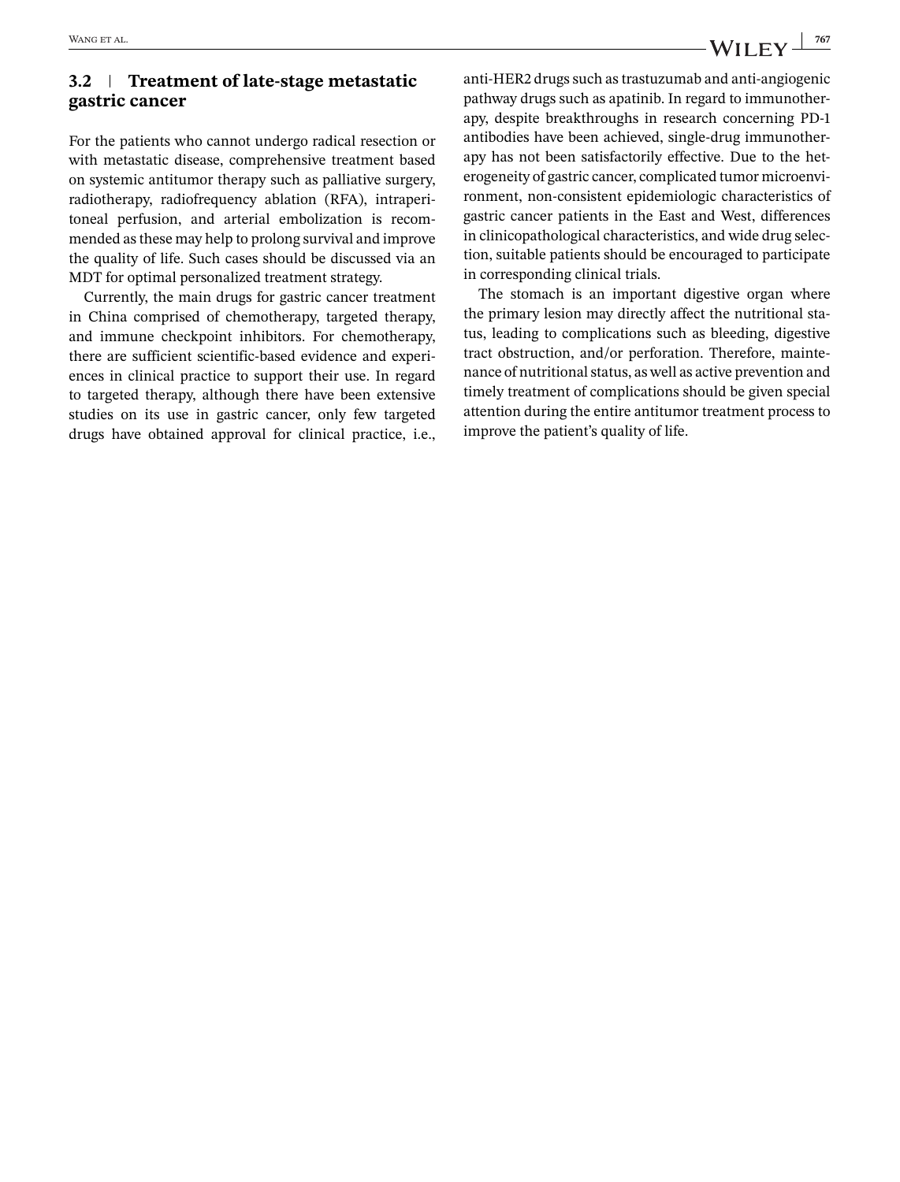### **3.2 Treatment of late-stage metastatic gastric cancer**

For the patients who cannot undergo radical resection or with metastatic disease, comprehensive treatment based on systemic antitumor therapy such as palliative surgery, radiotherapy, radiofrequency ablation (RFA), intraperitoneal perfusion, and arterial embolization is recommended as these may help to prolong survival and improve the quality of life. Such cases should be discussed via an MDT for optimal personalized treatment strategy.

Currently, the main drugs for gastric cancer treatment in China comprised of chemotherapy, targeted therapy, and immune checkpoint inhibitors. For chemotherapy, there are sufficient scientific-based evidence and experiences in clinical practice to support their use. In regard to targeted therapy, although there have been extensive studies on its use in gastric cancer, only few targeted drugs have obtained approval for clinical practice, i.e.,

anti-HER2 drugs such as trastuzumab and anti-angiogenic pathway drugs such as apatinib. In regard to immunotherapy, despite breakthroughs in research concerning PD-1 antibodies have been achieved, single-drug immunotherapy has not been satisfactorily effective. Due to the heterogeneity of gastric cancer, complicated tumor microenvironment, non-consistent epidemiologic characteristics of gastric cancer patients in the East and West, differences in clinicopathological characteristics, and wide drug selection, suitable patients should be encouraged to participate in corresponding clinical trials.

The stomach is an important digestive organ where the primary lesion may directly affect the nutritional status, leading to complications such as bleeding, digestive tract obstruction, and/or perforation. Therefore, maintenance of nutritional status, as well as active prevention and timely treatment of complications should be given special attention during the entire antitumor treatment process to improve the patient's quality of life.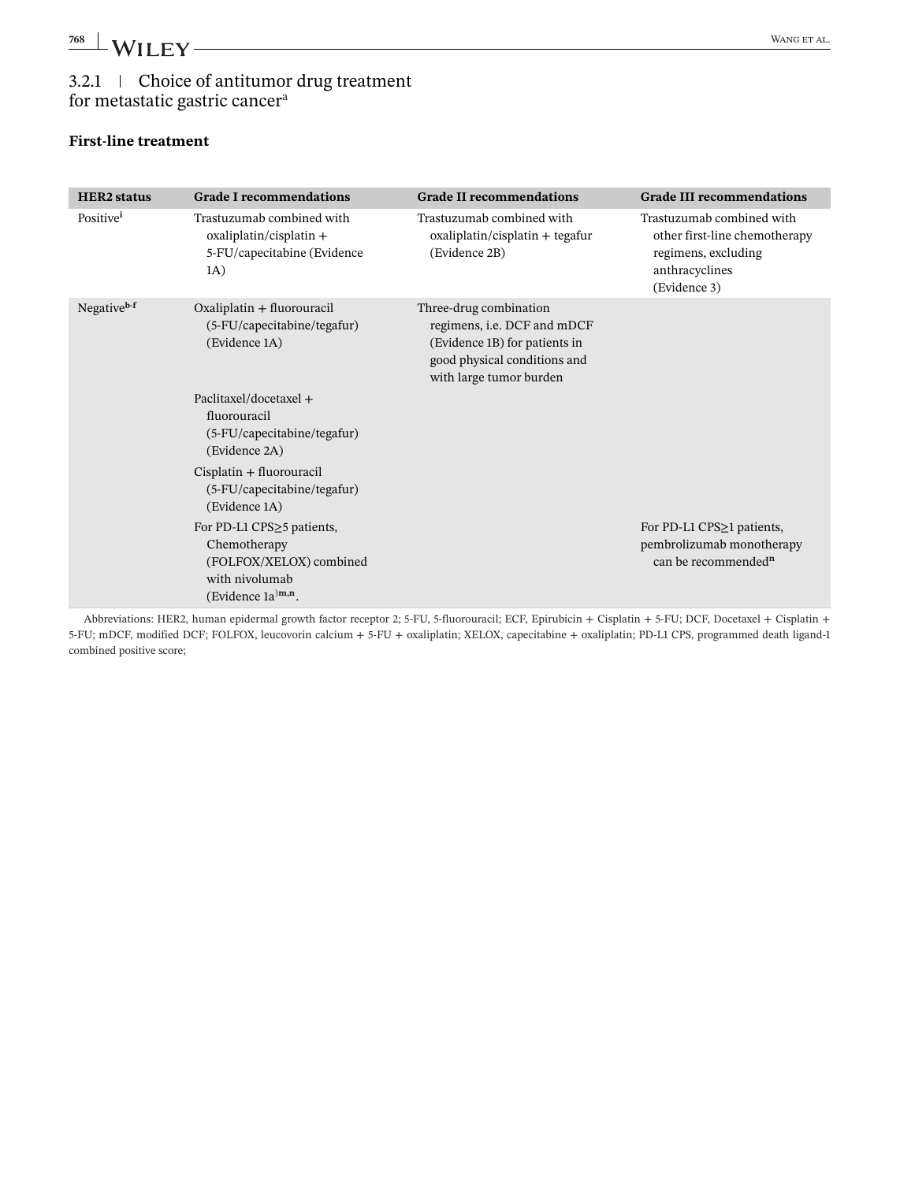# 3.2.1 Choice of antitumor drug treatment

## for metastatic gastric cancer<sup>a</sup>

### **First-line treatment**

| <b>HER2</b> status      | <b>Grade I recommendations</b>                                                                                    | <b>Grade II recommendations</b>                                                                                                                          | <b>Grade III recommendations</b>                                                                                    |
|-------------------------|-------------------------------------------------------------------------------------------------------------------|----------------------------------------------------------------------------------------------------------------------------------------------------------|---------------------------------------------------------------------------------------------------------------------|
| Positive <sup>i</sup>   | Trastuzumab combined with<br>$oxaliplation/cisplatin +$<br>5-FU/capecitabine (Evidence<br>1A)                     | Trastuzumab combined with<br>$oxaliplation/cisplatin + tegafur$<br>(Evidence 2B)                                                                         | Trastuzumab combined with<br>other first-line chemotherapy<br>regimens, excluding<br>anthracyclines<br>(Evidence 3) |
| Negative <sup>b-f</sup> | Oxaliplatin + fluorouracil<br>(5-FU/capecitabine/tegafur)<br>(Evidence 1A)                                        | Three-drug combination<br>regimens, <i>i.e.</i> DCF and mDCF<br>(Evidence 1B) for patients in<br>good physical conditions and<br>with large tumor burden |                                                                                                                     |
|                         | Paclitaxel/docetaxel +<br>fluorouracil<br>(5-FU/capecitabine/tegafur)<br>(Evidence 2A)                            |                                                                                                                                                          |                                                                                                                     |
|                         | Cisplatin + fluorouracil<br>(5-FU/capecitabine/tegafur)<br>(Evidence 1A)                                          |                                                                                                                                                          |                                                                                                                     |
|                         | For PD-L1 CPS≥5 patients,<br>Chemotherapy<br>(FOLFOX/XELOX) combined<br>with nivolumab<br>(Evidence $1a^{)m,n}$ . |                                                                                                                                                          | For PD-L1 CPS≥1 patients,<br>pembrolizumab monotherapy<br>can be recommended <sup>n</sup>                           |

Abbreviations: HER2, human epidermal growth factor receptor 2; 5-FU, 5-fluorouracil; ECF, Epirubicin + Cisplatin + 5-FU; DCF, Docetaxel + Cisplatin + 5-FU; mDCF, modified DCF; FOLFOX, leucovorin calcium + 5-FU + oxaliplatin; XELOX, capecitabine + oxaliplatin; PD-L1 CPS, programmed death ligand-1 combined positive score;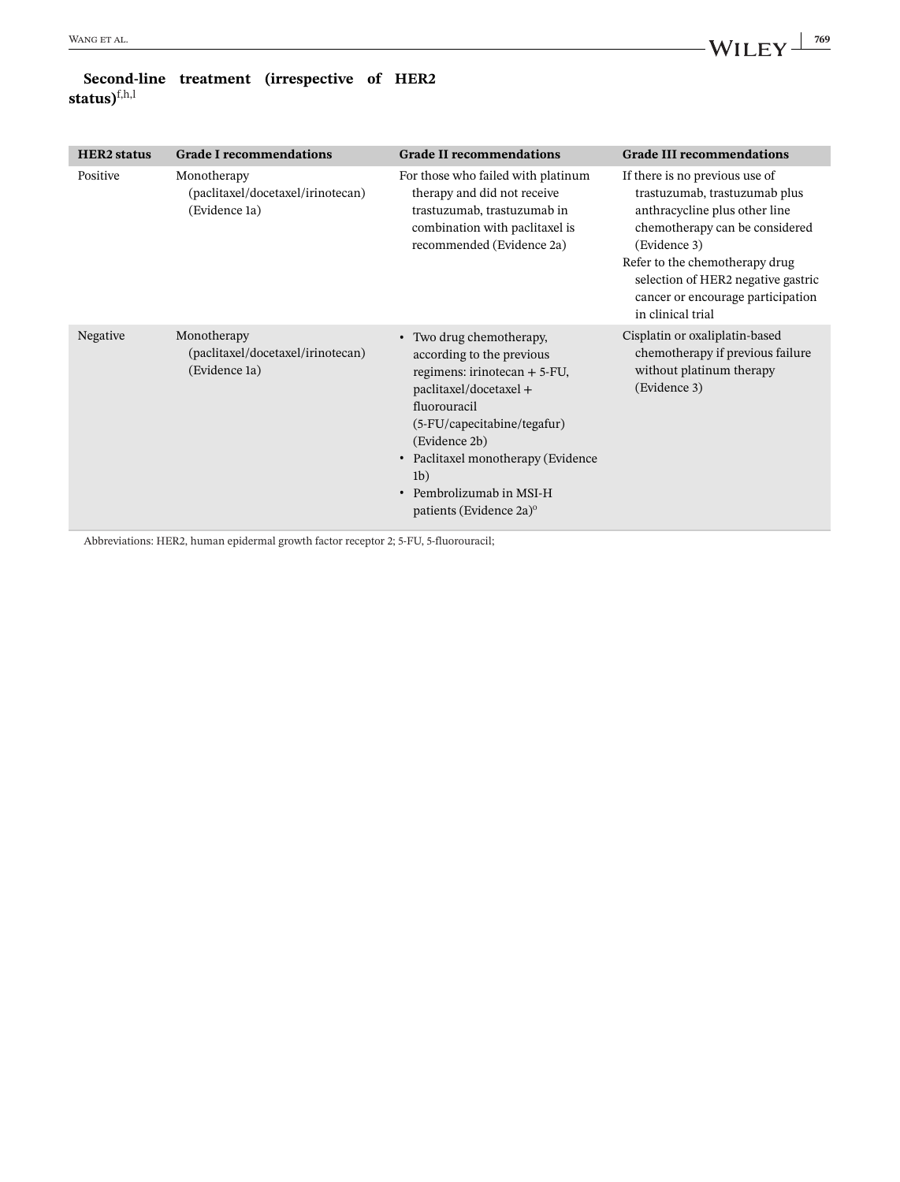### **Second-line treatment (irrespective of HER2 status)**f,h,l

| <b>HER2</b> status | <b>Grade I recommendations</b>                                    | <b>Grade II recommendations</b>                                                                                                                                                                                                                                                                              | <b>Grade III recommendations</b>                                                                                                                                                                                                                                                     |
|--------------------|-------------------------------------------------------------------|--------------------------------------------------------------------------------------------------------------------------------------------------------------------------------------------------------------------------------------------------------------------------------------------------------------|--------------------------------------------------------------------------------------------------------------------------------------------------------------------------------------------------------------------------------------------------------------------------------------|
| Positive           | Monotherapy<br>(paclitaxel/docetaxel/irinotecan)<br>(Evidence 1a) | For those who failed with platinum<br>therapy and did not receive<br>trastuzumab, trastuzumab in<br>combination with paclitaxel is<br>recommended (Evidence 2a)                                                                                                                                              | If there is no previous use of<br>trastuzumab, trastuzumab plus<br>anthracycline plus other line<br>chemotherapy can be considered<br>(Evidence 3)<br>Refer to the chemotherapy drug<br>selection of HER2 negative gastric<br>cancer or encourage participation<br>in clinical trial |
| Negative           | Monotherapy<br>(paclitaxel/docetaxel/irinotecan)<br>(Evidence 1a) | • Two drug chemotherapy,<br>according to the previous<br>regimens: irinotecan $+5$ -FU,<br>paclitaxel/docetaxel +<br>fluorouracil<br>(5-FU/capecitabine/tegafur)<br>(Evidence 2b)<br>• Paclitaxel monotherapy (Evidence<br>1 <sub>b</sub><br>• Pembrolizumab in MSI-H<br>patients (Evidence 2a) <sup>o</sup> | Cisplatin or oxaliplatin-based<br>chemotherapy if previous failure<br>without platinum therapy<br>(Evidence 3)                                                                                                                                                                       |

Abbreviations: HER2, human epidermal growth factor receptor 2; 5-FU, 5-fluorouracil;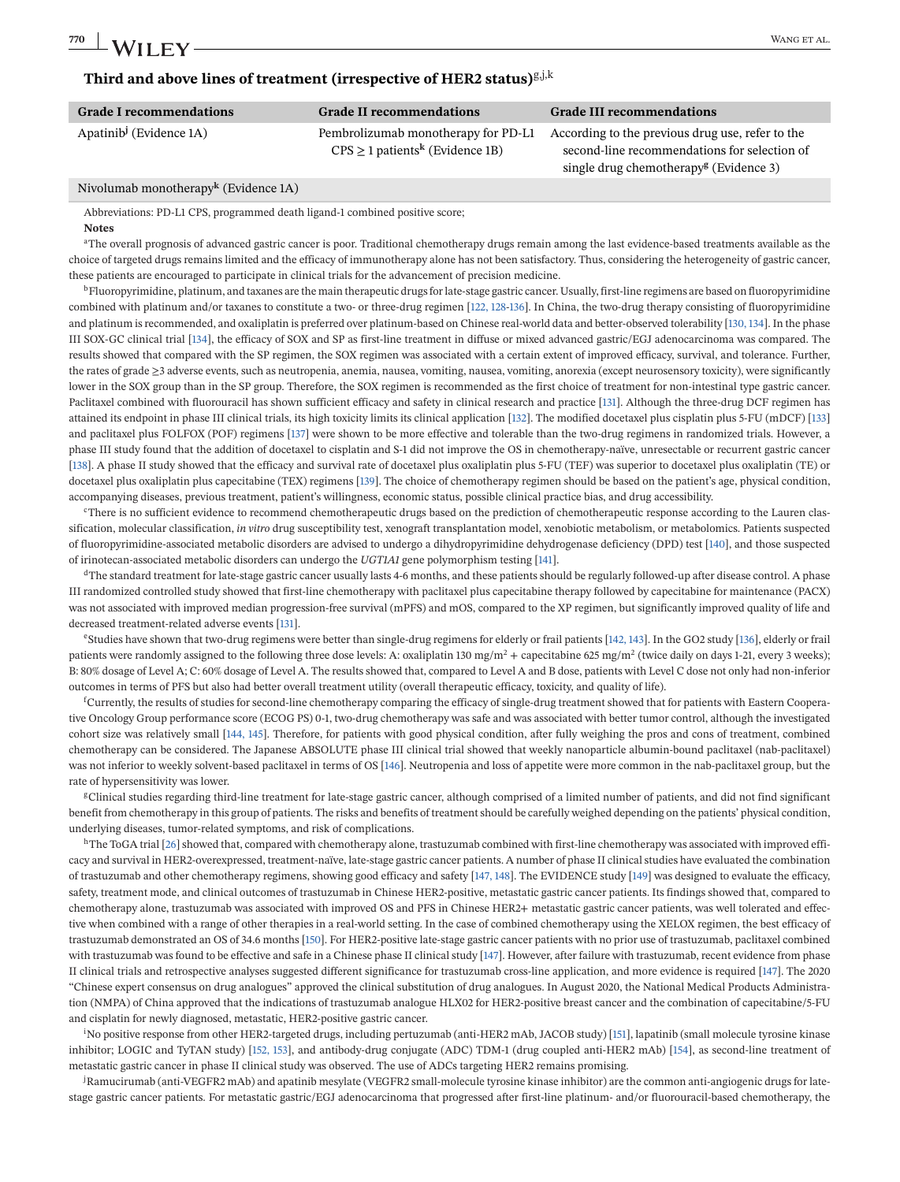| <b>Grade I recommendations</b>      | <b>Grade II recommendations</b>                 | <b>Grade III recommendations</b>                   |
|-------------------------------------|-------------------------------------------------|----------------------------------------------------|
| Apatinib <sup>j</sup> (Evidence 1A) | Pembrolizumab monotherapy for PD-L1             | According to the previous drug use, refer to the   |
|                                     | $CPS \ge 1$ patients <sup>k</sup> (Evidence 1B) | second-line recommendations for selection of       |
|                                     |                                                 | single drug chemotherapy <sup>g</sup> (Evidence 3) |

#### Nivolumab monotherapy**<sup>k</sup>** (Evidence 1A)

Abbreviations: PD-L1 CPS, programmed death ligand-1 combined positive score;

#### **Notes**

<sup>a</sup>The overall prognosis of advanced gastric cancer is poor. Traditional chemotherapy drugs remain among the last evidence-based treatments available as the choice of targeted drugs remains limited and the efficacy of immunotherapy alone has not been satisfactory. Thus, considering the heterogeneity of gastric cancer, these patients are encouraged to participate in clinical trials for the advancement of precision medicine.

 $^{\rm b}$ Fluoropyrimidine, platinum, and taxanes are the main therapeutic drugs for late-stage gastric cancer. Usually, first-line regimens are based on fluoropyrimidine combined with platinum and/or taxanes to constitute a two- or three-drug regimen [\[122, 128-136\]](#page-43-0). In China, the two-drug therapy consisting of fluoropyrimidine and platinum is recommended, and oxaliplatin is preferred over platinum-based on Chinese real-world data and better-observed tolerability [\[130, 134\]](#page-43-0). In the phase III SOX-GC clinical trial [\[134\]](#page-43-0), the efficacy of SOX and SP as first-line treatment in diffuse or mixed advanced gastric/EGJ adenocarcinoma was compared. The results showed that compared with the SP regimen, the SOX regimen was associated with a certain extent of improved efficacy, survival, and tolerance. Further, the rates of grade ≥3 adverse events, such as neutropenia, anemia, nausea, vomiting, nausea, vomiting, anorexia (except neurosensory toxicity), were significantly lower in the SOX group than in the SP group. Therefore, the SOX regimen is recommended as the first choice of treatment for non-intestinal type gastric cancer. Paclitaxel combined with fluorouracil has shown sufficient efficacy and safety in clinical research and practice [\[131\]](#page-43-0). Although the three-drug DCF regimen has attained its endpoint in phase III clinical trials, its high toxicity limits its clinical application [\[132\]](#page-43-0). The modified docetaxel plus cisplatin plus 5-FU (mDCF) [\[133\]](#page-43-0) and paclitaxel plus FOLFOX (POF) regimens [\[137\]](#page-43-0) were shown to be more effective and tolerable than the two-drug regimens in randomized trials. However, a phase III study found that the addition of docetaxel to cisplatin and S-1 did not improve the OS in chemotherapy-naïve, unresectable or recurrent gastric cancer [\[138\]](#page-43-0). A phase II study showed that the efficacy and survival rate of docetaxel plus oxaliplatin plus 5-FU (TEF) was superior to docetaxel plus oxaliplatin (TE) or docetaxel plus oxaliplatin plus capecitabine (TEX) regimens [\[139\]](#page-43-0). The choice of chemotherapy regimen should be based on the patient's age, physical condition, accompanying diseases, previous treatment, patient's willingness, economic status, possible clinical practice bias, and drug accessibility.

cThere is no sufficient evidence to recommend chemotherapeutic drugs based on the prediction of chemotherapeutic response according to the Lauren classification, molecular classification, *in vitro* drug susceptibility test, xenograft transplantation model, xenobiotic metabolism, or metabolomics. Patients suspected of fluoropyrimidine-associated metabolic disorders are advised to undergo a dihydropyrimidine dehydrogenase deficiency (DPD) test [\[140\]](#page-44-0), and those suspected of irinotecan-associated metabolic disorders can undergo the *UGT1A1* gene polymorphism testing [\[141\]](#page-44-0).

<sup>d</sup>The standard treatment for late-stage gastric cancer usually lasts 4-6 months, and these patients should be regularly followed-up after disease control. A phase III randomized controlled study showed that first-line chemotherapy with paclitaxel plus capecitabine therapy followed by capecitabine for maintenance (PACX) was not associated with improved median progression-free survival (mPFS) and mOS, compared to the XP regimen, but significantly improved quality of life and decreased treatment-related adverse events [\[131\]](#page-43-0).

eStudies have shown that two-drug regimens were better than single-drug regimens for elderly or frail patients [\[142, 143\]](#page-44-0). In the GO2 study [\[136\]](#page-43-0), elderly or frail patients were randomly assigned to the following three dose levels: A: oxaliplatin 130 mg/m<sup>2</sup> + capecitabine 625 mg/m<sup>2</sup> (twice daily on days 1-21, every 3 weeks); B: 80% dosage of Level A; C: 60% dosage of Level A. The results showed that, compared to Level A and B dose, patients with Level C dose not only had non-inferior outcomes in terms of PFS but also had better overall treatment utility (overall therapeutic efficacy, toxicity, and quality of life).

f Currently, the results of studies for second-line chemotherapy comparing the efficacy of single-drug treatment showed that for patients with Eastern Cooperative Oncology Group performance score (ECOG PS) 0-1, two-drug chemotherapy was safe and was associated with better tumor control, although the investigated cohort size was relatively small [\[144, 145\]](#page-44-0). Therefore, for patients with good physical condition, after fully weighing the pros and cons of treatment, combined chemotherapy can be considered. The Japanese ABSOLUTE phase III clinical trial showed that weekly nanoparticle albumin-bound paclitaxel (nab-paclitaxel) was not inferior to weekly solvent-based paclitaxel in terms of OS [\[146\]](#page-44-0). Neutropenia and loss of appetite were more common in the nab-paclitaxel group, but the rate of hypersensitivity was lower.

<sup>g</sup>Clinical studies regarding third-line treatment for late-stage gastric cancer, although comprised of a limited number of patients, and did not find significant benefit from chemotherapy in this group of patients. The risks and benefits of treatment should be carefully weighed depending on the patients' physical condition, underlying diseases, tumor-related symptoms, and risk of complications.

 $h$ The ToGA trial [\[26\]](#page-39-0) showed that, compared with chemotherapy alone, trastuzumab combined with first-line chemotherapy was associated with improved efficacy and survival in HER2-overexpressed, treatment-naïve, late-stage gastric cancer patients. A number of phase II clinical studies have evaluated the combination of trastuzumab and other chemotherapy regimens, showing good efficacy and safety [\[147, 148\]](#page-44-0). The EVIDENCE study [\[149\]](#page-44-0) was designed to evaluate the efficacy, safety, treatment mode, and clinical outcomes of trastuzumab in Chinese HER2-positive, metastatic gastric cancer patients. Its findings showed that, compared to chemotherapy alone, trastuzumab was associated with improved OS and PFS in Chinese HER2+ metastatic gastric cancer patients, was well tolerated and effective when combined with a range of other therapies in a real-world setting. In the case of combined chemotherapy using the XELOX regimen, the best efficacy of trastuzumab demonstrated an OS of 34.6 months [\[150\]](#page-44-0). For HER2-positive late-stage gastric cancer patients with no prior use of trastuzumab, paclitaxel combined with trastuzumab was found to be effective and safe in a Chinese phase II clinical study [\[147\]](#page-44-0). However, after failure with trastuzumab, recent evidence from phase II clinical trials and retrospective analyses suggested different significance for trastuzumab cross-line application, and more evidence is required [\[147\]](#page-44-0). The 2020 "Chinese expert consensus on drug analogues" approved the clinical substitution of drug analogues. In August 2020, the National Medical Products Administration (NMPA) of China approved that the indications of trastuzumab analogue HLX02 for HER2-positive breast cancer and the combination of capecitabine/5-FU and cisplatin for newly diagnosed, metastatic, HER2-positive gastric cancer.

i No positive response from other HER2-targeted drugs, including pertuzumab (anti-HER2 mAb, JACOB study) [\[151\]](#page-44-0), lapatinib (small molecule tyrosine kinase inhibitor; LOGIC and TyTAN study) [\[152, 153\]](#page-44-0), and antibody-drug conjugate (ADC) TDM-1 (drug coupled anti-HER2 mAb) [\[154\]](#page-44-0), as second-line treatment of metastatic gastric cancer in phase II clinical study was observed. The use of ADCs targeting HER2 remains promising.

j Ramucirumab (anti-VEGFR2 mAb) and apatinib mesylate (VEGFR2 small-molecule tyrosine kinase inhibitor) are the common anti-angiogenic drugs for latestage gastric cancer patients. For metastatic gastric/EGJ adenocarcinoma that progressed after first-line platinum- and/or fluorouracil-based chemotherapy, the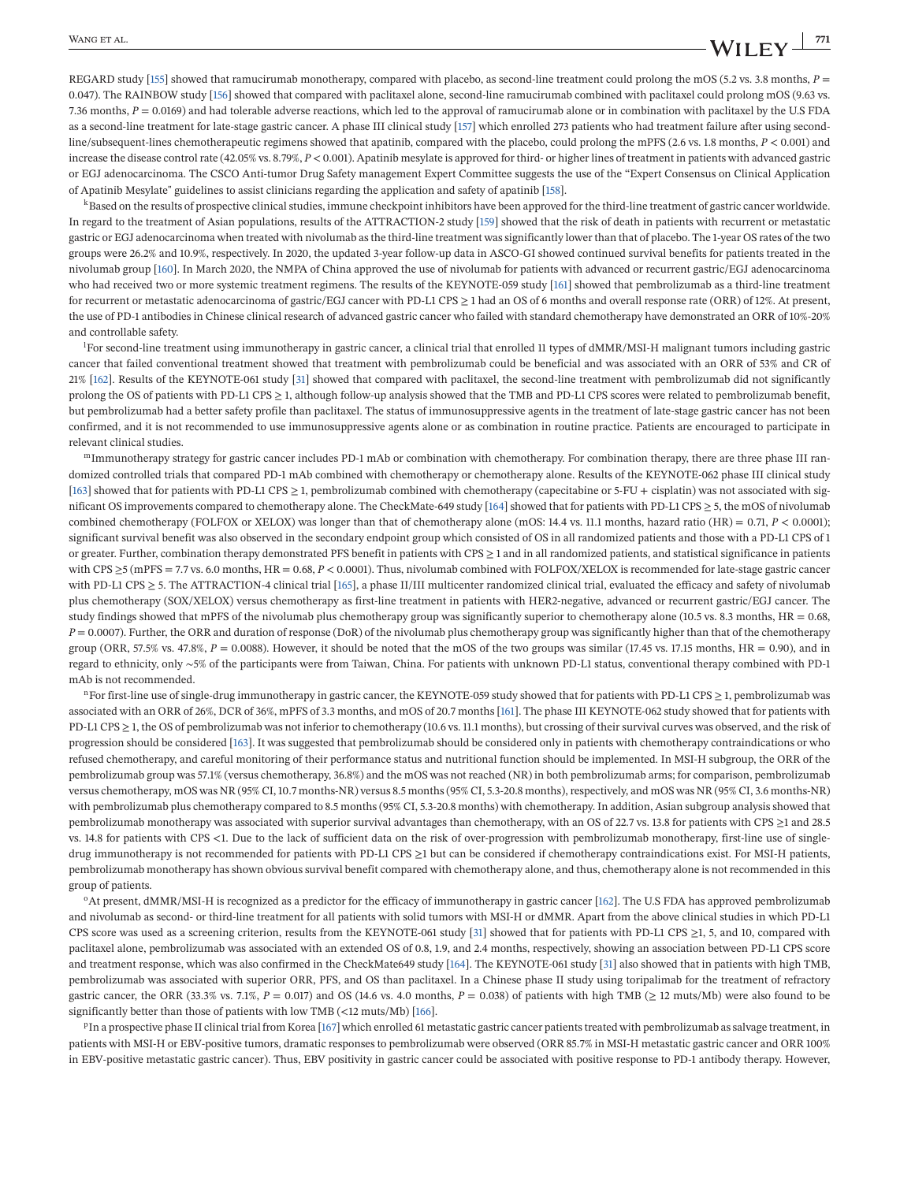REGARD study [\[155\]](#page-44-0) showed that ramucirumab monotherapy, compared with placebo, as second-line treatment could prolong the mOS (5.2 vs. 3.8 months,  $P =$ 0.047). The RAINBOW study [\[156\]](#page-44-0) showed that compared with paclitaxel alone, second-line ramucirumab combined with paclitaxel could prolong mOS (9.63 vs. 7.36 months, *P* = 0.0169) and had tolerable adverse reactions, which led to the approval of ramucirumab alone or in combination with paclitaxel by the U.S FDA as a second-line treatment for late-stage gastric cancer. A phase III clinical study [\[157\]](#page-44-0) which enrolled 273 patients who had treatment failure after using secondline/subsequent-lines chemotherapeutic regimens showed that apatinib, compared with the placebo, could prolong the mPFS (2.6 vs. 1.8 months, *P* < 0.001) and increase the disease control rate (42.05% vs. 8.79%, *P* < 0.001). Apatinib mesylate is approved for third- or higher lines of treatment in patients with advanced gastric or EGJ adenocarcinoma. The CSCO Anti-tumor Drug Safety management Expert Committee suggests the use of the "Expert Consensus on Clinical Application of Apatinib Mesylate" guidelines to assist clinicians regarding the application and safety of apatinib [\[158\]](#page-44-0).

<sup>k</sup>Based on the results of prospective clinical studies, immune checkpoint inhibitors have been approved for the third-line treatment of gastric cancer worldwide. In regard to the treatment of Asian populations, results of the ATTRACTION-2 study [\[159\]](#page-44-0) showed that the risk of death in patients with recurrent or metastatic gastric or EGJ adenocarcinoma when treated with nivolumab as the third-line treatment was significantly lower than that of placebo. The 1-year OS rates of the two groups were 26.2% and 10.9%, respectively. In 2020, the updated 3-year follow-up data in ASCO-GI showed continued survival benefits for patients treated in the nivolumab group [\[160\]](#page-44-0). In March 2020, the NMPA of China approved the use of nivolumab for patients with advanced or recurrent gastric/EGJ adenocarcinoma who had received two or more systemic treatment regimens. The results of the KEYNOTE-059 study [\[161\]](#page-44-0) showed that pembrolizumab as a third-line treatment for recurrent or metastatic adenocarcinoma of gastric/EGJ cancer with PD-L1 CPS  $\geq$  1 had an OS of 6 months and overall response rate (ORR) of 12%. At present, the use of PD-1 antibodies in Chinese clinical research of advanced gastric cancer who failed with standard chemotherapy have demonstrated an ORR of 10%-20% and controllable safety.

l For second-line treatment using immunotherapy in gastric cancer, a clinical trial that enrolled 11 types of dMMR/MSI-H malignant tumors including gastric cancer that failed conventional treatment showed that treatment with pembrolizumab could be beneficial and was associated with an ORR of 53% and CR of 21% [\[162\]](#page-44-0). Results of the KEYNOTE-061 study [\[31\]](#page-39-0) showed that compared with paclitaxel, the second-line treatment with pembrolizumab did not significantly prolong the OS of patients with PD-L1 CPS ≥ 1, although follow-up analysis showed that the TMB and PD-L1 CPS scores were related to pembrolizumab benefit, but pembrolizumab had a better safety profile than paclitaxel. The status of immunosuppressive agents in the treatment of late-stage gastric cancer has not been confirmed, and it is not recommended to use immunosuppressive agents alone or as combination in routine practice. Patients are encouraged to participate in relevant clinical studies.

mImmunotherapy strategy for gastric cancer includes PD-1 mAb or combination with chemotherapy. For combination therapy, there are three phase III randomized controlled trials that compared PD-1 mAb combined with chemotherapy or chemotherapy alone. Results of the KEYNOTE-062 phase III clinical study [\[163\]](#page-44-0) showed that for patients with PD-L1 CPS ≥ 1, pembrolizumab combined with chemotherapy (capecitabine or 5-FU + cisplatin) was not associated with significant OS improvements compared to chemotherapy alone. The CheckMate-649 study [\[164\]](#page-45-0) showed that for patients with PD-L1 CPS ≥ 5, the mOS of nivolumab combined chemotherapy (FOLFOX or XELOX) was longer than that of chemotherapy alone (mOS: 14.4 vs. 11.1 months, hazard ratio (HR) = 0.71, *P* < 0.0001); significant survival benefit was also observed in the secondary endpoint group which consisted of OS in all randomized patients and those with a PD-L1 CPS of 1 or greater. Further, combination therapy demonstrated PFS benefit in patients with CPS ≥ 1 and in all randomized patients, and statistical significance in patients with CPS ≥5 (mPFS = 7.7 vs. 6.0 months, HR = 0.68, *P* < 0.0001). Thus, nivolumab combined with FOLFOX/XELOX is recommended for late-stage gastric cancer with PD-L1 CPS  $\geq$  5. The ATTRACTION-4 clinical trial [\[165\]](#page-45-0), a phase II/III multicenter randomized clinical trial, evaluated the efficacy and safety of nivolumab plus chemotherapy (SOX/XELOX) versus chemotherapy as first-line treatment in patients with HER2-negative, advanced or recurrent gastric/EGJ cancer. The study findings showed that mPFS of the nivolumab plus chemotherapy group was significantly superior to chemotherapy alone (10.5 vs. 8.3 months,  $HR = 0.68$ , *P* = 0.0007). Further, the ORR and duration of response (DoR) of the nivolumab plus chemotherapy group was significantly higher than that of the chemotherapy group (ORR, 57.5% vs. 47.8%,  $P = 0.0088$ ). However, it should be noted that the mOS of the two groups was similar (17.45 vs. 17.15 months, HR = 0.90), and in regard to ethnicity, only ∼5% of the participants were from Taiwan, China. For patients with unknown PD-L1 status, conventional therapy combined with PD-1 mAb is not recommended.

<sup>n</sup>For first-line use of single-drug immunotherapy in gastric cancer, the KEYNOTE-059 study showed that for patients with PD-L1 CPS ≥ 1, pembrolizumab was associated with an ORR of 26%, DCR of 36%, mPFS of 3.3 months, and mOS of 20.7 months [\[161\]](#page-44-0). The phase III KEYNOTE-062 study showed that for patients with PD-L1 CPS ≥ 1, the OS of pembrolizumab was not inferior to chemotherapy (10.6 vs. 11.1 months), but crossing of their survival curves was observed, and the risk of progression should be considered [\[163\]](#page-44-0). It was suggested that pembrolizumab should be considered only in patients with chemotherapy contraindications or who refused chemotherapy, and careful monitoring of their performance status and nutritional function should be implemented. In MSI-H subgroup, the ORR of the pembrolizumab group was 57.1% (versus chemotherapy, 36.8%) and the mOS was not reached (NR) in both pembrolizumab arms; for comparison, pembrolizumab versus chemotherapy, mOS was NR (95% CI, 10.7 months-NR) versus 8.5 months (95% CI, 5.3-20.8 months), respectively, and mOS was NR (95% CI, 3.6 months-NR) with pembrolizumab plus chemotherapy compared to 8.5 months (95% CI, 5.3-20.8 months) with chemotherapy. In addition, Asian subgroup analysis showed that pembrolizumab monotherapy was associated with superior survival advantages than chemotherapy, with an OS of 22.7 vs. 13.8 for patients with CPS ≥1 and 28.5 vs. 14.8 for patients with CPS <1. Due to the lack of sufficient data on the risk of over-progression with pembrolizumab monotherapy, first-line use of singledrug immunotherapy is not recommended for patients with PD-L1 CPS ≥1 but can be considered if chemotherapy contraindications exist. For MSI-H patients, pembrolizumab monotherapy has shown obvious survival benefit compared with chemotherapy alone, and thus, chemotherapy alone is not recommended in this group of patients.

<sup>o</sup>At present, dMMR/MSI-H is recognized as a predictor for the efficacy of immunotherapy in gastric cancer [\[162\]](#page-44-0). The U.S FDA has approved pembrolizumab and nivolumab as second- or third-line treatment for all patients with solid tumors with MSI-H or dMMR. Apart from the above clinical studies in which PD-L1 CPS score was used as a screening criterion, results from the KEYNOTE-061 study [\[31\]](#page-39-0) showed that for patients with PD-L1 CPS ≥1, 5, and 10, compared with paclitaxel alone, pembrolizumab was associated with an extended OS of 0.8, 1.9, and 2.4 months, respectively, showing an association between PD-L1 CPS score and treatment response, which was also confirmed in the CheckMate649 study [\[164\]](#page-45-0). The KEYNOTE-061 study [\[31\]](#page-39-0) also showed that in patients with high TMB, pembrolizumab was associated with superior ORR, PFS, and OS than paclitaxel. In a Chinese phase II study using toripalimab for the treatment of refractory gastric cancer, the ORR (33.3% vs. 7.1%,  $P = 0.017$ ) and OS (14.6 vs. 4.0 months,  $P = 0.038$ ) of patients with high TMB ( $\geq$  12 muts/Mb) were also found to be significantly better than those of patients with low TMB (<12 muts/Mb) [\[166\]](#page-45-0).

<sup>p</sup>In a prospective phase II clinical trial from Korea [\[167\]](#page-45-0) which enrolled 61 metastatic gastric cancer patients treated with pembrolizumab as salvage treatment, in patients with MSI-H or EBV-positive tumors, dramatic responses to pembrolizumab were observed (ORR 85.7% in MSI-H metastatic gastric cancer and ORR 100% in EBV-positive metastatic gastric cancer). Thus, EBV positivity in gastric cancer could be associated with positive response to PD-1 antibody therapy. However,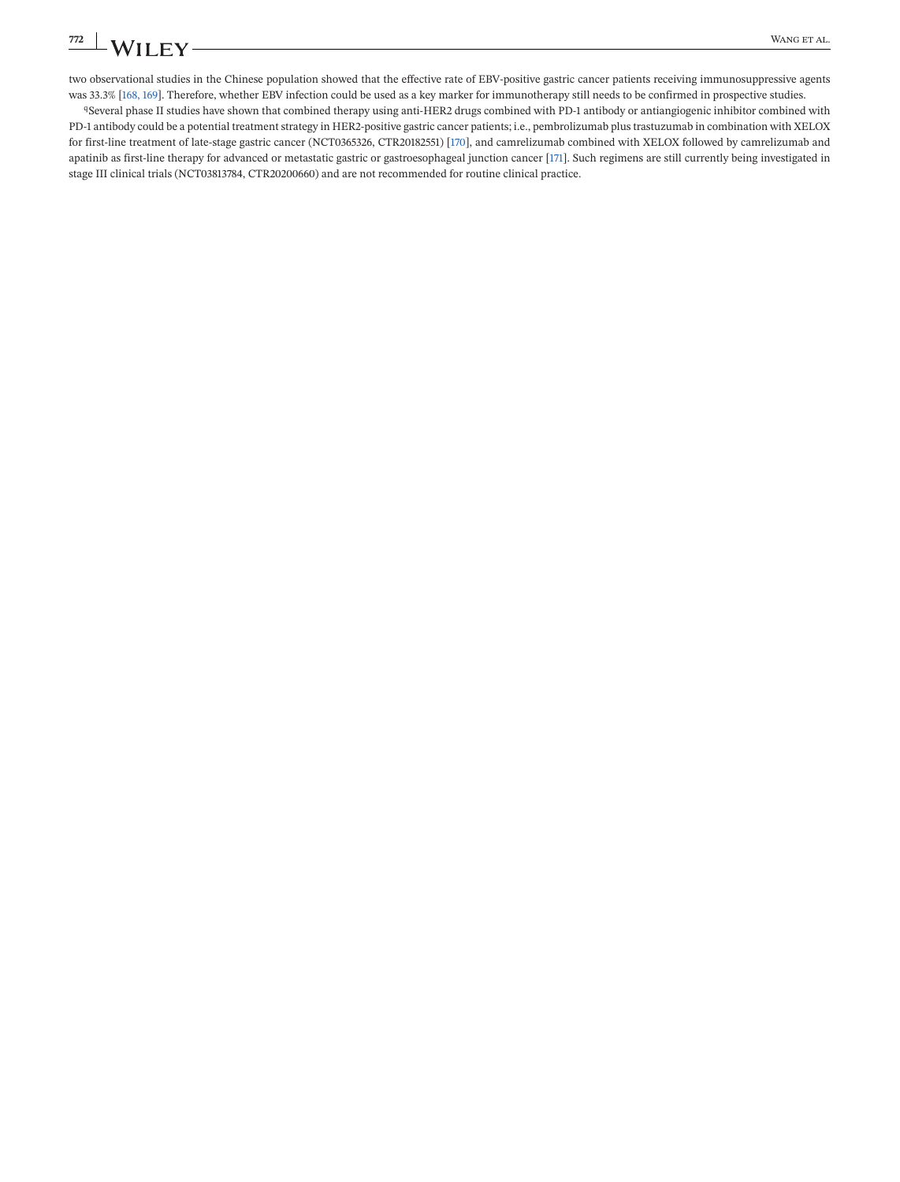two observational studies in the Chinese population showed that the effective rate of EBV-positive gastric cancer patients receiving immunosuppressive agents was 33.3% [\[168, 169\]](#page-45-0). Therefore, whether EBV infection could be used as a key marker for immunotherapy still needs to be confirmed in prospective studies.

qSeveral phase II studies have shown that combined therapy using anti-HER2 drugs combined with PD-1 antibody or antiangiogenic inhibitor combined with PD-1 antibody could be a potential treatment strategy in HER2-positive gastric cancer patients; i.e., pembrolizumab plus trastuzumab in combination with XELOX for first-line treatment of late-stage gastric cancer (NCT0365326, CTR20182551) [\[170\]](#page-45-0), and camrelizumab combined with XELOX followed by camrelizumab and apatinib as first-line therapy for advanced or metastatic gastric or gastroesophageal junction cancer [\[171\]](#page-45-0). Such regimens are still currently being investigated in stage III clinical trials (NCT03813784, CTR20200660) and are not recommended for routine clinical practice.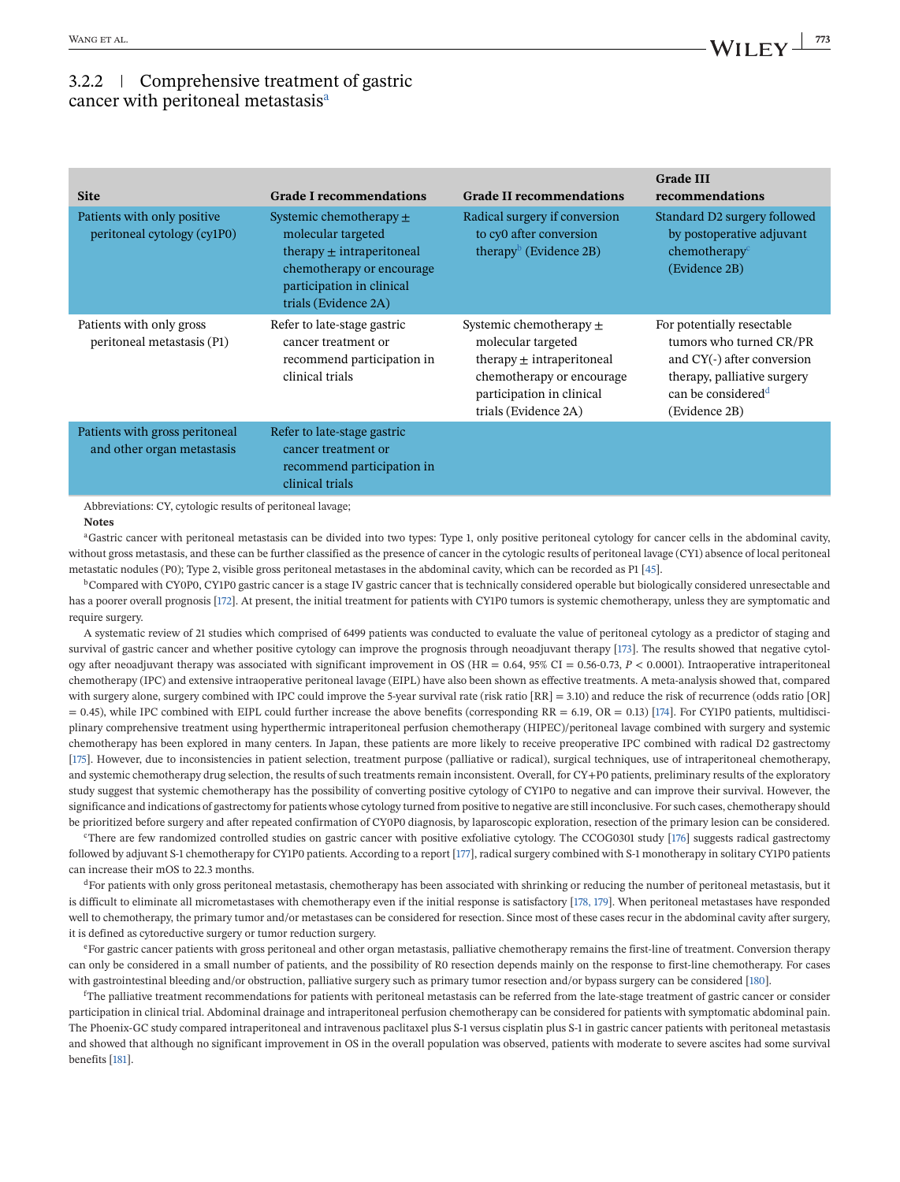### 3.2.2 Comprehensive treatment of gastric cancer with peritoneal metastasis<sup>a</sup>

| <b>Site</b>                                                  | <b>Grade I recommendations</b>                                                                                                                                       | <b>Grade II recommendations</b>                                                                                                                                      | <b>Grade III</b><br>recommendations                                                                                                                                   |
|--------------------------------------------------------------|----------------------------------------------------------------------------------------------------------------------------------------------------------------------|----------------------------------------------------------------------------------------------------------------------------------------------------------------------|-----------------------------------------------------------------------------------------------------------------------------------------------------------------------|
| Patients with only positive<br>peritoneal cytology (cy1P0)   | Systemic chemotherapy $\pm$<br>molecular targeted<br>therapy $\pm$ intraperitoneal<br>chemotherapy or encourage<br>participation in clinical<br>trials (Evidence 2A) | Radical surgery if conversion<br>to cy0 after conversion<br>therapy <sup>b</sup> (Evidence 2B)                                                                       | Standard D2 surgery followed<br>by postoperative adjuvant<br>chemotherapy <sup>c</sup><br>(Evidence 2B)                                                               |
| Patients with only gross<br>peritoneal metastasis (P1)       | Refer to late-stage gastric<br>cancer treatment or<br>recommend participation in<br>clinical trials                                                                  | Systemic chemotherapy $\pm$<br>molecular targeted<br>therapy $\pm$ intraperitoneal<br>chemotherapy or encourage<br>participation in clinical<br>trials (Evidence 2A) | For potentially resectable<br>tumors who turned CR/PR<br>and CY(-) after conversion<br>therapy, palliative surgery<br>can be considered <sup>d</sup><br>(Evidence 2B) |
| Patients with gross peritoneal<br>and other organ metastasis | Refer to late-stage gastric<br>cancer treatment or<br>recommend participation in<br>clinical trials                                                                  |                                                                                                                                                                      |                                                                                                                                                                       |

Abbreviations: CY, cytologic results of peritoneal lavage;

#### **Notes**

aGastric cancer with peritoneal metastasis can be divided into two types: Type 1, only positive peritoneal cytology for cancer cells in the abdominal cavity, without gross metastasis, and these can be further classified as the presence of cancer in the cytologic results of peritoneal lavage (CY1) absence of local peritoneal metastatic nodules (P0); Type 2, visible gross peritoneal metastases in the abdominal cavity, which can be recorded as P1 [\[45\]](#page-40-0).

<sup>b</sup>Compared with CY0P0, CY1P0 gastric cancer is a stage IV gastric cancer that is technically considered operable but biologically considered unresectable and has a poorer overall prognosis [\[172\]](#page-45-0). At present, the initial treatment for patients with CY1P0 tumors is systemic chemotherapy, unless they are symptomatic and require surgery.

A systematic review of 21 studies which comprised of 6499 patients was conducted to evaluate the value of peritoneal cytology as a predictor of staging and survival of gastric cancer and whether positive cytology can improve the prognosis through neoadjuvant therapy [\[173\]](#page-45-0). The results showed that negative cytology after neoadjuvant therapy was associated with significant improvement in OS (HR = 0.64, 95% CI = 0.56-0.73,  $P < 0.0001$ ). Intraoperative intraperitoneal chemotherapy (IPC) and extensive intraoperative peritoneal lavage (EIPL) have also been shown as effective treatments. A meta-analysis showed that, compared with surgery alone, surgery combined with IPC could improve the 5-year survival rate (risk ratio [RR] = 3.10) and reduce the risk of recurrence (odds ratio [OR]  $= 0.45$ ), while IPC combined with EIPL could further increase the above benefits (corresponding RR  $= 6.19$ , OR  $= 0.13$ ) [\[174\]](#page-45-0). For CY1P0 patients, multidisciplinary comprehensive treatment using hyperthermic intraperitoneal perfusion chemotherapy (HIPEC)/peritoneal lavage combined with surgery and systemic chemotherapy has been explored in many centers. In Japan, these patients are more likely to receive preoperative IPC combined with radical D2 gastrectomy [\[175\]](#page-45-0). However, due to inconsistencies in patient selection, treatment purpose (palliative or radical), surgical techniques, use of intraperitoneal chemotherapy, and systemic chemotherapy drug selection, the results of such treatments remain inconsistent. Overall, for CY+P0 patients, preliminary results of the exploratory study suggest that systemic chemotherapy has the possibility of converting positive cytology of CY1P0 to negative and can improve their survival. However, the significance and indications of gastrectomy for patients whose cytology turned from positive to negative are still inconclusive. For such cases, chemotherapy should be prioritized before surgery and after repeated confirmation of CY0P0 diagnosis, by laparoscopic exploration, resection of the primary lesion can be considered.

<sup>c</sup>There are few randomized controlled studies on gastric cancer with positive exfoliative cytology. The CCOG0301 study [\[176\]](#page-45-0) suggests radical gastrectomy followed by adjuvant S-1 chemotherapy for CY1P0 patients. According to a report [\[177\]](#page-45-0), radical surgery combined with S-1 monotherapy in solitary CY1P0 patients can increase their mOS to 22.3 months.

<sup>d</sup>For patients with only gross peritoneal metastasis, chemotherapy has been associated with shrinking or reducing the number of peritoneal metastasis, but it is difficult to eliminate all micrometastases with chemotherapy even if the initial response is satisfactory [\[178, 179\]](#page-45-0). When peritoneal metastases have responded well to chemotherapy, the primary tumor and/or metastases can be considered for resection. Since most of these cases recur in the abdominal cavity after surgery, it is defined as cytoreductive surgery or tumor reduction surgery.

eFor gastric cancer patients with gross peritoneal and other organ metastasis, palliative chemotherapy remains the first-line of treatment. Conversion therapy can only be considered in a small number of patients, and the possibility of R0 resection depends mainly on the response to first-line chemotherapy. For cases with gastrointestinal bleeding and/or obstruction, palliative surgery such as primary tumor resection and/or bypass surgery can be considered [\[180\]](#page-45-0).

f The palliative treatment recommendations for patients with peritoneal metastasis can be referred from the late-stage treatment of gastric cancer or consider participation in clinical trial. Abdominal drainage and intraperitoneal perfusion chemotherapy can be considered for patients with symptomatic abdominal pain. The Phoenix-GC study compared intraperitoneal and intravenous paclitaxel plus S-1 versus cisplatin plus S-1 in gastric cancer patients with peritoneal metastasis and showed that although no significant improvement in OS in the overall population was observed, patients with moderate to severe ascites had some survival benefits [\[181\]](#page-45-0).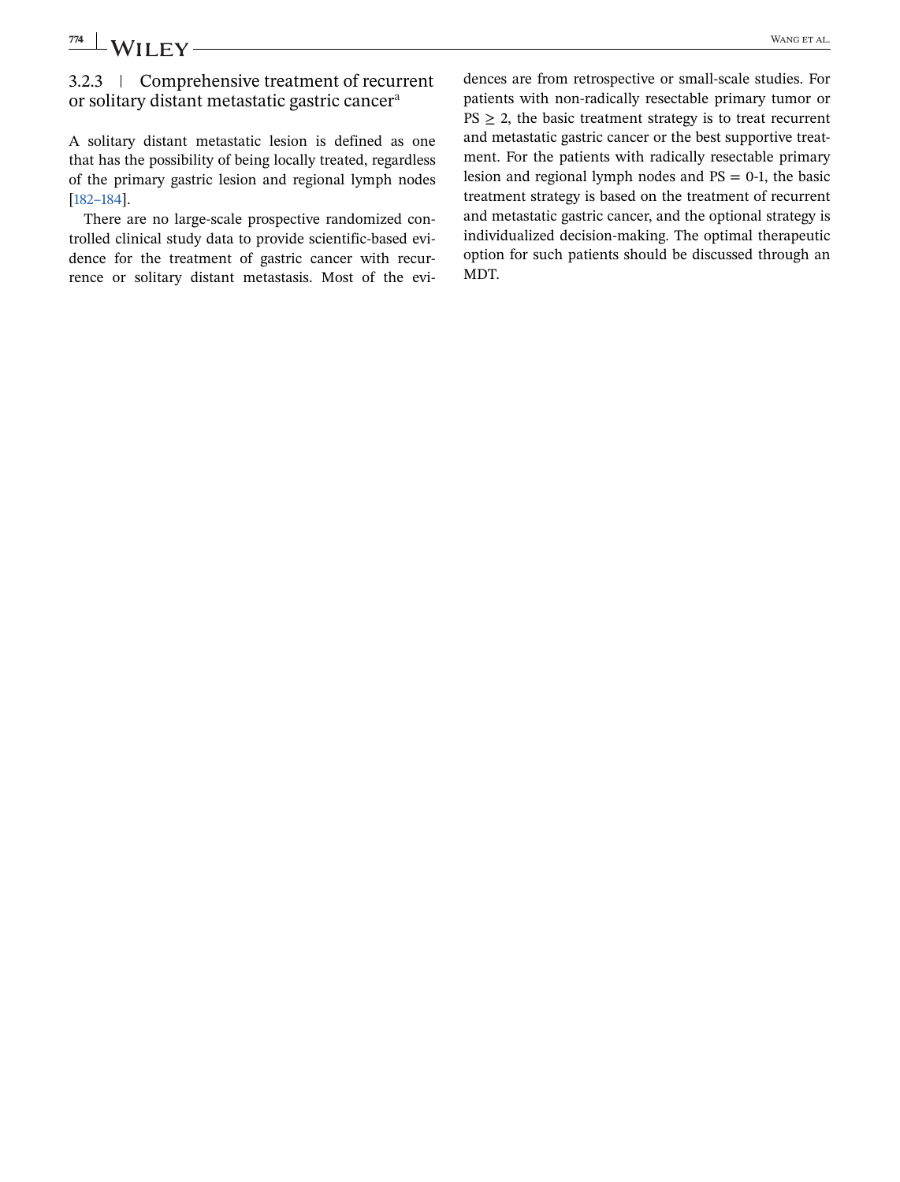## 3.2.3 Comprehensive treatment of recurrent or solitary distant metastatic gastric cancera

A solitary distant metastatic lesion is defined as one that has the possibility of being locally treated, regardless of the primary gastric lesion and regional lymph nodes [\[182–184\]](#page-45-0).

There are no large-scale prospective randomized controlled clinical study data to provide scientific-based evidence for the treatment of gastric cancer with recurrence or solitary distant metastasis. Most of the evidences are from retrospective or small-scale studies. For patients with non-radically resectable primary tumor or  $PS \geq 2$ , the basic treatment strategy is to treat recurrent and metastatic gastric cancer or the best supportive treatment. For the patients with radically resectable primary lesion and regional lymph nodes and  $PS = 0-1$ , the basic treatment strategy is based on the treatment of recurrent and metastatic gastric cancer, and the optional strategy is individualized decision-making. The optimal therapeutic option for such patients should be discussed through an MDT.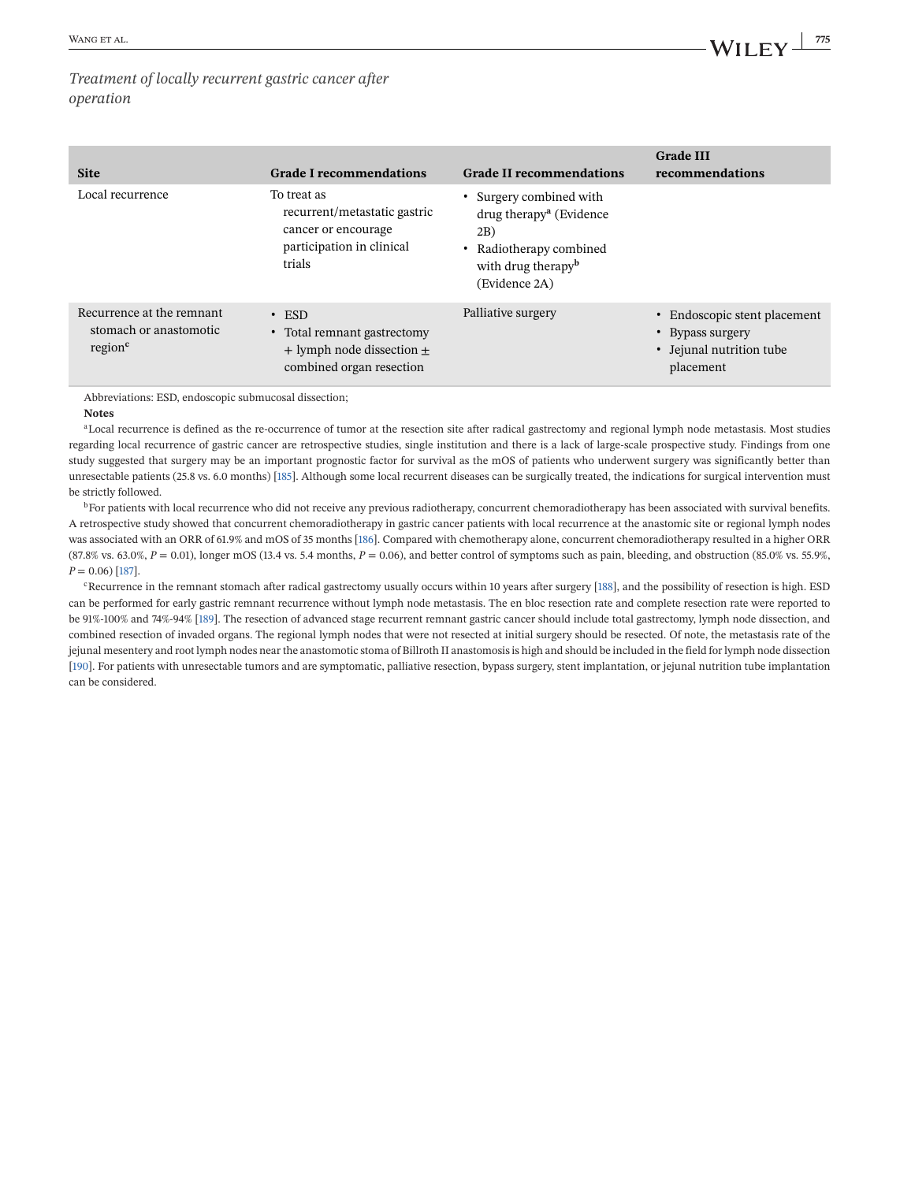### *Treatment of locally recurrent gastric cancer after operation*

| <b>Site</b>                                                                | <b>Grade I recommendations</b>                                                                            | <b>Grade II recommendations</b>                                                                                                                       | <b>Grade III</b><br>recommendations                                                       |
|----------------------------------------------------------------------------|-----------------------------------------------------------------------------------------------------------|-------------------------------------------------------------------------------------------------------------------------------------------------------|-------------------------------------------------------------------------------------------|
| Local recurrence                                                           | To treat as<br>recurrent/metastatic gastric<br>cancer or encourage<br>participation in clinical<br>trials | • Surgery combined with<br>$drug$ therapy <sup>a</sup> (Evidence<br>2B)<br>• Radiotherapy combined<br>with drug therapy <sup>b</sup><br>(Evidence 2A) |                                                                                           |
| Recurrence at the remnant<br>stomach or anastomotic<br>region <sup>c</sup> | $\cdot$ ESD<br>• Total remnant gastrectomy<br>$+$ lymph node dissection $\pm$<br>combined organ resection | Palliative surgery                                                                                                                                    | • Endoscopic stent placement<br>• Bypass surgery<br>• Jejunal nutrition tube<br>placement |

Abbreviations: ESD, endoscopic submucosal dissection;

**Notes**

<sup>a</sup>Local recurrence is defined as the re-occurrence of tumor at the resection site after radical gastrectomy and regional lymph node metastasis. Most studies regarding local recurrence of gastric cancer are retrospective studies, single institution and there is a lack of large-scale prospective study. Findings from one study suggested that surgery may be an important prognostic factor for survival as the mOS of patients who underwent surgery was significantly better than unresectable patients (25.8 vs. 6.0 months) [\[185\]](#page-45-0). Although some local recurrent diseases can be surgically treated, the indications for surgical intervention must be strictly followed.

<sup>b</sup>For patients with local recurrence who did not receive any previous radiotherapy, concurrent chemoradiotherapy has been associated with survival benefits. A retrospective study showed that concurrent chemoradiotherapy in gastric cancer patients with local recurrence at the anastomic site or regional lymph nodes was associated with an ORR of 61.9% and mOS of 35 months [\[186\]](#page-45-0). Compared with chemotherapy alone, concurrent chemoradiotherapy resulted in a higher ORR  $(87.8\% \text{ vs. } 63.0\%, P = 0.01)$ , longer mOS  $(13.4 \text{ vs. } 5.4 \text{ months}, P = 0.06)$ , and better control of symptoms such as pain, bleeding, and obstruction  $(85.0\% \text{ vs. } 55.9\%)$ .  $P = 0.06$ ) [\[187\]](#page-45-0).

<sup>c</sup>Recurrence in the remnant stomach after radical gastrectomy usually occurs within 10 years after surgery [\[188\]](#page-45-0), and the possibility of resection is high. ESD can be performed for early gastric remnant recurrence without lymph node metastasis. The en bloc resection rate and complete resection rate were reported to be 91%-100% and 74%-94% [\[189\]](#page-45-0). The resection of advanced stage recurrent remnant gastric cancer should include total gastrectomy, lymph node dissection, and combined resection of invaded organs. The regional lymph nodes that were not resected at initial surgery should be resected. Of note, the metastasis rate of the jejunal mesentery and root lymph nodes near the anastomotic stoma of Billroth II anastomosis is high and should be included in the field for lymph node dissection [\[190\]](#page-45-0). For patients with unresectable tumors and are symptomatic, palliative resection, bypass surgery, stent implantation, or jejunal nutrition tube implantation can be considered.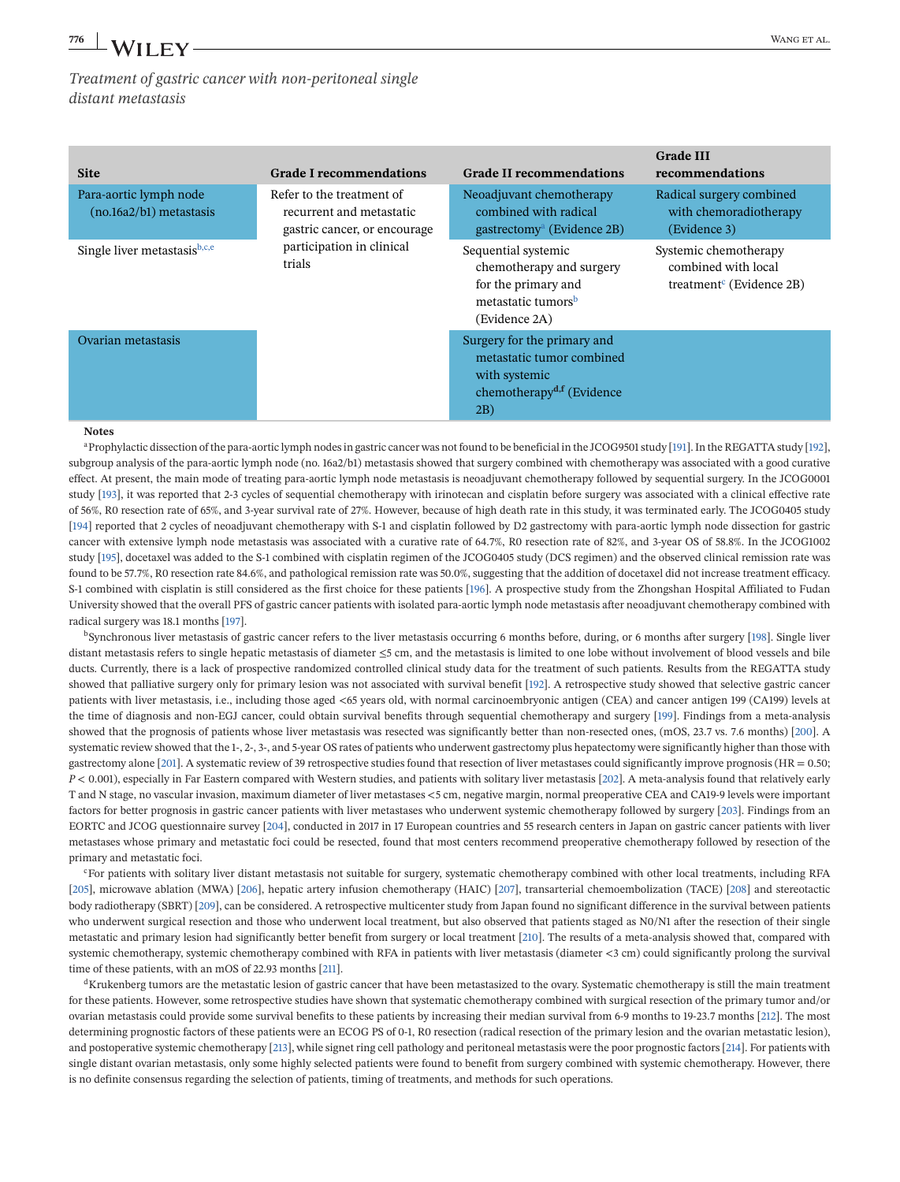*Treatment of gastric cancer with non-peritoneal single distant metastasis*

| <b>Site</b>                                         | <b>Grade I recommendations</b>                                                        | <b>Grade II recommendations</b>                                                                                           | <b>Grade III</b><br>recommendations                                                  |
|-----------------------------------------------------|---------------------------------------------------------------------------------------|---------------------------------------------------------------------------------------------------------------------------|--------------------------------------------------------------------------------------|
| Para-aortic lymph node<br>$(no.16a2/b1)$ metastasis | Refer to the treatment of<br>recurrent and metastatic<br>gastric cancer, or encourage | Neoadjuvant chemotherapy<br>combined with radical<br>gastrectomy <sup>a</sup> (Evidence 2B)                               | Radical surgery combined<br>with chemoradiotherapy<br>(Evidence 3)                   |
| Single liver metastasis $b,c,e$                     | participation in clinical<br>trials                                                   | Sequential systemic<br>chemotherapy and surgery<br>for the primary and<br>metastatic tumors <sup>b</sup><br>(Evidence 2A) | Systemic chemotherapy<br>combined with local<br>treatment <sup>c</sup> (Evidence 2B) |
| Ovarian metastasis                                  |                                                                                       | Surgery for the primary and<br>metastatic tumor combined<br>with systemic<br>chemotherapy <sup>d,f</sup> (Evidence<br>2B) |                                                                                      |

#### **Notes**

aProphylactic dissection of the para-aortic lymph nodes in gastric cancer was not found to be beneficial in the JCOG9501 study [\[191\]](#page-46-0). In the REGATTA study [\[192\]](#page-46-0), subgroup analysis of the para-aortic lymph node (no. 16a2/b1) metastasis showed that surgery combined with chemotherapy was associated with a good curative effect. At present, the main mode of treating para-aortic lymph node metastasis is neoadjuvant chemotherapy followed by sequential surgery. In the JCOG0001 study [\[193\]](#page-46-0), it was reported that 2-3 cycles of sequential chemotherapy with irinotecan and cisplatin before surgery was associated with a clinical effective rate of 56%, R0 resection rate of 65%, and 3-year survival rate of 27%. However, because of high death rate in this study, it was terminated early. The JCOG0405 study [\[194\]](#page-46-0) reported that 2 cycles of neoadjuvant chemotherapy with S-1 and cisplatin followed by D2 gastrectomy with para-aortic lymph node dissection for gastric cancer with extensive lymph node metastasis was associated with a curative rate of 64.7%, R0 resection rate of 82%, and 3-year OS of 58.8%. In the JCOG1002 study [\[195\]](#page-46-0), docetaxel was added to the S-1 combined with cisplatin regimen of the JCOG0405 study (DCS regimen) and the observed clinical remission rate was found to be 57.7%, R0 resection rate 84.6%, and pathological remission rate was 50.0%, suggesting that the addition of docetaxel did not increase treatment efficacy. S-1 combined with cisplatin is still considered as the first choice for these patients [\[196\]](#page-46-0). A prospective study from the Zhongshan Hospital Affiliated to Fudan University showed that the overall PFS of gastric cancer patients with isolated para-aortic lymph node metastasis after neoadjuvant chemotherapy combined with radical surgery was 18.1 months [\[197\]](#page-46-0).

bSynchronous liver metastasis of gastric cancer refers to the liver metastasis occurring 6 months before, during, or 6 months after surgery [\[198\]](#page-46-0). Single liver distant metastasis refers to single hepatic metastasis of diameter ≤5 cm, and the metastasis is limited to one lobe without involvement of blood vessels and bile ducts. Currently, there is a lack of prospective randomized controlled clinical study data for the treatment of such patients. Results from the REGATTA study showed that palliative surgery only for primary lesion was not associated with survival benefit [\[192\]](#page-46-0). A retrospective study showed that selective gastric cancer patients with liver metastasis, i.e., including those aged <65 years old, with normal carcinoembryonic antigen (CEA) and cancer antigen 199 (CA199) levels at the time of diagnosis and non-EGJ cancer, could obtain survival benefits through sequential chemotherapy and surgery [\[199\]](#page-46-0). Findings from a meta-analysis showed that the prognosis of patients whose liver metastasis was resected was significantly better than non-resected ones, (mOS, 23.7 vs. 7.6 months) [\[200\]](#page-46-0). A systematic review showed that the 1-, 2-, 3-, and 5-year OS rates of patients who underwent gastrectomy plus hepatectomy were significantly higher than those with gastrectomy alone [\[201\]](#page-46-0). A systematic review of 39 retrospective studies found that resection of liver metastases could significantly improve prognosis (HR = 0.50; *P* < 0.001), especially in Far Eastern compared with Western studies, and patients with solitary liver metastasis [\[202\]](#page-46-0). A meta-analysis found that relatively early T and N stage, no vascular invasion, maximum diameter of liver metastases <5 cm, negative margin, normal preoperative CEA and CA19-9 levels were important factors for better prognosis in gastric cancer patients with liver metastases who underwent systemic chemotherapy followed by surgery [\[203\]](#page-46-0). Findings from an EORTC and JCOG questionnaire survey [\[204\]](#page-46-0), conducted in 2017 in 17 European countries and 55 research centers in Japan on gastric cancer patients with liver metastases whose primary and metastatic foci could be resected, found that most centers recommend preoperative chemotherapy followed by resection of the primary and metastatic foci.

cFor patients with solitary liver distant metastasis not suitable for surgery, systematic chemotherapy combined with other local treatments, including RFA [\[205\]](#page-46-0), microwave ablation (MWA) [\[206\]](#page-46-0), hepatic artery infusion chemotherapy (HAIC) [\[207\]](#page-46-0), transarterial chemoembolization (TACE) [\[208\]](#page-46-0) and stereotactic body radiotherapy (SBRT) [\[209\]](#page-46-0), can be considered. A retrospective multicenter study from Japan found no significant difference in the survival between patients who underwent surgical resection and those who underwent local treatment, but also observed that patients staged as N0/N1 after the resection of their single metastatic and primary lesion had significantly better benefit from surgery or local treatment [\[210\]](#page-46-0). The results of a meta-analysis showed that, compared with systemic chemotherapy, systemic chemotherapy combined with RFA in patients with liver metastasis (diameter <3 cm) could significantly prolong the survival time of these patients, with an mOS of 22.93 months [\[211\]](#page-46-0).

<sup>d</sup>Krukenberg tumors are the metastatic lesion of gastric cancer that have been metastasized to the ovary. Systematic chemotherapy is still the main treatment for these patients. However, some retrospective studies have shown that systematic chemotherapy combined with surgical resection of the primary tumor and/or ovarian metastasis could provide some survival benefits to these patients by increasing their median survival from 6-9 months to 19-23.7 months [\[212\]](#page-46-0). The most determining prognostic factors of these patients were an ECOG PS of 0-1, R0 resection (radical resection of the primary lesion and the ovarian metastatic lesion), and postoperative systemic chemotherapy [\[213\]](#page-46-0), while signet ring cell pathology and peritoneal metastasis were the poor prognostic factors [\[214\]](#page-46-0). For patients with single distant ovarian metastasis, only some highly selected patients were found to benefit from surgery combined with systemic chemotherapy. However, there is no definite consensus regarding the selection of patients, timing of treatments, and methods for such operations.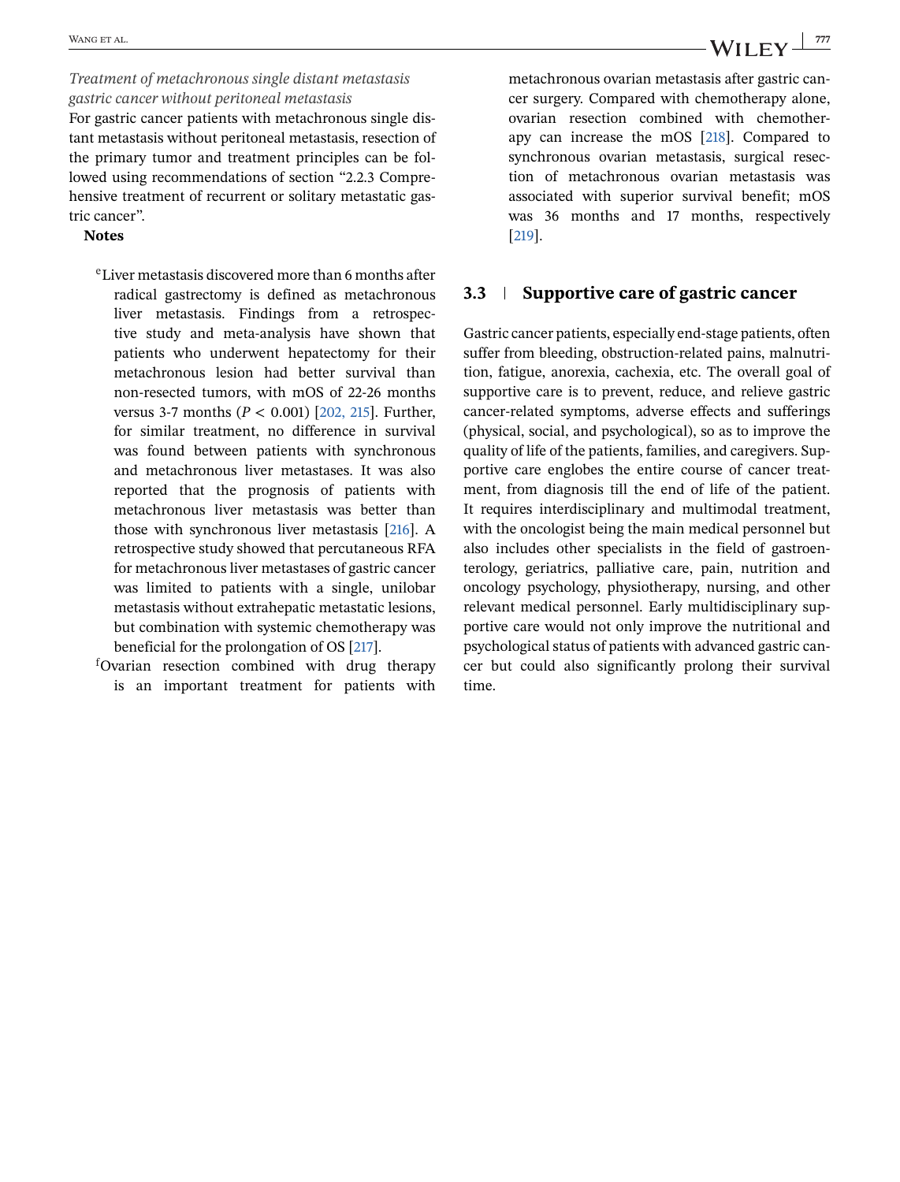*Treatment of metachronous single distant metastasis gastric cancer without peritoneal metastasis* For gastric cancer patients with metachronous single distant metastasis without peritoneal metastasis, resection of the primary tumor and treatment principles can be followed using recommendations of section "2.2.3 Comprehensive treatment of recurrent or solitary metastatic gas-

### tric cancer". **Notes**

- eLiver metastasis discovered more than 6 months after radical gastrectomy is defined as metachronous liver metastasis. Findings from a retrospective study and meta-analysis have shown that patients who underwent hepatectomy for their metachronous lesion had better survival than non-resected tumors, with mOS of 22-26 months versus 3-7 months (*P* < 0.001) [\[202, 215\]](#page-46-0). Further, for similar treatment, no difference in survival was found between patients with synchronous and metachronous liver metastases. It was also reported that the prognosis of patients with metachronous liver metastasis was better than those with synchronous liver metastasis [\[216\]](#page-46-0). A retrospective study showed that percutaneous RFA for metachronous liver metastases of gastric cancer was limited to patients with a single, unilobar metastasis without extrahepatic metastatic lesions, but combination with systemic chemotherapy was beneficial for the prolongation of OS [\[217\]](#page-46-0).
- f Ovarian resection combined with drug therapy is an important treatment for patients with

metachronous ovarian metastasis after gastric cancer surgery. Compared with chemotherapy alone, ovarian resection combined with chemotherapy can increase the mOS [\[218\]](#page-47-0). Compared to synchronous ovarian metastasis, surgical resection of metachronous ovarian metastasis was associated with superior survival benefit; mOS was 36 months and 17 months, respectively [\[219\]](#page-47-0).

### **3.3 Supportive care of gastric cancer**

Gastric cancer patients, especially end-stage patients, often suffer from bleeding, obstruction-related pains, malnutrition, fatigue, anorexia, cachexia, etc. The overall goal of supportive care is to prevent, reduce, and relieve gastric cancer-related symptoms, adverse effects and sufferings (physical, social, and psychological), so as to improve the quality of life of the patients, families, and caregivers. Supportive care englobes the entire course of cancer treatment, from diagnosis till the end of life of the patient. It requires interdisciplinary and multimodal treatment, with the oncologist being the main medical personnel but also includes other specialists in the field of gastroenterology, geriatrics, palliative care, pain, nutrition and oncology psychology, physiotherapy, nursing, and other relevant medical personnel. Early multidisciplinary supportive care would not only improve the nutritional and psychological status of patients with advanced gastric cancer but could also significantly prolong their survival time.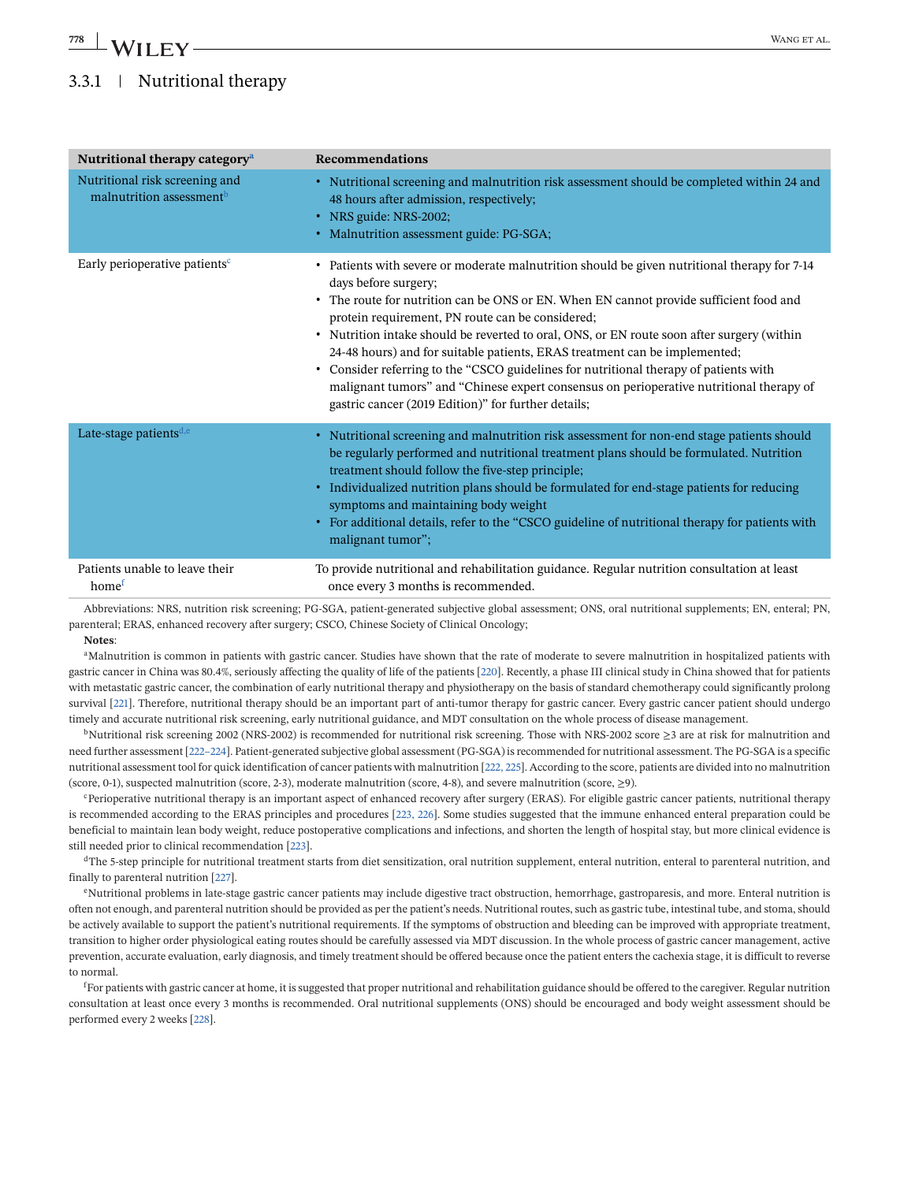## 3.3.1 Nutritional therapy

| Nutritional therapy category <sup>a</sup>                              | Recommendations                                                                                                                                                                                                                                                                                                                                                                                                                                                                                                                                                                                                                                                                           |  |  |
|------------------------------------------------------------------------|-------------------------------------------------------------------------------------------------------------------------------------------------------------------------------------------------------------------------------------------------------------------------------------------------------------------------------------------------------------------------------------------------------------------------------------------------------------------------------------------------------------------------------------------------------------------------------------------------------------------------------------------------------------------------------------------|--|--|
| Nutritional risk screening and<br>malnutrition assessment <sup>b</sup> | • Nutritional screening and malnutrition risk assessment should be completed within 24 and<br>48 hours after admission, respectively;<br>• NRS guide: NRS-2002;<br>• Malnutrition assessment guide: PG-SGA;                                                                                                                                                                                                                                                                                                                                                                                                                                                                               |  |  |
| Early perioperative patients <sup>c</sup>                              | • Patients with severe or moderate malnutrition should be given nutritional therapy for 7-14<br>days before surgery;<br>• The route for nutrition can be ONS or EN. When EN cannot provide sufficient food and<br>protein requirement, PN route can be considered;<br>• Nutrition intake should be reverted to oral, ONS, or EN route soon after surgery (within<br>24-48 hours) and for suitable patients, ERAS treatment can be implemented;<br>• Consider referring to the "CSCO guidelines for nutritional therapy of patients with<br>malignant tumors" and "Chinese expert consensus on perioperative nutritional therapy of<br>gastric cancer (2019 Edition)" for further details; |  |  |
| Late-stage patients <sup>d,e</sup>                                     | • Nutritional screening and malnutrition risk assessment for non-end stage patients should<br>be regularly performed and nutritional treatment plans should be formulated. Nutrition<br>treatment should follow the five-step principle;<br>• Individualized nutrition plans should be formulated for end-stage patients for reducing<br>symptoms and maintaining body weight<br>• For additional details, refer to the "CSCO guideline of nutritional therapy for patients with<br>malignant tumor";                                                                                                                                                                                     |  |  |
| Patients unable to leave their<br>home <sup>f</sup>                    | To provide nutritional and rehabilitation guidance. Regular nutrition consultation at least<br>once every 3 months is recommended.                                                                                                                                                                                                                                                                                                                                                                                                                                                                                                                                                        |  |  |

Abbreviations: NRS, nutrition risk screening; PG-SGA, patient-generated subjective global assessment; ONS, oral nutritional supplements; EN, enteral; PN, parenteral; ERAS, enhanced recovery after surgery; CSCO, Chinese Society of Clinical Oncology;

**Notes**:

<sup>a</sup>Malnutrition is common in patients with gastric cancer. Studies have shown that the rate of moderate to severe malnutrition in hospitalized patients with gastric cancer in China was 80.4%, seriously affecting the quality of life of the patients [\[220\]](#page-47-0). Recently, a phase III clinical study in China showed that for patients with metastatic gastric cancer, the combination of early nutritional therapy and physiotherapy on the basis of standard chemotherapy could significantly prolong survival [\[221\]](#page-47-0). Therefore, nutritional therapy should be an important part of anti-tumor therapy for gastric cancer. Every gastric cancer patient should undergo timely and accurate nutritional risk screening, early nutritional guidance, and MDT consultation on the whole process of disease management.

bNutritional risk screening 2002 (NRS-2002) is recommended for nutritional risk screening. Those with NRS-2002 score  $\geq$ 3 are at risk for malnutrition and need further assessment [\[222–224\]](#page-47-0). Patient-generated subjective global assessment (PG-SGA) is recommended for nutritional assessment. The PG-SGA is a specific nutritional assessment tool for quick identification of cancer patients with malnutrition [\[222, 225\]](#page-47-0). According to the score, patients are divided into no malnutrition (score, 0-1), suspected malnutrition (score, 2-3), moderate malnutrition (score, 4-8), and severe malnutrition (score,  $\geq$ 9).

cPerioperative nutritional therapy is an important aspect of enhanced recovery after surgery (ERAS). For eligible gastric cancer patients, nutritional therapy is recommended according to the ERAS principles and procedures [\[223, 226\]](#page-47-0). Some studies suggested that the immune enhanced enteral preparation could be beneficial to maintain lean body weight, reduce postoperative complications and infections, and shorten the length of hospital stay, but more clinical evidence is still needed prior to clinical recommendation [\[223\]](#page-47-0).

<sup>d</sup>The 5-step principle for nutritional treatment starts from diet sensitization, oral nutrition supplement, enteral nutrition, enteral to parenteral nutrition, and finally to parenteral nutrition [\[227\]](#page-47-0).

<sup>e</sup>Nutritional problems in late-stage gastric cancer patients may include digestive tract obstruction, hemorrhage, gastroparesis, and more. Enteral nutrition is often not enough, and parenteral nutrition should be provided as per the patient's needs. Nutritional routes, such as gastric tube, intestinal tube, and stoma, should be actively available to support the patient's nutritional requirements. If the symptoms of obstruction and bleeding can be improved with appropriate treatment, transition to higher order physiological eating routes should be carefully assessed via MDT discussion. In the whole process of gastric cancer management, active prevention, accurate evaluation, early diagnosis, and timely treatment should be offered because once the patient enters the cachexia stage, it is difficult to reverse to normal.

<sup>f</sup>For patients with gastric cancer at home, it is suggested that proper nutritional and rehabilitation guidance should be offered to the caregiver. Regular nutrition consultation at least once every 3 months is recommended. Oral nutritional supplements (ONS) should be encouraged and body weight assessment should be performed every 2 weeks [\[228\]](#page-47-0).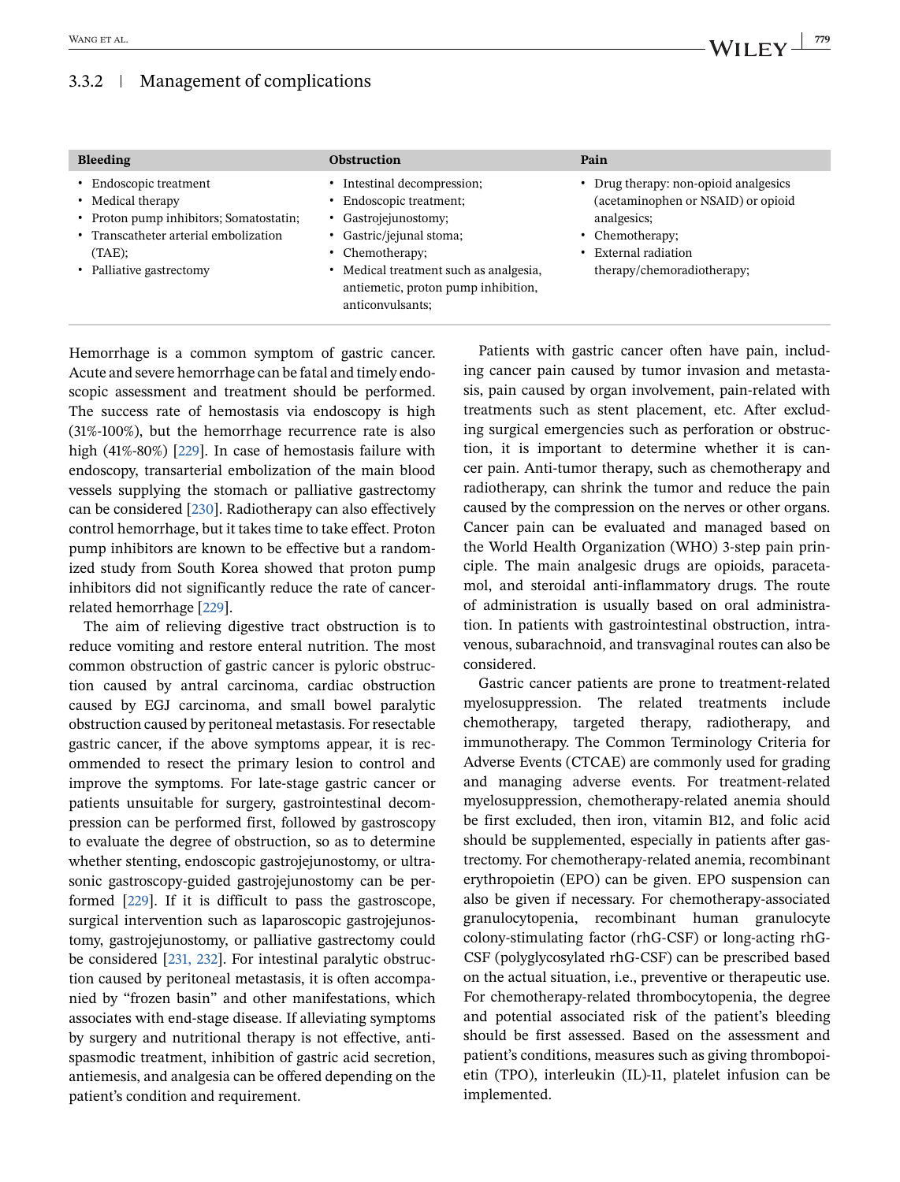### 3.3.2 Management of complications

| <b>Bleeding</b>                                                                                                                                                          | <b>Obstruction</b>                                                                                                                                                                                                                 | Pain                                                                                                                                                                |
|--------------------------------------------------------------------------------------------------------------------------------------------------------------------------|------------------------------------------------------------------------------------------------------------------------------------------------------------------------------------------------------------------------------------|---------------------------------------------------------------------------------------------------------------------------------------------------------------------|
| • Endoscopic treatment<br>• Medical therapy<br>• Proton pump inhibitors; Somatostatin;<br>• Transcatheter arterial embolization<br>$(TAE)$ ;<br>• Palliative gastrectomy | • Intestinal decompression;<br>• Endoscopic treatment;<br>• Gastrojejunostomy;<br>• Gastric/jejunal stoma;<br>• Chemotherapy;<br>• Medical treatment such as analgesia,<br>antiemetic, proton pump inhibition,<br>anticonvulsants; | • Drug therapy: non-opioid analgesics<br>(acetaminophen or NSAID) or opioid<br>analgesics;<br>• Chemotherapy:<br>• External radiation<br>therapy/chemoradiotherapy; |

Hemorrhage is a common symptom of gastric cancer. Acute and severe hemorrhage can be fatal and timely endoscopic assessment and treatment should be performed. The success rate of hemostasis via endoscopy is high (31%-100%), but the hemorrhage recurrence rate is also high (41%-80%) [\[229\]](#page-47-0). In case of hemostasis failure with endoscopy, transarterial embolization of the main blood vessels supplying the stomach or palliative gastrectomy can be considered [\[230\]](#page-47-0). Radiotherapy can also effectively control hemorrhage, but it takes time to take effect. Proton pump inhibitors are known to be effective but a randomized study from South Korea showed that proton pump inhibitors did not significantly reduce the rate of cancerrelated hemorrhage [\[229\]](#page-47-0).

The aim of relieving digestive tract obstruction is to reduce vomiting and restore enteral nutrition. The most common obstruction of gastric cancer is pyloric obstruction caused by antral carcinoma, cardiac obstruction caused by EGJ carcinoma, and small bowel paralytic obstruction caused by peritoneal metastasis. For resectable gastric cancer, if the above symptoms appear, it is recommended to resect the primary lesion to control and improve the symptoms. For late-stage gastric cancer or patients unsuitable for surgery, gastrointestinal decompression can be performed first, followed by gastroscopy to evaluate the degree of obstruction, so as to determine whether stenting, endoscopic gastrojejunostomy, or ultrasonic gastroscopy-guided gastrojejunostomy can be performed [\[229\]](#page-47-0). If it is difficult to pass the gastroscope, surgical intervention such as laparoscopic gastrojejunostomy, gastrojejunostomy, or palliative gastrectomy could be considered [\[231, 232\]](#page-47-0). For intestinal paralytic obstruction caused by peritoneal metastasis, it is often accompanied by "frozen basin" and other manifestations, which associates with end-stage disease. If alleviating symptoms by surgery and nutritional therapy is not effective, antispasmodic treatment, inhibition of gastric acid secretion, antiemesis, and analgesia can be offered depending on the patient's condition and requirement.

Patients with gastric cancer often have pain, including cancer pain caused by tumor invasion and metastasis, pain caused by organ involvement, pain-related with treatments such as stent placement, etc. After excluding surgical emergencies such as perforation or obstruction, it is important to determine whether it is cancer pain. Anti-tumor therapy, such as chemotherapy and radiotherapy, can shrink the tumor and reduce the pain caused by the compression on the nerves or other organs. Cancer pain can be evaluated and managed based on the World Health Organization (WHO) 3-step pain principle. The main analgesic drugs are opioids, paracetamol, and steroidal anti-inflammatory drugs. The route of administration is usually based on oral administration. In patients with gastrointestinal obstruction, intravenous, subarachnoid, and transvaginal routes can also be considered.

Gastric cancer patients are prone to treatment-related myelosuppression. The related treatments include chemotherapy, targeted therapy, radiotherapy, and immunotherapy. The Common Terminology Criteria for Adverse Events (CTCAE) are commonly used for grading and managing adverse events. For treatment-related myelosuppression, chemotherapy-related anemia should be first excluded, then iron, vitamin B12, and folic acid should be supplemented, especially in patients after gastrectomy. For chemotherapy-related anemia, recombinant erythropoietin (EPO) can be given. EPO suspension can also be given if necessary. For chemotherapy-associated granulocytopenia, recombinant human granulocyte colony-stimulating factor (rhG-CSF) or long-acting rhG-CSF (polyglycosylated rhG-CSF) can be prescribed based on the actual situation, i.e., preventive or therapeutic use. For chemotherapy-related thrombocytopenia, the degree and potential associated risk of the patient's bleeding should be first assessed. Based on the assessment and patient's conditions, measures such as giving thrombopoietin (TPO), interleukin (IL)-11, platelet infusion can be implemented.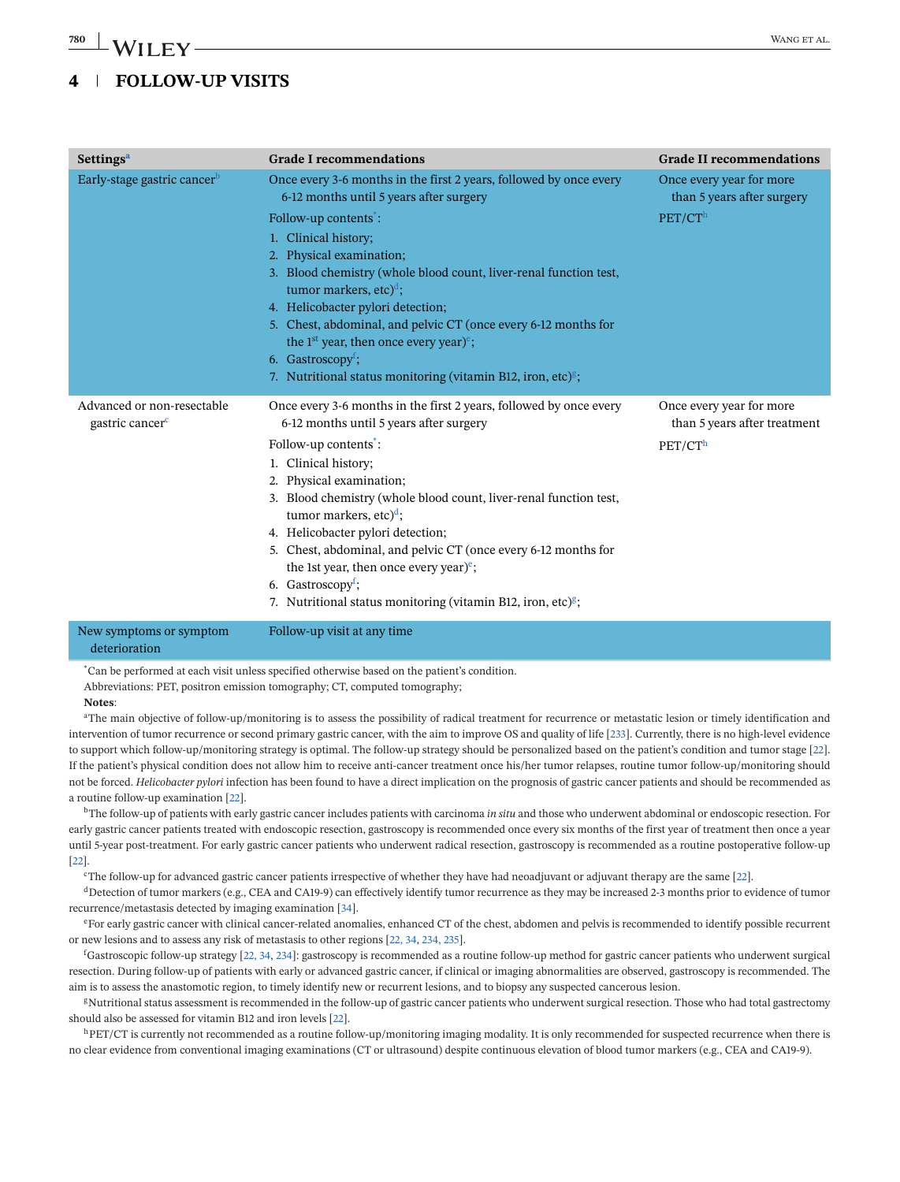## **4 FOLLOW-UP VISITS**

| <b>Grade I recommendations</b><br><b>Settings<sup>a</sup></b> |                                                                                                                     | <b>Grade II recommendations</b>                          |
|---------------------------------------------------------------|---------------------------------------------------------------------------------------------------------------------|----------------------------------------------------------|
| Early-stage gastric cancer <sup>b</sup>                       | Once every 3-6 months in the first 2 years, followed by once every<br>6-12 months until 5 years after surgery       | Once every year for more<br>than 5 years after surgery   |
|                                                               | Follow-up contents:                                                                                                 | PET/CT <sup>h</sup>                                      |
|                                                               | 1. Clinical history;                                                                                                |                                                          |
|                                                               | 2. Physical examination;<br>3. Blood chemistry (whole blood count, liver-renal function test,                       |                                                          |
|                                                               | tumor markers, etc) <sup>d</sup> ;                                                                                  |                                                          |
|                                                               | 4. Helicobacter pylori detection;                                                                                   |                                                          |
|                                                               | 5. Chest, abdominal, and pelvic CT (once every 6-12 months for                                                      |                                                          |
|                                                               | the 1 <sup>st</sup> year, then once every year) <sup>e</sup> ;<br>6. Gastroscopy <sup><math>\ddagger</math></sup> ; |                                                          |
|                                                               | 7. Nutritional status monitoring (vitamin B12, iron, etc) $\frac{8}{3}$ ;                                           |                                                          |
|                                                               |                                                                                                                     |                                                          |
| Advanced or non-resectable<br>gastric cancer <sup>c</sup>     | Once every 3-6 months in the first 2 years, followed by once every<br>6-12 months until 5 years after surgery       | Once every year for more<br>than 5 years after treatment |
|                                                               | Follow-up contents <sup>*</sup> :                                                                                   | PET/CTh                                                  |
|                                                               | 1. Clinical history;                                                                                                |                                                          |
|                                                               | 2. Physical examination;                                                                                            |                                                          |
|                                                               | 3. Blood chemistry (whole blood count, liver-renal function test,<br>tumor markers, etc) <sup>d</sup> ;             |                                                          |
|                                                               | 4. Helicobacter pylori detection;                                                                                   |                                                          |
|                                                               | 5. Chest, abdominal, and pelvic CT (once every 6-12 months for                                                      |                                                          |
|                                                               | the 1st year, then once every year) $e$ ;<br>6. Gastroscopy <sup>f</sup> ;                                          |                                                          |
|                                                               | 7. Nutritional status monitoring (vitamin B12, iron, etc) $\frac{g}{g}$ ;                                           |                                                          |
|                                                               |                                                                                                                     |                                                          |

#### New symptoms or symptom deterioration Follow-up visit at any time

\* Can be performed at each visit unless specified otherwise based on the patient's condition. Abbreviations: PET, positron emission tomography; CT, computed tomography; **Notes**:

<sup>a</sup>The main objective of follow-up/monitoring is to assess the possibility of radical treatment for recurrence or metastatic lesion or timely identification and intervention of tumor recurrence or second primary gastric cancer, with the aim to improve OS and quality of life [\[233\]](#page-47-0). Currently, there is no high-level evidence to support which follow-up/monitoring strategy is optimal. The follow-up strategy should be personalized based on the patient's condition and tumor stage [\[22\]](#page-39-0). If the patient's physical condition does not allow him to receive anti-cancer treatment once his/her tumor relapses, routine tumor follow-up/monitoring should not be forced. *Helicobacter pylori* infection has been found to have a direct implication on the prognosis of gastric cancer patients and should be recommended as a routine follow-up examination [\[22\]](#page-39-0).

bThe follow-up of patients with early gastric cancer includes patients with carcinoma *in situ* and those who underwent abdominal or endoscopic resection. For early gastric cancer patients treated with endoscopic resection, gastroscopy is recommended once every six months of the first year of treatment then once a year until 5-year post-treatment. For early gastric cancer patients who underwent radical resection, gastroscopy is recommended as a routine postoperative follow-up [\[22\]](#page-39-0).

cThe follow-up for advanced gastric cancer patients irrespective of whether they have had neoadjuvant or adjuvant therapy are the same [\[22\]](#page-39-0).

dDetection of tumor markers (e.g., CEA and CA19-9) can effectively identify tumor recurrence as they may be increased 2-3 months prior to evidence of tumor recurrence/metastasis detected by imaging examination [\[34\]](#page-40-0).

eFor early gastric cancer with clinical cancer-related anomalies, enhanced CT of the chest, abdomen and pelvis is recommended to identify possible recurrent or new lesions and to assess any risk of metastasis to other regions [\[22, 34,](#page-39-0) [234, 235\]](#page-47-0).

f Gastroscopic follow-up strategy [\[22, 34,](#page-39-0) [234\]](#page-47-0): gastroscopy is recommended as a routine follow-up method for gastric cancer patients who underwent surgical resection. During follow-up of patients with early or advanced gastric cancer, if clinical or imaging abnormalities are observed, gastroscopy is recommended. The aim is to assess the anastomotic region, to timely identify new or recurrent lesions, and to biopsy any suspected cancerous lesion.

<sup>g</sup>Nutritional status assessment is recommended in the follow-up of gastric cancer patients who underwent surgical resection. Those who had total gastrectomy should also be assessed for vitamin B12 and iron levels [\[22\]](#page-39-0).

 ${}^{\text{h}}$ PET/CT is currently not recommended as a routine follow-up/monitoring imaging modality. It is only recommended for suspected recurrence when there is no clear evidence from conventional imaging examinations (CT or ultrasound) despite continuous elevation of blood tumor markers (e.g., CEA and CA19-9).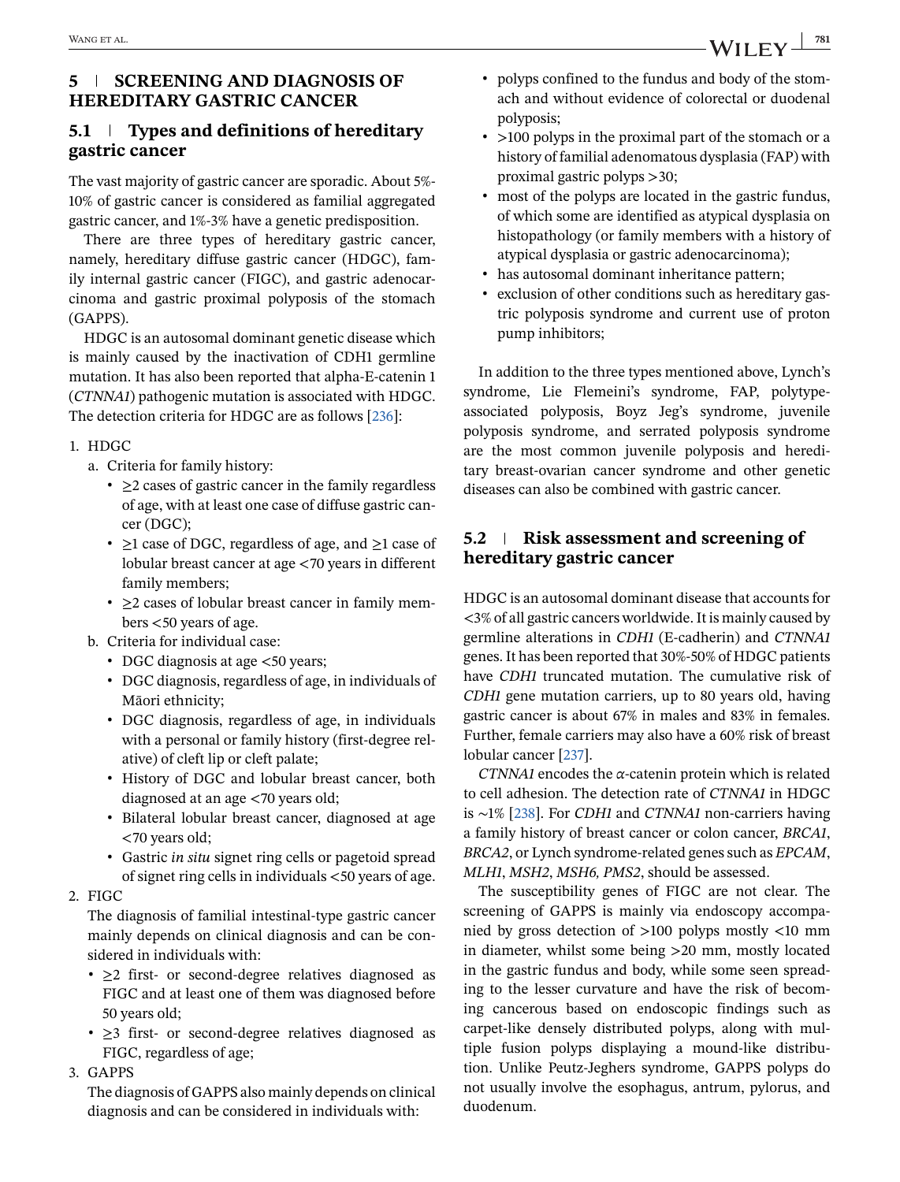### **5 SCREENING AND DIAGNOSIS OF HEREDITARY GASTRIC CANCER**

### **5.1 Types and definitions of hereditary gastric cancer**

The vast majority of gastric cancer are sporadic. About 5%- 10% of gastric cancer is considered as familial aggregated gastric cancer, and 1%-3% have a genetic predisposition.

There are three types of hereditary gastric cancer, namely, hereditary diffuse gastric cancer (HDGC), family internal gastric cancer (FIGC), and gastric adenocarcinoma and gastric proximal polyposis of the stomach (GAPPS).

HDGC is an autosomal dominant genetic disease which is mainly caused by the inactivation of CDH1 germline mutation. It has also been reported that alpha-E-catenin 1 (*CTNNA1*) pathogenic mutation is associated with HDGC. The detection criteria for HDGC are as follows [\[236\]](#page-47-0):

### 1. HDGC

- a. Criteria for family history:
	- ∙ ≥2 cases of gastric cancer in the family regardless of age, with at least one case of diffuse gastric cancer (DGC);
	- ∙ ≥1 case of DGC, regardless of age, and ≥1 case of lobular breast cancer at age <70 years in different family members;
	- ∙ ≥2 cases of lobular breast cancer in family members <50 years of age.
- b. Criteria for individual case:
	- DGC diagnosis at age <50 years;
	- ∙ DGC diagnosis, regardless of age, in individuals of Māori ethnicity;
	- ∙ DGC diagnosis, regardless of age, in individuals with a personal or family history (first-degree relative) of cleft lip or cleft palate;
	- ∙ History of DGC and lobular breast cancer, both diagnosed at an age <70 years old;
	- ∙ Bilateral lobular breast cancer, diagnosed at age <70 years old;
	- ∙ Gastric *in situ* signet ring cells or pagetoid spread of signet ring cells in individuals <50 years of age.
- 2. FIGC

The diagnosis of familial intestinal-type gastric cancer mainly depends on clinical diagnosis and can be considered in individuals with:

- ∙ ≥2 first- or second-degree relatives diagnosed as FIGC and at least one of them was diagnosed before 50 years old;
- ∙ ≥3 first- or second-degree relatives diagnosed as FIGC, regardless of age;
- 3. GAPPS

The diagnosis of GAPPS also mainly depends on clinical diagnosis and can be considered in individuals with:

- ∙ polyps confined to the fundus and body of the stomach and without evidence of colorectal or duodenal polyposis;
- ∙ >100 polyps in the proximal part of the stomach or a history of familial adenomatous dysplasia (FAP) with proximal gastric polyps >30;
- ∙ most of the polyps are located in the gastric fundus, of which some are identified as atypical dysplasia on histopathology (or family members with a history of atypical dysplasia or gastric adenocarcinoma);
- ∙ has autosomal dominant inheritance pattern;
- ∙ exclusion of other conditions such as hereditary gastric polyposis syndrome and current use of proton pump inhibitors;

In addition to the three types mentioned above, Lynch's syndrome, Lie Flemeini's syndrome, FAP, polytypeassociated polyposis, Boyz Jeg's syndrome, juvenile polyposis syndrome, and serrated polyposis syndrome are the most common juvenile polyposis and hereditary breast-ovarian cancer syndrome and other genetic diseases can also be combined with gastric cancer.

### **5.2 Risk assessment and screening of hereditary gastric cancer**

HDGC is an autosomal dominant disease that accounts for <3% of all gastric cancers worldwide. It is mainly caused by germline alterations in *CDH1* (E-cadherin) and *CTNNA1* genes. It has been reported that 30%-50% of HDGC patients have *CDH1* truncated mutation. The cumulative risk of *CDH1* gene mutation carriers, up to 80 years old, having gastric cancer is about 67% in males and 83% in females. Further, female carriers may also have a 60% risk of breast lobular cancer [\[237\]](#page-47-0).

*CTNNA1* encodes the *α*-catenin protein which is related to cell adhesion. The detection rate of *CTNNA1* in HDGC is ∼1% [\[238\]](#page-47-0). For *CDH1* and *CTNNA1* non-carriers having a family history of breast cancer or colon cancer, *BRCA1*, *BRCA2*, or Lynch syndrome-related genes such as *EPCAM*, *MLH1*, *MSH2*, *MSH6, PMS2*, should be assessed.

The susceptibility genes of FIGC are not clear. The screening of GAPPS is mainly via endoscopy accompanied by gross detection of >100 polyps mostly <10 mm in diameter, whilst some being >20 mm, mostly located in the gastric fundus and body, while some seen spreading to the lesser curvature and have the risk of becoming cancerous based on endoscopic findings such as carpet-like densely distributed polyps, along with multiple fusion polyps displaying a mound-like distribution. Unlike Peutz-Jeghers syndrome, GAPPS polyps do not usually involve the esophagus, antrum, pylorus, and duodenum.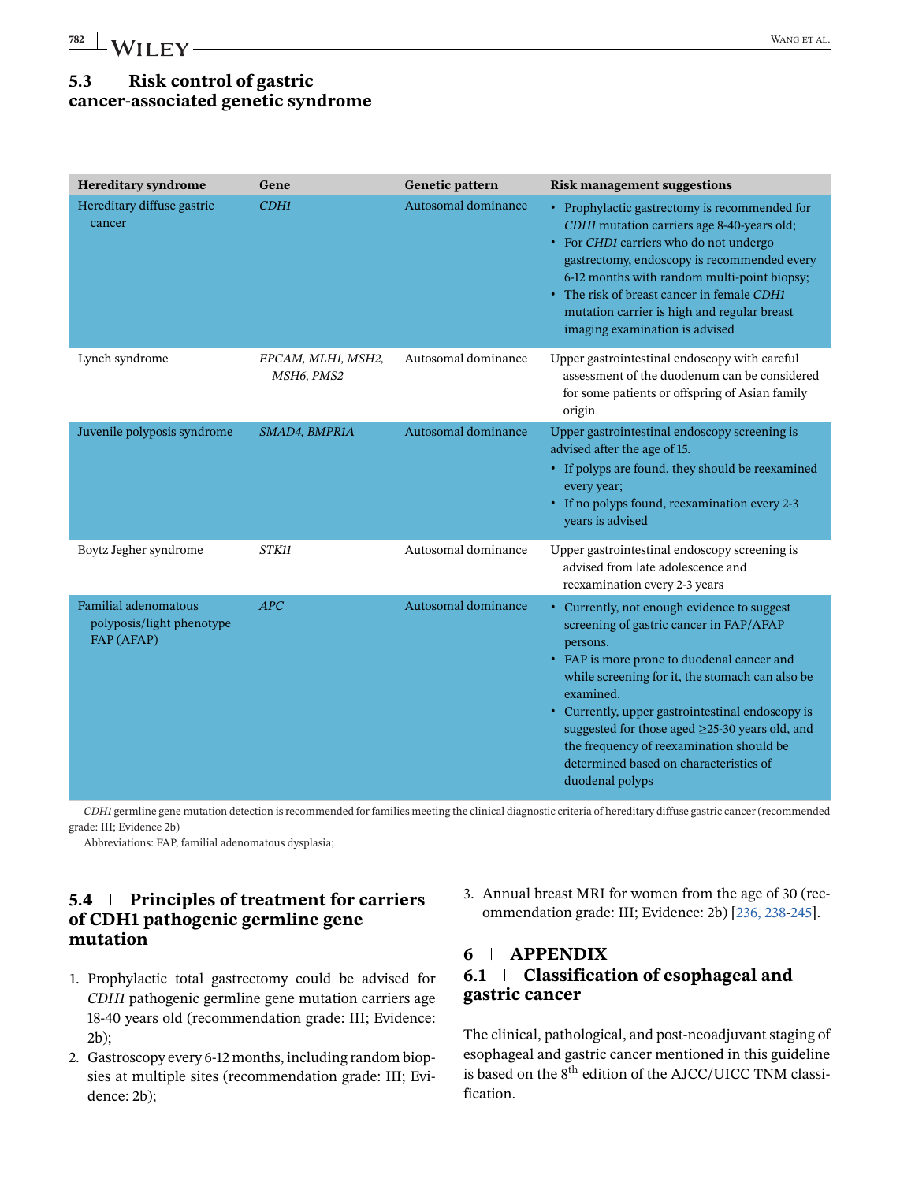## **5.3 Risk control of gastric cancer-associated genetic syndrome**

| <b>Hereditary syndrome</b>                                             | Gene                                                      | Genetic pattern     | <b>Risk management suggestions</b>                                                                                                                                                                                                                                                                                                                                                                                                    |
|------------------------------------------------------------------------|-----------------------------------------------------------|---------------------|---------------------------------------------------------------------------------------------------------------------------------------------------------------------------------------------------------------------------------------------------------------------------------------------------------------------------------------------------------------------------------------------------------------------------------------|
| Hereditary diffuse gastric<br>cancer                                   | CDH1                                                      | Autosomal dominance | • Prophylactic gastrectomy is recommended for<br>CDH1 mutation carriers age 8-40-years old;<br>• For CHD1 carriers who do not undergo<br>gastrectomy, endoscopy is recommended every<br>6-12 months with random multi-point biopsy;<br>• The risk of breast cancer in female CDH1<br>mutation carrier is high and regular breast<br>imaging examination is advised                                                                    |
| Lynch syndrome                                                         | EPCAM, MLH1, MSH2,<br>MSH <sub>6</sub> , PMS <sub>2</sub> | Autosomal dominance | Upper gastrointestinal endoscopy with careful<br>assessment of the duodenum can be considered<br>for some patients or offspring of Asian family<br>origin                                                                                                                                                                                                                                                                             |
| Juvenile polyposis syndrome                                            | SMAD4, BMPR1A                                             | Autosomal dominance | Upper gastrointestinal endoscopy screening is<br>advised after the age of 15.<br>• If polyps are found, they should be reexamined<br>every year;<br>• If no polyps found, reexamination every 2-3<br>years is advised                                                                                                                                                                                                                 |
| Boytz Jegher syndrome                                                  | <b>STK11</b>                                              | Autosomal dominance | Upper gastrointestinal endoscopy screening is<br>advised from late adolescence and<br>reexamination every 2-3 years                                                                                                                                                                                                                                                                                                                   |
| <b>Familial adenomatous</b><br>polyposis/light phenotype<br>FAP (AFAP) | APC                                                       | Autosomal dominance | • Currently, not enough evidence to suggest<br>screening of gastric cancer in FAP/AFAP<br>persons.<br>• FAP is more prone to duodenal cancer and<br>while screening for it, the stomach can also be<br>examined.<br>• Currently, upper gastrointestinal endoscopy is<br>suggested for those aged $\geq$ 25-30 years old, and<br>the frequency of reexamination should be<br>determined based on characteristics of<br>duodenal polyps |

*CDH1* germline gene mutation detection is recommended for families meeting the clinical diagnostic criteria of hereditary diffuse gastric cancer (recommended grade: III; Evidence 2b)

Abbreviations: FAP, familial adenomatous dysplasia;

### **5.4 Principles of treatment for carriers of CDH1 pathogenic germline gene mutation**

- 1. Prophylactic total gastrectomy could be advised for *CDH1* pathogenic germline gene mutation carriers age 18-40 years old (recommendation grade: III; Evidence: 2b);
- 2. Gastroscopy every 6-12 months, including random biopsies at multiple sites (recommendation grade: III; Evidence: 2b);

3. Annual breast MRI for women from the age of 30 (recommendation grade: III; Evidence: 2b) [\[236, 238-245\]](#page-47-0).

### **6 APPENDIX 6.1 Classification of esophageal and gastric cancer**

The clinical, pathological, and post-neoadjuvant staging of esophageal and gastric cancer mentioned in this guideline is based on the 8<sup>th</sup> edition of the AJCC/UICC TNM classification.

<span id="page-35-0"></span>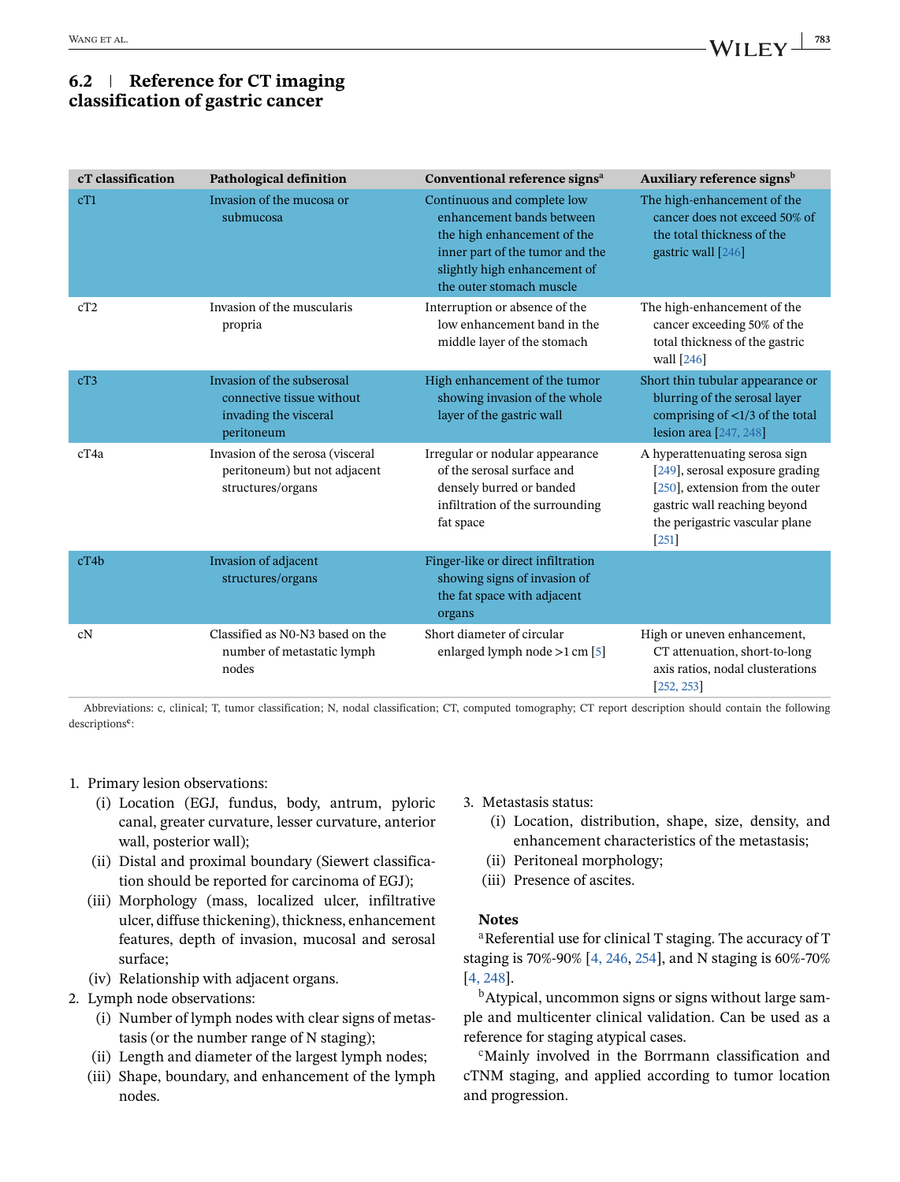### **6.2 Reference for CT imaging classification of gastric cancer**

| cT classification | <b>Pathological definition</b>                                                                 | Conventional reference signs <sup>a</sup>                                                                                                                                              | Auxiliary reference signs <sup>b</sup>                                                                                                                                               |
|-------------------|------------------------------------------------------------------------------------------------|----------------------------------------------------------------------------------------------------------------------------------------------------------------------------------------|--------------------------------------------------------------------------------------------------------------------------------------------------------------------------------------|
| cT1               | Invasion of the mucosa or<br>submucosa                                                         | Continuous and complete low<br>enhancement bands between<br>the high enhancement of the<br>inner part of the tumor and the<br>slightly high enhancement of<br>the outer stomach muscle | The high-enhancement of the<br>cancer does not exceed 50% of<br>the total thickness of the<br>gastric wall $[246]$                                                                   |
| cT2               | Invasion of the muscularis<br>propria                                                          | Interruption or absence of the<br>low enhancement band in the<br>middle layer of the stomach                                                                                           | The high-enhancement of the<br>cancer exceeding 50% of the<br>total thickness of the gastric<br>wall $[246]$                                                                         |
| cT3               | Invasion of the subserosal<br>connective tissue without<br>invading the visceral<br>peritoneum | High enhancement of the tumor<br>showing invasion of the whole<br>layer of the gastric wall                                                                                            | Short thin tubular appearance or<br>blurring of the serosal layer<br>comprising of $\langle 1/3$ of the total<br>lesion area $[247, 248]$                                            |
| cT4a              | Invasion of the serosa (visceral<br>peritoneum) but not adjacent<br>structures/organs          | Irregular or nodular appearance<br>of the serosal surface and<br>densely burred or banded<br>infiltration of the surrounding<br>fat space                                              | A hyperattenuating serosa sign<br>[249], serosal exposure grading<br>$[250]$ , extension from the outer<br>gastric wall reaching beyond<br>the perigastric vascular plane<br>$[251]$ |
| cT4b              | Invasion of adjacent<br>structures/organs                                                      | Finger-like or direct infiltration<br>showing signs of invasion of<br>the fat space with adjacent<br>organs                                                                            |                                                                                                                                                                                      |
| cN                | Classified as N0-N3 based on the<br>number of metastatic lymph<br>nodes                        | Short diameter of circular<br>enlarged lymph node >1 cm [5]                                                                                                                            | High or uneven enhancement,<br>CT attenuation, short-to-long<br>axis ratios, nodal clusterations<br>[252, 253]                                                                       |

Abbreviations: c, clinical; T, tumor classification; N, nodal classification; CT, computed tomography; CT report description should contain the following descriptions**<sup>c</sup>**:

### 1. Primary lesion observations:

- (i) Location (EGJ, fundus, body, antrum, pyloric canal, greater curvature, lesser curvature, anterior wall, posterior wall);
- (ii) Distal and proximal boundary (Siewert classification should be reported for carcinoma of EGJ);
- (iii) Morphology (mass, localized ulcer, infiltrative ulcer, diffuse thickening), thickness, enhancement features, depth of invasion, mucosal and serosal surface;
- (iv) Relationship with adjacent organs.
- 2. Lymph node observations:
	- (i) Number of lymph nodes with clear signs of metastasis (or the number range of N staging);
	- (ii) Length and diameter of the largest lymph nodes;
	- (iii) Shape, boundary, and enhancement of the lymph nodes.
- 3. Metastasis status:
	- (i) Location, distribution, shape, size, density, and enhancement characteristics of the metastasis;
	- (ii) Peritoneal morphology;
	- (iii) Presence of ascites.

### **Notes**

<sup>a</sup>Referential use for clinical T staging. The accuracy of T staging is 70%-90% [\[4, 246,](#page-38-0) [254\]](#page-48-0), and N staging is 60%-70% [\[4, 248\]](#page-38-0).

<sup>b</sup>Atypical, uncommon signs or signs without large sample and multicenter clinical validation. Can be used as a reference for staging atypical cases.

<sup>c</sup>Mainly involved in the Borrmann classification and cTNM staging, and applied according to tumor location and progression.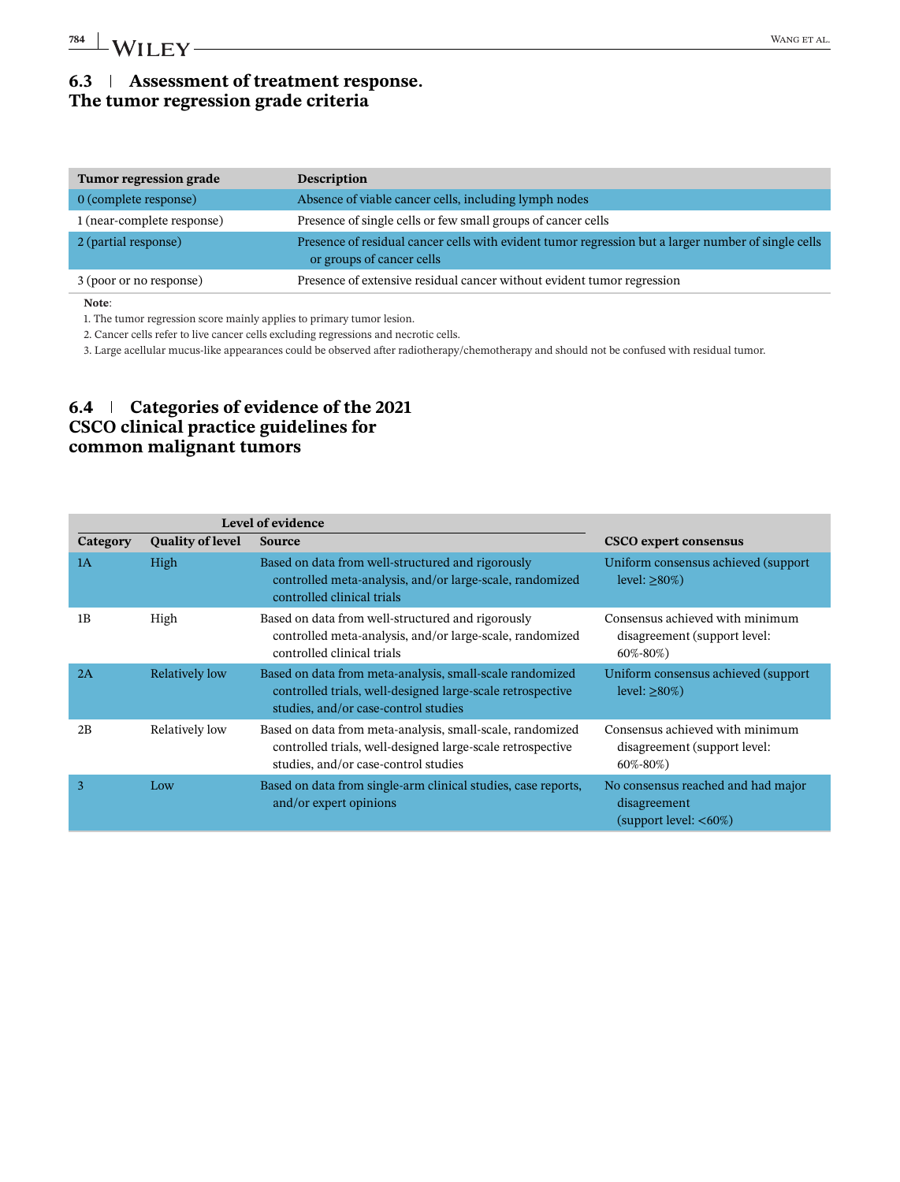### **6.3 Assessment of treatment response. The tumor regression grade criteria**

| <b>Tumor regression grade</b> | <b>Description</b>                                                                                                               |
|-------------------------------|----------------------------------------------------------------------------------------------------------------------------------|
| 0 (complete response)         | Absence of viable cancer cells, including lymph nodes                                                                            |
| 1 (near-complete response)    | Presence of single cells or few small groups of cancer cells                                                                     |
| 2 (partial response)          | Presence of residual cancer cells with evident tumor regression but a larger number of single cells<br>or groups of cancer cells |
| 3 (poor or no response)       | Presence of extensive residual cancer without evident tumor regression                                                           |
| Note:                         |                                                                                                                                  |

1. The tumor regression score mainly applies to primary tumor lesion.

2. Cancer cells refer to live cancer cells excluding regressions and necrotic cells.

3. Large acellular mucus-like appearances could be observed after radiotherapy/chemotherapy and should not be confused with residual tumor.

### **6.4 Categories of evidence of the 2021 CSCO clinical practice guidelines for common malignant tumors**

| Level of evidence |                         |                                                                                                                                                                 |                                                                                   |
|-------------------|-------------------------|-----------------------------------------------------------------------------------------------------------------------------------------------------------------|-----------------------------------------------------------------------------------|
| Category          | <b>Quality of level</b> | <b>Source</b>                                                                                                                                                   | <b>CSCO</b> expert consensus                                                      |
| 1A                | High                    | Based on data from well-structured and rigorously<br>controlled meta-analysis, and/or large-scale, randomized<br>controlled clinical trials                     | Uniform consensus achieved (support)<br>level: $\geq 80\%)$                       |
| 1B                | High                    | Based on data from well-structured and rigorously<br>controlled meta-analysis, and/or large-scale, randomized<br>controlled clinical trials                     | Consensus achieved with minimum<br>disagreement (support level:<br>60%-80%)       |
| 2A                | Relatively low          | Based on data from meta-analysis, small-scale randomized<br>controlled trials, well-designed large-scale retrospective<br>studies, and/or case-control studies  | Uniform consensus achieved (support)<br>level: $>80\%)$                           |
| 2B                | Relatively low          | Based on data from meta-analysis, small-scale, randomized<br>controlled trials, well-designed large-scale retrospective<br>studies, and/or case-control studies | Consensus achieved with minimum<br>disagreement (support level:<br>$60\% - 80\%$  |
| 3                 | Low                     | Based on data from single-arm clinical studies, case reports,<br>and/or expert opinions                                                                         | No consensus reached and had major<br>disagreement<br>$(s$ upport level: $<60\%)$ |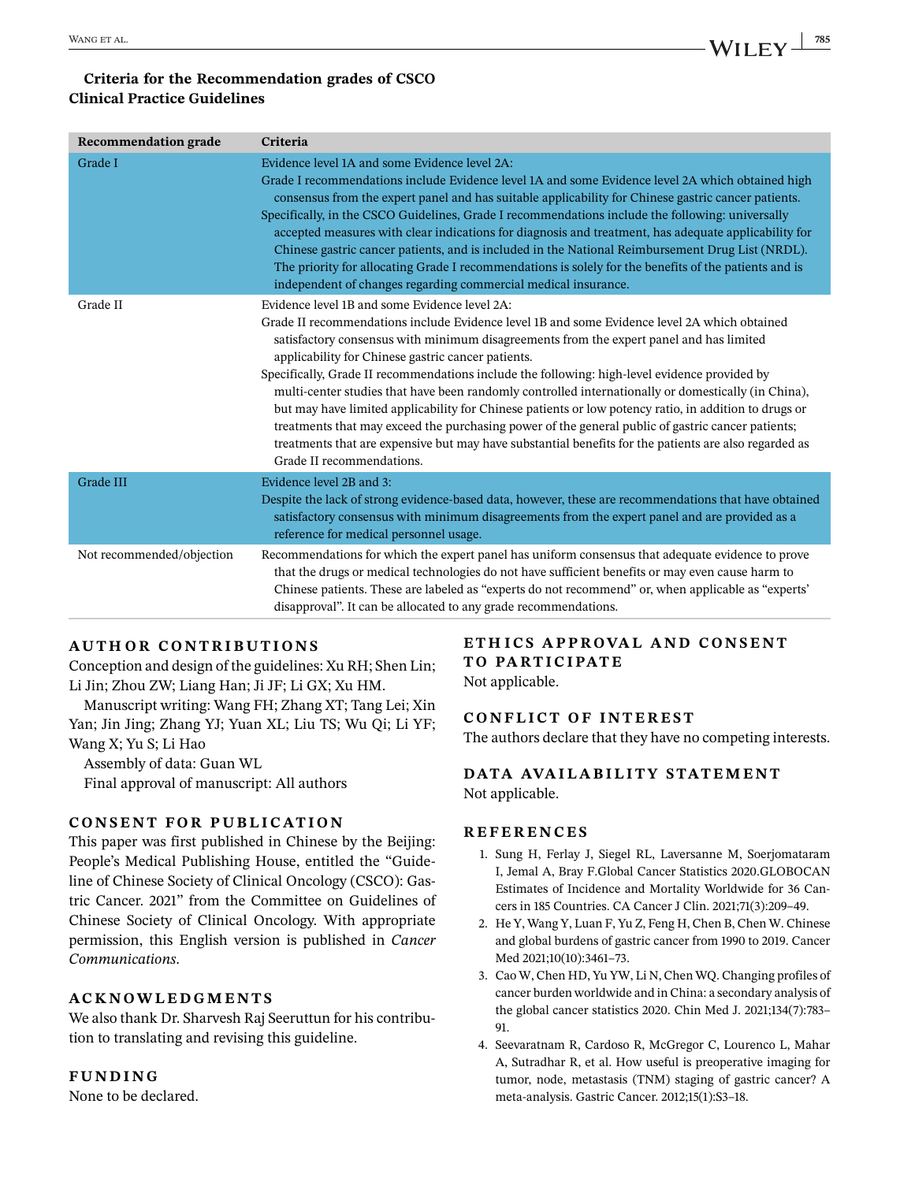### <span id="page-38-0"></span>**Criteria for the Recommendation grades of CSCO Clinical Practice Guidelines**

| <b>Recommendation grade</b> | Criteria                                                                                                                                                                                                                                                                                                                                                                                                                                                                                                                                                                                                                                                                                                                                                                                                                                                   |
|-----------------------------|------------------------------------------------------------------------------------------------------------------------------------------------------------------------------------------------------------------------------------------------------------------------------------------------------------------------------------------------------------------------------------------------------------------------------------------------------------------------------------------------------------------------------------------------------------------------------------------------------------------------------------------------------------------------------------------------------------------------------------------------------------------------------------------------------------------------------------------------------------|
| Grade I                     | Evidence level 1A and some Evidence level 2A:<br>Grade I recommendations include Evidence level 1A and some Evidence level 2A which obtained high<br>consensus from the expert panel and has suitable applicability for Chinese gastric cancer patients.<br>Specifically, in the CSCO Guidelines, Grade I recommendations include the following: universally<br>accepted measures with clear indications for diagnosis and treatment, has adequate applicability for<br>Chinese gastric cancer patients, and is included in the National Reimbursement Drug List (NRDL).<br>The priority for allocating Grade I recommendations is solely for the benefits of the patients and is<br>independent of changes regarding commercial medical insurance.                                                                                                        |
| Grade II                    | Evidence level 1B and some Evidence level 2A:<br>Grade II recommendations include Evidence level 1B and some Evidence level 2A which obtained<br>satisfactory consensus with minimum disagreements from the expert panel and has limited<br>applicability for Chinese gastric cancer patients.<br>Specifically, Grade II recommendations include the following: high-level evidence provided by<br>multi-center studies that have been randomly controlled internationally or domestically (in China),<br>but may have limited applicability for Chinese patients or low potency ratio, in addition to drugs or<br>treatments that may exceed the purchasing power of the general public of gastric cancer patients;<br>treatments that are expensive but may have substantial benefits for the patients are also regarded as<br>Grade II recommendations. |
| Grade III                   | Evidence level 2B and 3:<br>Despite the lack of strong evidence-based data, however, these are recommendations that have obtained<br>satisfactory consensus with minimum disagreements from the expert panel and are provided as a<br>reference for medical personnel usage.                                                                                                                                                                                                                                                                                                                                                                                                                                                                                                                                                                               |
| Not recommended/objection   | Recommendations for which the expert panel has uniform consensus that adequate evidence to prove<br>that the drugs or medical technologies do not have sufficient benefits or may even cause harm to<br>Chinese patients. These are labeled as "experts do not recommend" or, when applicable as "experts"<br>disapproval". It can be allocated to any grade recommendations.                                                                                                                                                                                                                                                                                                                                                                                                                                                                              |

### **AUTHOR CONTRIBUTIONS**

Conception and design of the guidelines: Xu RH; Shen Lin; Li Jin; Zhou ZW; Liang Han; Ji JF; Li GX; Xu HM.

Manuscript writing: Wang FH; Zhang XT; Tang Lei; Xin Yan; Jin Jing; Zhang YJ; Yuan XL; Liu TS; Wu Qi; Li YF; Wang X; Yu S; Li Hao

Assembly of data: Guan WL Final approval of manuscript: All authors

### **CONSENT FOR PUBLICATION**

This paper was first published in Chinese by the Beijing: People's Medical Publishing House, entitled the "Guideline of Chinese Society of Clinical Oncology (CSCO): Gastric Cancer. 2021" from the Committee on Guidelines of Chinese Society of Clinical Oncology. With appropriate permission, this English version is published in *Cancer Communications*.

### **ACKNOWLEDGMENTS**

We also thank Dr. Sharvesh Raj Seeruttun for his contribution to translating and revising this guideline.

### **FUNDING**

None to be declared.

### **ETH ICS APPROVAL AND CONSENT TO PARTICIPATE**

Not applicable.

### **CONFLICT OF INTEREST**

The authors declare that they have no competing interests.

### **DATA AVAILABILITY STATEMENT** Not applicable.

### **REFERENCES**

- 1. Sung H, Ferlay J, Siegel RL, Laversanne M, Soerjomataram I, Jemal A, Bray F.Global Cancer Statistics 2020.GLOBOCAN Estimates of Incidence and Mortality Worldwide for 36 Cancers in 185 Countries. CA Cancer J Clin. 2021;71(3):209–49.
- 2. He Y, Wang Y, Luan F, Yu Z, Feng H, Chen B, Chen W. Chinese and global burdens of gastric cancer from 1990 to 2019. Cancer Med 2021;10(10):3461–73.
- 3. Cao W, Chen HD, Yu YW, Li N, Chen WQ. Changing profiles of cancer burden worldwide and in China: a secondary analysis of the global cancer statistics 2020. Chin Med J. 2021;134(7):783– 91.
- 4. Seevaratnam R, Cardoso R, McGregor C, Lourenco L, Mahar A, Sutradhar R, et al. How useful is preoperative imaging for tumor, node, metastasis (TNM) staging of gastric cancer? A meta-analysis. Gastric Cancer. 2012;15(1):S3–18.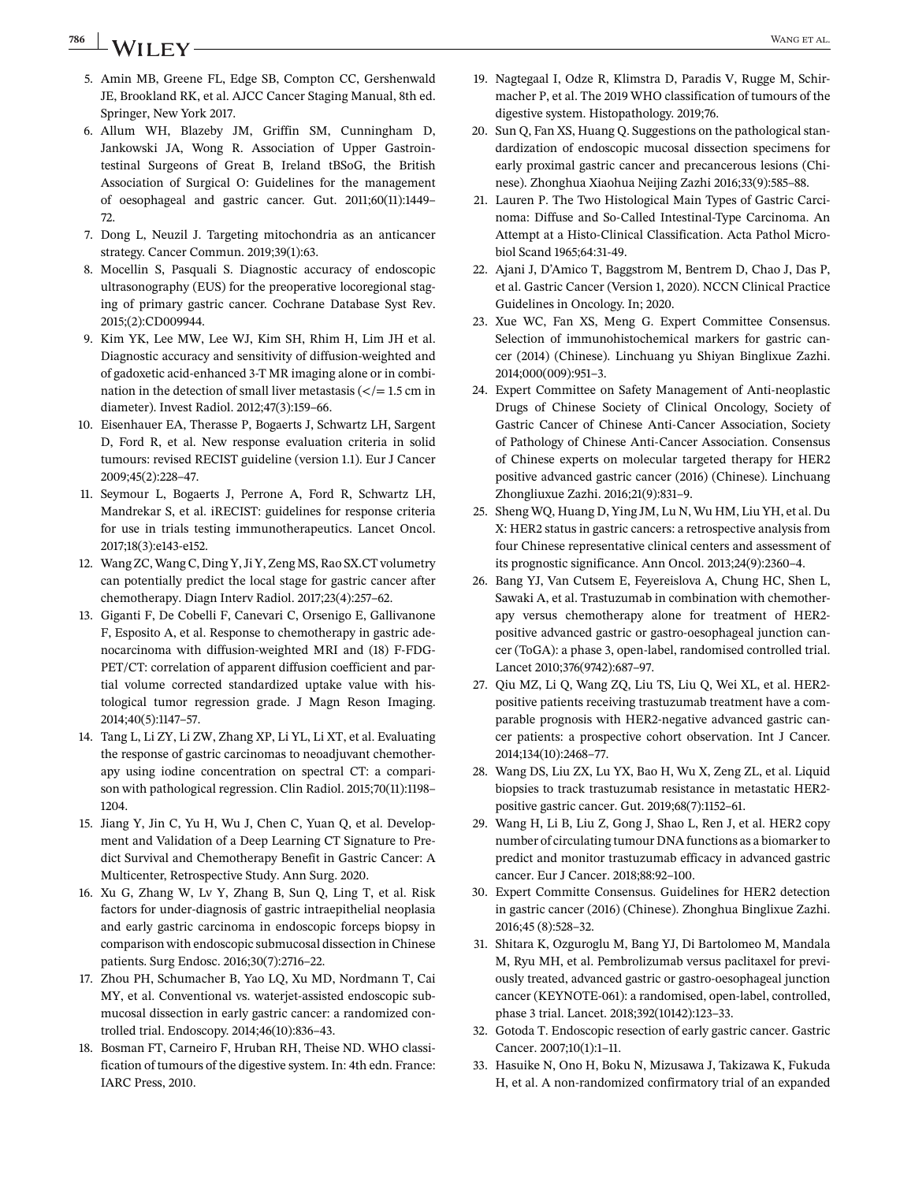## <span id="page-39-0"></span>**786 WANGET AL.** WANGET AL.

- 5. Amin MB, Greene FL, Edge SB, Compton CC, Gershenwald JE, Brookland RK, et al. AJCC Cancer Staging Manual, 8th ed. Springer, New York 2017.
- 6. Allum WH, Blazeby JM, Griffin SM, Cunningham D, Jankowski JA, Wong R. Association of Upper Gastrointestinal Surgeons of Great B, Ireland tBSoG, the British Association of Surgical O: Guidelines for the management of oesophageal and gastric cancer. Gut. 2011;60(11):1449– 72.
- 7. Dong L, Neuzil J. Targeting mitochondria as an anticancer strategy. Cancer Commun. 2019;39(1):63.
- 8. Mocellin S, Pasquali S. Diagnostic accuracy of endoscopic ultrasonography (EUS) for the preoperative locoregional staging of primary gastric cancer. Cochrane Database Syst Rev. 2015;(2):CD009944.
- 9. Kim YK, Lee MW, Lee WJ, Kim SH, Rhim H, Lim JH et al. Diagnostic accuracy and sensitivity of diffusion-weighted and of gadoxetic acid-enhanced 3-T MR imaging alone or in combination in the detection of small liver metastasis  $\left\langle \frac{\overline{}}{\overline{}}\right\rangle = 1.5$  cm in diameter). Invest Radiol. 2012;47(3):159–66.
- 10. Eisenhauer EA, Therasse P, Bogaerts J, Schwartz LH, Sargent D, Ford R, et al. New response evaluation criteria in solid tumours: revised RECIST guideline (version 1.1). Eur J Cancer 2009;45(2):228–47.
- 11. Seymour L, Bogaerts J, Perrone A, Ford R, Schwartz LH, Mandrekar S, et al. iRECIST: guidelines for response criteria for use in trials testing immunotherapeutics. Lancet Oncol. 2017;18(3):e143-e152.
- 12. Wang ZC, Wang C, Ding Y, Ji Y, Zeng MS, Rao SX.CT volumetry can potentially predict the local stage for gastric cancer after chemotherapy. Diagn Interv Radiol. 2017;23(4):257–62.
- 13. Giganti F, De Cobelli F, Canevari C, Orsenigo E, Gallivanone F, Esposito A, et al. Response to chemotherapy in gastric adenocarcinoma with diffusion-weighted MRI and (18) F-FDG-PET/CT: correlation of apparent diffusion coefficient and partial volume corrected standardized uptake value with histological tumor regression grade. J Magn Reson Imaging. 2014;40(5):1147–57.
- 14. Tang L, Li ZY, Li ZW, Zhang XP, Li YL, Li XT, et al. Evaluating the response of gastric carcinomas to neoadjuvant chemotherapy using iodine concentration on spectral CT: a comparison with pathological regression. Clin Radiol. 2015;70(11):1198– 1204.
- 15. Jiang Y, Jin C, Yu H, Wu J, Chen C, Yuan Q, et al. Development and Validation of a Deep Learning CT Signature to Predict Survival and Chemotherapy Benefit in Gastric Cancer: A Multicenter, Retrospective Study. Ann Surg. 2020.
- 16. Xu G, Zhang W, Lv Y, Zhang B, Sun Q, Ling T, et al. Risk factors for under-diagnosis of gastric intraepithelial neoplasia and early gastric carcinoma in endoscopic forceps biopsy in comparison with endoscopic submucosal dissection in Chinese patients. Surg Endosc. 2016;30(7):2716–22.
- 17. Zhou PH, Schumacher B, Yao LQ, Xu MD, Nordmann T, Cai MY, et al. Conventional vs. waterjet-assisted endoscopic submucosal dissection in early gastric cancer: a randomized controlled trial. Endoscopy. 2014;46(10):836–43.
- 18. Bosman FT, Carneiro F, Hruban RH, Theise ND. WHO classification of tumours of the digestive system. In: 4th edn. France: IARC Press, 2010.
- 19. Nagtegaal I, Odze R, Klimstra D, Paradis V, Rugge M, Schirmacher P, et al. The 2019 WHO classification of tumours of the digestive system. Histopathology. 2019;76.
- 20. Sun Q, Fan XS, Huang Q. Suggestions on the pathological standardization of endoscopic mucosal dissection specimens for early proximal gastric cancer and precancerous lesions (Chinese). Zhonghua Xiaohua Neijing Zazhi 2016;33(9):585–88.
- 21. Lauren P. The Two Histological Main Types of Gastric Carcinoma: Diffuse and So-Called Intestinal-Type Carcinoma. An Attempt at a Histo-Clinical Classification. Acta Pathol Microbiol Scand 1965;64:31-49.
- 22. Ajani J, D'Amico T, Baggstrom M, Bentrem D, Chao J, Das P, et al. Gastric Cancer (Version 1, 2020). NCCN Clinical Practice Guidelines in Oncology. In; 2020.
- 23. Xue WC, Fan XS, Meng G. Expert Committee Consensus. Selection of immunohistochemical markers for gastric cancer (2014) (Chinese). Linchuang yu Shiyan Binglixue Zazhi. 2014;000(009):951–3.
- 24. Expert Committee on Safety Management of Anti-neoplastic Drugs of Chinese Society of Clinical Oncology, Society of Gastric Cancer of Chinese Anti-Cancer Association, Society of Pathology of Chinese Anti-Cancer Association. Consensus of Chinese experts on molecular targeted therapy for HER2 positive advanced gastric cancer (2016) (Chinese). Linchuang Zhongliuxue Zazhi. 2016;21(9):831–9.
- 25. Sheng WQ, Huang D, Ying JM, Lu N, Wu HM, Liu YH, et al. Du X: HER2 status in gastric cancers: a retrospective analysis from four Chinese representative clinical centers and assessment of its prognostic significance. Ann Oncol. 2013;24(9):2360–4.
- 26. Bang YJ, Van Cutsem E, Feyereislova A, Chung HC, Shen L, Sawaki A, et al. Trastuzumab in combination with chemotherapy versus chemotherapy alone for treatment of HER2 positive advanced gastric or gastro-oesophageal junction cancer (ToGA): a phase 3, open-label, randomised controlled trial. Lancet 2010;376(9742):687–97.
- 27. Qiu MZ, Li Q, Wang ZQ, Liu TS, Liu Q, Wei XL, et al. HER2 positive patients receiving trastuzumab treatment have a comparable prognosis with HER2-negative advanced gastric cancer patients: a prospective cohort observation. Int J Cancer. 2014;134(10):2468–77.
- 28. Wang DS, Liu ZX, Lu YX, Bao H, Wu X, Zeng ZL, et al. Liquid biopsies to track trastuzumab resistance in metastatic HER2 positive gastric cancer. Gut. 2019;68(7):1152–61.
- 29. Wang H, Li B, Liu Z, Gong J, Shao L, Ren J, et al. HER2 copy number of circulating tumour DNA functions as a biomarker to predict and monitor trastuzumab efficacy in advanced gastric cancer. Eur J Cancer. 2018;88:92–100.
- 30. Expert Committe Consensus. Guidelines for HER2 detection in gastric cancer (2016) (Chinese). Zhonghua Binglixue Zazhi. 2016;45 (8):528–32.
- 31. Shitara K, Ozguroglu M, Bang YJ, Di Bartolomeo M, Mandala M, Ryu MH, et al. Pembrolizumab versus paclitaxel for previously treated, advanced gastric or gastro-oesophageal junction cancer (KEYNOTE-061): a randomised, open-label, controlled, phase 3 trial. Lancet. 2018;392(10142):123–33.
- 32. Gotoda T. Endoscopic resection of early gastric cancer. Gastric Cancer. 2007;10(1):1–11.
- 33. Hasuike N, Ono H, Boku N, Mizusawa J, Takizawa K, Fukuda H, et al. A non-randomized confirmatory trial of an expanded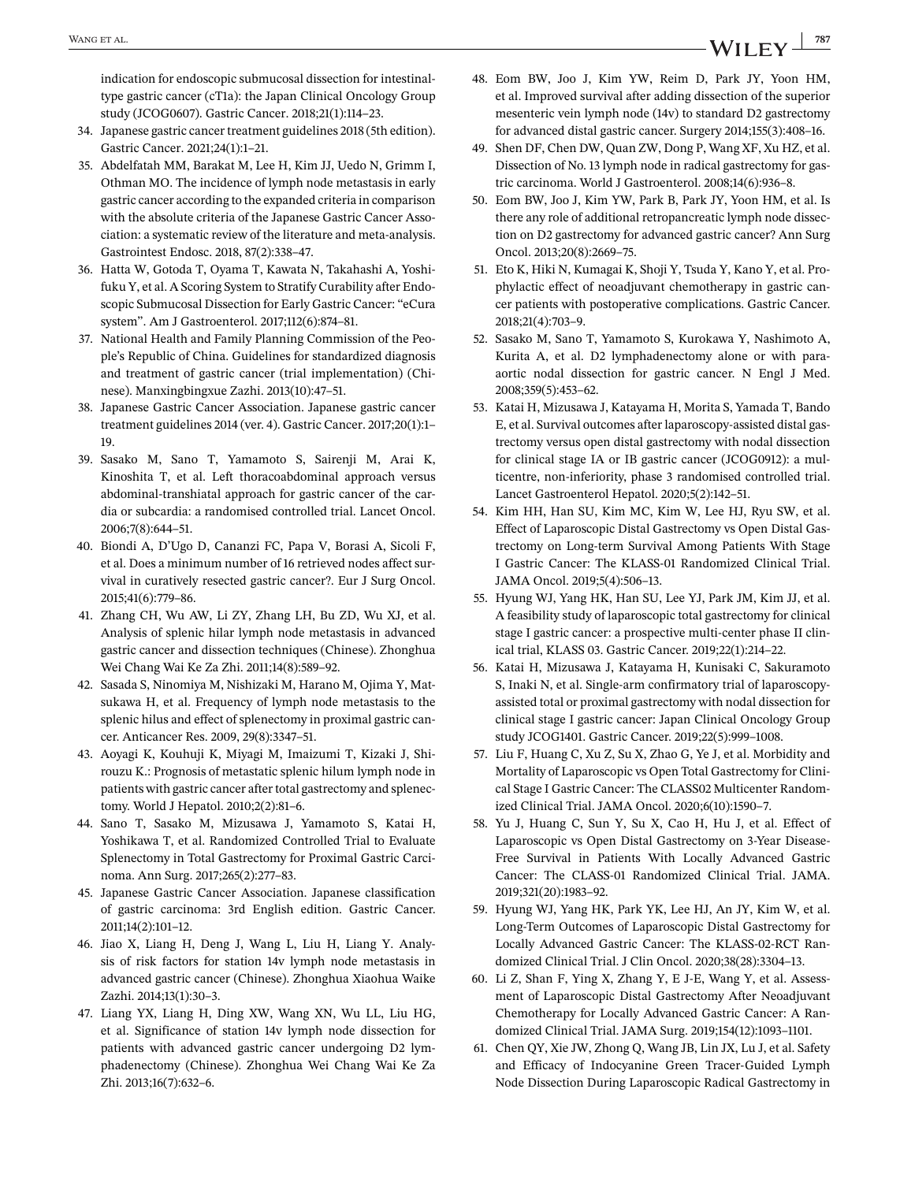<span id="page-40-0"></span>indication for endoscopic submucosal dissection for intestinaltype gastric cancer (cT1a): the Japan Clinical Oncology Group study (JCOG0607). Gastric Cancer. 2018;21(1):114–23.

- 34. Japanese gastric cancer treatment guidelines 2018 (5th edition). Gastric Cancer. 2021;24(1):1–21.
- 35. Abdelfatah MM, Barakat M, Lee H, Kim JJ, Uedo N, Grimm I, Othman MO. The incidence of lymph node metastasis in early gastric cancer according to the expanded criteria in comparison with the absolute criteria of the Japanese Gastric Cancer Association: a systematic review of the literature and meta-analysis. Gastrointest Endosc. 2018, 87(2):338–47.
- 36. Hatta W, Gotoda T, Oyama T, Kawata N, Takahashi A, Yoshifuku Y, et al. A Scoring System to Stratify Curability after Endoscopic Submucosal Dissection for Early Gastric Cancer: "eCura system". Am J Gastroenterol. 2017;112(6):874–81.
- 37. National Health and Family Planning Commission of the People's Republic of China. Guidelines for standardized diagnosis and treatment of gastric cancer (trial implementation) (Chinese). Manxingbingxue Zazhi. 2013(10):47–51.
- 38. Japanese Gastric Cancer Association. Japanese gastric cancer treatment guidelines 2014 (ver. 4). Gastric Cancer. 2017;20(1):1– 19.
- 39. Sasako M, Sano T, Yamamoto S, Sairenji M, Arai K, Kinoshita T, et al. Left thoracoabdominal approach versus abdominal-transhiatal approach for gastric cancer of the cardia or subcardia: a randomised controlled trial. Lancet Oncol. 2006;7(8):644–51.
- 40. Biondi A, D'Ugo D, Cananzi FC, Papa V, Borasi A, Sicoli F, et al. Does a minimum number of 16 retrieved nodes affect survival in curatively resected gastric cancer?. Eur J Surg Oncol. 2015;41(6):779–86.
- 41. Zhang CH, Wu AW, Li ZY, Zhang LH, Bu ZD, Wu XJ, et al. Analysis of splenic hilar lymph node metastasis in advanced gastric cancer and dissection techniques (Chinese). Zhonghua Wei Chang Wai Ke Za Zhi. 2011;14(8):589–92.
- 42. Sasada S, Ninomiya M, Nishizaki M, Harano M, Ojima Y, Matsukawa H, et al. Frequency of lymph node metastasis to the splenic hilus and effect of splenectomy in proximal gastric cancer. Anticancer Res. 2009, 29(8):3347–51.
- 43. Aoyagi K, Kouhuji K, Miyagi M, Imaizumi T, Kizaki J, Shirouzu K.: Prognosis of metastatic splenic hilum lymph node in patients with gastric cancer after total gastrectomy and splenectomy. World J Hepatol. 2010;2(2):81–6.
- 44. Sano T, Sasako M, Mizusawa J, Yamamoto S, Katai H, Yoshikawa T, et al. Randomized Controlled Trial to Evaluate Splenectomy in Total Gastrectomy for Proximal Gastric Carcinoma. Ann Surg. 2017;265(2):277–83.
- 45. Japanese Gastric Cancer Association. Japanese classification of gastric carcinoma: 3rd English edition. Gastric Cancer. 2011;14(2):101–12.
- 46. Jiao X, Liang H, Deng J, Wang L, Liu H, Liang Y. Analysis of risk factors for station 14v lymph node metastasis in advanced gastric cancer (Chinese). Zhonghua Xiaohua Waike Zazhi. 2014;13(1):30–3.
- 47. Liang YX, Liang H, Ding XW, Wang XN, Wu LL, Liu HG, et al. Significance of station 14v lymph node dissection for patients with advanced gastric cancer undergoing D2 lymphadenectomy (Chinese). Zhonghua Wei Chang Wai Ke Za Zhi. 2013;16(7):632–6.
- 48. Eom BW, Joo J, Kim YW, Reim D, Park JY, Yoon HM, et al. Improved survival after adding dissection of the superior mesenteric vein lymph node (14v) to standard D2 gastrectomy for advanced distal gastric cancer. Surgery 2014;155(3):408–16.
- 49. Shen DF, Chen DW, Quan ZW, Dong P, Wang XF, Xu HZ, et al. Dissection of No. 13 lymph node in radical gastrectomy for gastric carcinoma. World J Gastroenterol. 2008;14(6):936–8.
- 50. Eom BW, Joo J, Kim YW, Park B, Park JY, Yoon HM, et al. Is there any role of additional retropancreatic lymph node dissection on D2 gastrectomy for advanced gastric cancer? Ann Surg Oncol. 2013;20(8):2669–75.
- 51. Eto K, Hiki N, Kumagai K, Shoji Y, Tsuda Y, Kano Y, et al. Prophylactic effect of neoadjuvant chemotherapy in gastric cancer patients with postoperative complications. Gastric Cancer. 2018;21(4):703–9.
- 52. Sasako M, Sano T, Yamamoto S, Kurokawa Y, Nashimoto A, Kurita A, et al. D2 lymphadenectomy alone or with paraaortic nodal dissection for gastric cancer. N Engl J Med. 2008;359(5):453–62.
- 53. Katai H, Mizusawa J, Katayama H, Morita S, Yamada T, Bando E, et al. Survival outcomes after laparoscopy-assisted distal gastrectomy versus open distal gastrectomy with nodal dissection for clinical stage IA or IB gastric cancer (JCOG0912): a multicentre, non-inferiority, phase 3 randomised controlled trial. Lancet Gastroenterol Hepatol. 2020;5(2):142–51.
- 54. Kim HH, Han SU, Kim MC, Kim W, Lee HJ, Ryu SW, et al. Effect of Laparoscopic Distal Gastrectomy vs Open Distal Gastrectomy on Long-term Survival Among Patients With Stage I Gastric Cancer: The KLASS-01 Randomized Clinical Trial. JAMA Oncol. 2019;5(4):506–13.
- 55. Hyung WJ, Yang HK, Han SU, Lee YJ, Park JM, Kim JJ, et al. A feasibility study of laparoscopic total gastrectomy for clinical stage I gastric cancer: a prospective multi-center phase II clinical trial, KLASS 03. Gastric Cancer. 2019;22(1):214–22.
- 56. Katai H, Mizusawa J, Katayama H, Kunisaki C, Sakuramoto S, Inaki N, et al. Single-arm confirmatory trial of laparoscopyassisted total or proximal gastrectomy with nodal dissection for clinical stage I gastric cancer: Japan Clinical Oncology Group study JCOG1401. Gastric Cancer. 2019;22(5):999–1008.
- 57. Liu F, Huang C, Xu Z, Su X, Zhao G, Ye J, et al. Morbidity and Mortality of Laparoscopic vs Open Total Gastrectomy for Clinical Stage I Gastric Cancer: The CLASS02 Multicenter Randomized Clinical Trial. JAMA Oncol. 2020;6(10):1590–7.
- 58. Yu J, Huang C, Sun Y, Su X, Cao H, Hu J, et al. Effect of Laparoscopic vs Open Distal Gastrectomy on 3-Year Disease-Free Survival in Patients With Locally Advanced Gastric Cancer: The CLASS-01 Randomized Clinical Trial. JAMA. 2019;321(20):1983–92.
- 59. Hyung WJ, Yang HK, Park YK, Lee HJ, An JY, Kim W, et al. Long-Term Outcomes of Laparoscopic Distal Gastrectomy for Locally Advanced Gastric Cancer: The KLASS-02-RCT Randomized Clinical Trial. J Clin Oncol. 2020;38(28):3304–13.
- 60. Li Z, Shan F, Ying X, Zhang Y, E J-E, Wang Y, et al. Assessment of Laparoscopic Distal Gastrectomy After Neoadjuvant Chemotherapy for Locally Advanced Gastric Cancer: A Randomized Clinical Trial. JAMA Surg. 2019;154(12):1093–1101.
- 61. Chen QY, Xie JW, Zhong Q, Wang JB, Lin JX, Lu J, et al. Safety and Efficacy of Indocyanine Green Tracer-Guided Lymph Node Dissection During Laparoscopic Radical Gastrectomy in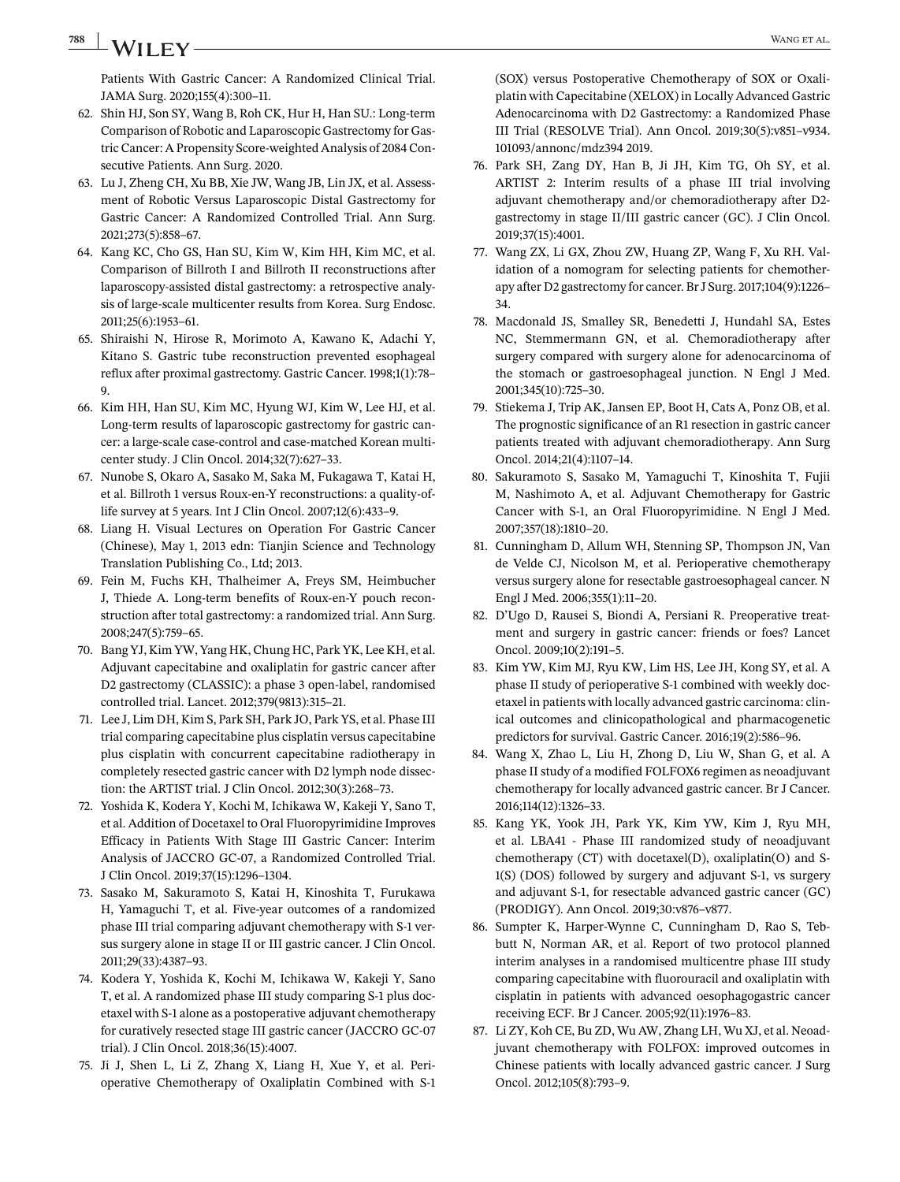<span id="page-41-0"></span>**788 WANGET AL.** WANGET AL.

Patients With Gastric Cancer: A Randomized Clinical Trial. JAMA Surg. 2020;155(4):300–11.

- 62. Shin HJ, Son SY, Wang B, Roh CK, Hur H, Han SU.: Long-term Comparison of Robotic and Laparoscopic Gastrectomy for Gastric Cancer: A Propensity Score-weighted Analysis of 2084 Consecutive Patients. Ann Surg. 2020.
- 63. Lu J, Zheng CH, Xu BB, Xie JW, Wang JB, Lin JX, et al. Assessment of Robotic Versus Laparoscopic Distal Gastrectomy for Gastric Cancer: A Randomized Controlled Trial. Ann Surg. 2021;273(5):858–67.
- 64. Kang KC, Cho GS, Han SU, Kim W, Kim HH, Kim MC, et al. Comparison of Billroth I and Billroth II reconstructions after laparoscopy-assisted distal gastrectomy: a retrospective analysis of large-scale multicenter results from Korea. Surg Endosc. 2011;25(6):1953–61.
- 65. Shiraishi N, Hirose R, Morimoto A, Kawano K, Adachi Y, Kitano S. Gastric tube reconstruction prevented esophageal reflux after proximal gastrectomy. Gastric Cancer. 1998;1(1):78– 9.
- 66. Kim HH, Han SU, Kim MC, Hyung WJ, Kim W, Lee HJ, et al. Long-term results of laparoscopic gastrectomy for gastric cancer: a large-scale case-control and case-matched Korean multicenter study. J Clin Oncol. 2014;32(7):627–33.
- 67. Nunobe S, Okaro A, Sasako M, Saka M, Fukagawa T, Katai H, et al. Billroth 1 versus Roux-en-Y reconstructions: a quality-oflife survey at 5 years. Int J Clin Oncol. 2007;12(6):433–9.
- 68. Liang H. Visual Lectures on Operation For Gastric Cancer (Chinese), May 1, 2013 edn: Tianjin Science and Technology Translation Publishing Co., Ltd; 2013.
- 69. Fein M, Fuchs KH, Thalheimer A, Freys SM, Heimbucher J, Thiede A. Long-term benefits of Roux-en-Y pouch reconstruction after total gastrectomy: a randomized trial. Ann Surg. 2008;247(5):759–65.
- 70. Bang YJ, Kim YW, Yang HK, Chung HC, Park YK, Lee KH, et al. Adjuvant capecitabine and oxaliplatin for gastric cancer after D2 gastrectomy (CLASSIC): a phase 3 open-label, randomised controlled trial. Lancet. 2012;379(9813):315–21.
- 71. Lee J, Lim DH, Kim S, Park SH, Park JO, Park YS, et al. Phase III trial comparing capecitabine plus cisplatin versus capecitabine plus cisplatin with concurrent capecitabine radiotherapy in completely resected gastric cancer with D2 lymph node dissection: the ARTIST trial. J Clin Oncol. 2012;30(3):268–73.
- 72. Yoshida K, Kodera Y, Kochi M, Ichikawa W, Kakeji Y, Sano T, et al. Addition of Docetaxel to Oral Fluoropyrimidine Improves Efficacy in Patients With Stage III Gastric Cancer: Interim Analysis of JACCRO GC-07, a Randomized Controlled Trial. J Clin Oncol. 2019;37(15):1296–1304.
- 73. Sasako M, Sakuramoto S, Katai H, Kinoshita T, Furukawa H, Yamaguchi T, et al. Five-year outcomes of a randomized phase III trial comparing adjuvant chemotherapy with S-1 versus surgery alone in stage II or III gastric cancer. J Clin Oncol. 2011;29(33):4387–93.
- 74. Kodera Y, Yoshida K, Kochi M, Ichikawa W, Kakeji Y, Sano T, et al. A randomized phase III study comparing S-1 plus docetaxel with S-1 alone as a postoperative adjuvant chemotherapy for curatively resected stage III gastric cancer (JACCRO GC-07 trial). J Clin Oncol. 2018;36(15):4007.
- 75. Ji J, Shen L, Li Z, Zhang X, Liang H, Xue Y, et al. Perioperative Chemotherapy of Oxaliplatin Combined with S-1

(SOX) versus Postoperative Chemotherapy of SOX or Oxaliplatin with Capecitabine (XELOX) in Locally Advanced Gastric Adenocarcinoma with D2 Gastrectomy: a Randomized Phase III Trial (RESOLVE Trial). Ann Oncol. 2019;30(5):v851–v934. 101093/annonc/mdz394 2019.

- 76. Park SH, Zang DY, Han B, Ji JH, Kim TG, Oh SY, et al. ARTIST 2: Interim results of a phase III trial involving adjuvant chemotherapy and/or chemoradiotherapy after D2 gastrectomy in stage II/III gastric cancer (GC). J Clin Oncol. 2019;37(15):4001.
- 77. Wang ZX, Li GX, Zhou ZW, Huang ZP, Wang F, Xu RH. Validation of a nomogram for selecting patients for chemotherapy after D2 gastrectomy for cancer. Br J Surg. 2017;104(9):1226– 34.
- 78. Macdonald JS, Smalley SR, Benedetti J, Hundahl SA, Estes NC, Stemmermann GN, et al. Chemoradiotherapy after surgery compared with surgery alone for adenocarcinoma of the stomach or gastroesophageal junction. N Engl J Med. 2001;345(10):725–30.
- 79. Stiekema J, Trip AK, Jansen EP, Boot H, Cats A, Ponz OB, et al. The prognostic significance of an R1 resection in gastric cancer patients treated with adjuvant chemoradiotherapy. Ann Surg Oncol. 2014;21(4):1107–14.
- 80. Sakuramoto S, Sasako M, Yamaguchi T, Kinoshita T, Fujii M, Nashimoto A, et al. Adjuvant Chemotherapy for Gastric Cancer with S-1, an Oral Fluoropyrimidine. N Engl J Med. 2007;357(18):1810–20.
- 81. Cunningham D, Allum WH, Stenning SP, Thompson JN, Van de Velde CJ, Nicolson M, et al. Perioperative chemotherapy versus surgery alone for resectable gastroesophageal cancer. N Engl J Med. 2006;355(1):11–20.
- 82. D'Ugo D, Rausei S, Biondi A, Persiani R. Preoperative treatment and surgery in gastric cancer: friends or foes? Lancet Oncol. 2009;10(2):191–5.
- 83. Kim YW, Kim MJ, Ryu KW, Lim HS, Lee JH, Kong SY, et al. A phase II study of perioperative S-1 combined with weekly docetaxel in patients with locally advanced gastric carcinoma: clinical outcomes and clinicopathological and pharmacogenetic predictors for survival. Gastric Cancer. 2016;19(2):586–96.
- 84. Wang X, Zhao L, Liu H, Zhong D, Liu W, Shan G, et al. A phase II study of a modified FOLFOX6 regimen as neoadjuvant chemotherapy for locally advanced gastric cancer. Br J Cancer. 2016;114(12):1326–33.
- 85. Kang YK, Yook JH, Park YK, Kim YW, Kim J, Ryu MH, et al. LBA41 - Phase III randomized study of neoadjuvant chemotherapy (CT) with docetaxel(D), oxaliplatin(O) and S-1(S) (DOS) followed by surgery and adjuvant S-1, vs surgery and adjuvant S-1, for resectable advanced gastric cancer (GC) (PRODIGY). Ann Oncol. 2019;30:v876–v877.
- 86. Sumpter K, Harper-Wynne C, Cunningham D, Rao S, Tebbutt N, Norman AR, et al. Report of two protocol planned interim analyses in a randomised multicentre phase III study comparing capecitabine with fluorouracil and oxaliplatin with cisplatin in patients with advanced oesophagogastric cancer receiving ECF. Br J Cancer. 2005;92(11):1976–83.
- 87. Li ZY, Koh CE, Bu ZD, Wu AW, Zhang LH, Wu XJ, et al. Neoadjuvant chemotherapy with FOLFOX: improved outcomes in Chinese patients with locally advanced gastric cancer. J Surg Oncol. 2012;105(8):793–9.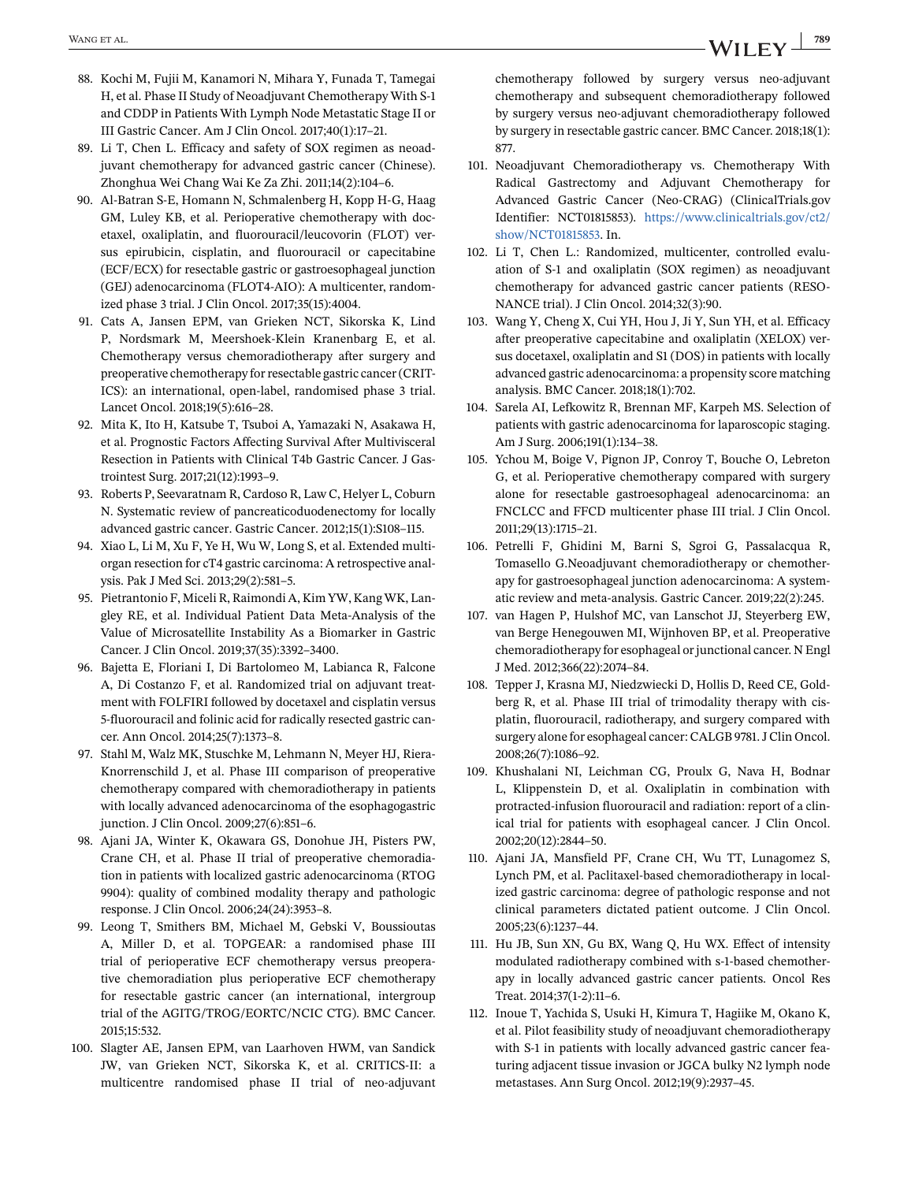- <span id="page-42-0"></span>88. Kochi M, Fujii M, Kanamori N, Mihara Y, Funada T, Tamegai H, et al. Phase II Study of Neoadjuvant Chemotherapy With S-1 and CDDP in Patients With Lymph Node Metastatic Stage II or III Gastric Cancer. Am J Clin Oncol. 2017;40(1):17–21.
- 89. Li T, Chen L. Efficacy and safety of SOX regimen as neoadjuvant chemotherapy for advanced gastric cancer (Chinese). Zhonghua Wei Chang Wai Ke Za Zhi. 2011;14(2):104–6.
- 90. Al-Batran S-E, Homann N, Schmalenberg H, Kopp H-G, Haag GM, Luley KB, et al. Perioperative chemotherapy with docetaxel, oxaliplatin, and fluorouracil/leucovorin (FLOT) versus epirubicin, cisplatin, and fluorouracil or capecitabine (ECF/ECX) for resectable gastric or gastroesophageal junction (GEJ) adenocarcinoma (FLOT4-AIO): A multicenter, randomized phase 3 trial. J Clin Oncol. 2017;35(15):4004.
- 91. Cats A, Jansen EPM, van Grieken NCT, Sikorska K, Lind P, Nordsmark M, Meershoek-Klein Kranenbarg E, et al. Chemotherapy versus chemoradiotherapy after surgery and preoperative chemotherapy for resectable gastric cancer (CRIT-ICS): an international, open-label, randomised phase 3 trial. Lancet Oncol. 2018;19(5):616–28.
- 92. Mita K, Ito H, Katsube T, Tsuboi A, Yamazaki N, Asakawa H, et al. Prognostic Factors Affecting Survival After Multivisceral Resection in Patients with Clinical T4b Gastric Cancer. J Gastrointest Surg. 2017;21(12):1993–9.
- 93. Roberts P, Seevaratnam R, Cardoso R, Law C, Helyer L, Coburn N. Systematic review of pancreaticoduodenectomy for locally advanced gastric cancer. Gastric Cancer. 2012;15(1):S108–115.
- 94. Xiao L, Li M, Xu F, Ye H, Wu W, Long S, et al. Extended multiorgan resection for cT4 gastric carcinoma: A retrospective analysis. Pak J Med Sci. 2013;29(2):581–5.
- 95. Pietrantonio F, Miceli R, Raimondi A, Kim YW, Kang WK, Langley RE, et al. Individual Patient Data Meta-Analysis of the Value of Microsatellite Instability As a Biomarker in Gastric Cancer. J Clin Oncol. 2019;37(35):3392–3400.
- 96. Bajetta E, Floriani I, Di Bartolomeo M, Labianca R, Falcone A, Di Costanzo F, et al. Randomized trial on adjuvant treatment with FOLFIRI followed by docetaxel and cisplatin versus 5-fluorouracil and folinic acid for radically resected gastric cancer. Ann Oncol. 2014;25(7):1373–8.
- 97. Stahl M, Walz MK, Stuschke M, Lehmann N, Meyer HJ, Riera-Knorrenschild J, et al. Phase III comparison of preoperative chemotherapy compared with chemoradiotherapy in patients with locally advanced adenocarcinoma of the esophagogastric junction. J Clin Oncol. 2009;27(6):851–6.
- 98. Ajani JA, Winter K, Okawara GS, Donohue JH, Pisters PW, Crane CH, et al. Phase II trial of preoperative chemoradiation in patients with localized gastric adenocarcinoma (RTOG 9904): quality of combined modality therapy and pathologic response. J Clin Oncol. 2006;24(24):3953–8.
- 99. Leong T, Smithers BM, Michael M, Gebski V, Boussioutas A, Miller D, et al. TOPGEAR: a randomised phase III trial of perioperative ECF chemotherapy versus preoperative chemoradiation plus perioperative ECF chemotherapy for resectable gastric cancer (an international, intergroup trial of the AGITG/TROG/EORTC/NCIC CTG). BMC Cancer. 2015;15:532.
- 100. Slagter AE, Jansen EPM, van Laarhoven HWM, van Sandick JW, van Grieken NCT, Sikorska K, et al. CRITICS-II: a multicentre randomised phase II trial of neo-adjuvant

chemotherapy followed by surgery versus neo-adjuvant chemotherapy and subsequent chemoradiotherapy followed by surgery versus neo-adjuvant chemoradiotherapy followed by surgery in resectable gastric cancer. BMC Cancer. 2018;18(1): 877.

- 101. Neoadjuvant Chemoradiotherapy vs. Chemotherapy With Radical Gastrectomy and Adjuvant Chemotherapy for Advanced Gastric Cancer (Neo-CRAG) (ClinicalTrials.gov Identifier: NCT01815853). [https://www.clinicaltrials.gov/ct2/](https://www.clinicaltrials.gov/ct2/show/NCT01815853) [show/NCT01815853.](https://www.clinicaltrials.gov/ct2/show/NCT01815853) In.
- 102. Li T, Chen L.: Randomized, multicenter, controlled evaluation of S-1 and oxaliplatin (SOX regimen) as neoadjuvant chemotherapy for advanced gastric cancer patients (RESO-NANCE trial). J Clin Oncol. 2014;32(3):90.
- 103. Wang Y, Cheng X, Cui YH, Hou J, Ji Y, Sun YH, et al. Efficacy after preoperative capecitabine and oxaliplatin (XELOX) versus docetaxel, oxaliplatin and S1 (DOS) in patients with locally advanced gastric adenocarcinoma: a propensity score matching analysis. BMC Cancer. 2018;18(1):702.
- 104. Sarela AI, Lefkowitz R, Brennan MF, Karpeh MS. Selection of patients with gastric adenocarcinoma for laparoscopic staging. Am J Surg. 2006;191(1):134–38.
- 105. Ychou M, Boige V, Pignon JP, Conroy T, Bouche O, Lebreton G, et al. Perioperative chemotherapy compared with surgery alone for resectable gastroesophageal adenocarcinoma: an FNCLCC and FFCD multicenter phase III trial. J Clin Oncol. 2011;29(13):1715–21.
- 106. Petrelli F, Ghidini M, Barni S, Sgroi G, Passalacqua R, Tomasello G.Neoadjuvant chemoradiotherapy or chemotherapy for gastroesophageal junction adenocarcinoma: A systematic review and meta-analysis. Gastric Cancer. 2019;22(2):245.
- 107. van Hagen P, Hulshof MC, van Lanschot JJ, Steyerberg EW, van Berge Henegouwen MI, Wijnhoven BP, et al. Preoperative chemoradiotherapy for esophageal or junctional cancer. N Engl J Med. 2012;366(22):2074–84.
- 108. Tepper J, Krasna MJ, Niedzwiecki D, Hollis D, Reed CE, Goldberg R, et al. Phase III trial of trimodality therapy with cisplatin, fluorouracil, radiotherapy, and surgery compared with surgery alone for esophageal cancer: CALGB 9781. J Clin Oncol. 2008;26(7):1086–92.
- 109. Khushalani NI, Leichman CG, Proulx G, Nava H, Bodnar L, Klippenstein D, et al. Oxaliplatin in combination with protracted-infusion fluorouracil and radiation: report of a clinical trial for patients with esophageal cancer. J Clin Oncol. 2002;20(12):2844–50.
- 110. Ajani JA, Mansfield PF, Crane CH, Wu TT, Lunagomez S, Lynch PM, et al. Paclitaxel-based chemoradiotherapy in localized gastric carcinoma: degree of pathologic response and not clinical parameters dictated patient outcome. J Clin Oncol. 2005;23(6):1237–44.
- 111. Hu JB, Sun XN, Gu BX, Wang Q, Hu WX. Effect of intensity modulated radiotherapy combined with s-1-based chemotherapy in locally advanced gastric cancer patients. Oncol Res Treat. 2014;37(1-2):11–6.
- 112. Inoue T, Yachida S, Usuki H, Kimura T, Hagiike M, Okano K, et al. Pilot feasibility study of neoadjuvant chemoradiotherapy with S-1 in patients with locally advanced gastric cancer featuring adjacent tissue invasion or JGCA bulky N2 lymph node metastases. Ann Surg Oncol. 2012;19(9):2937–45.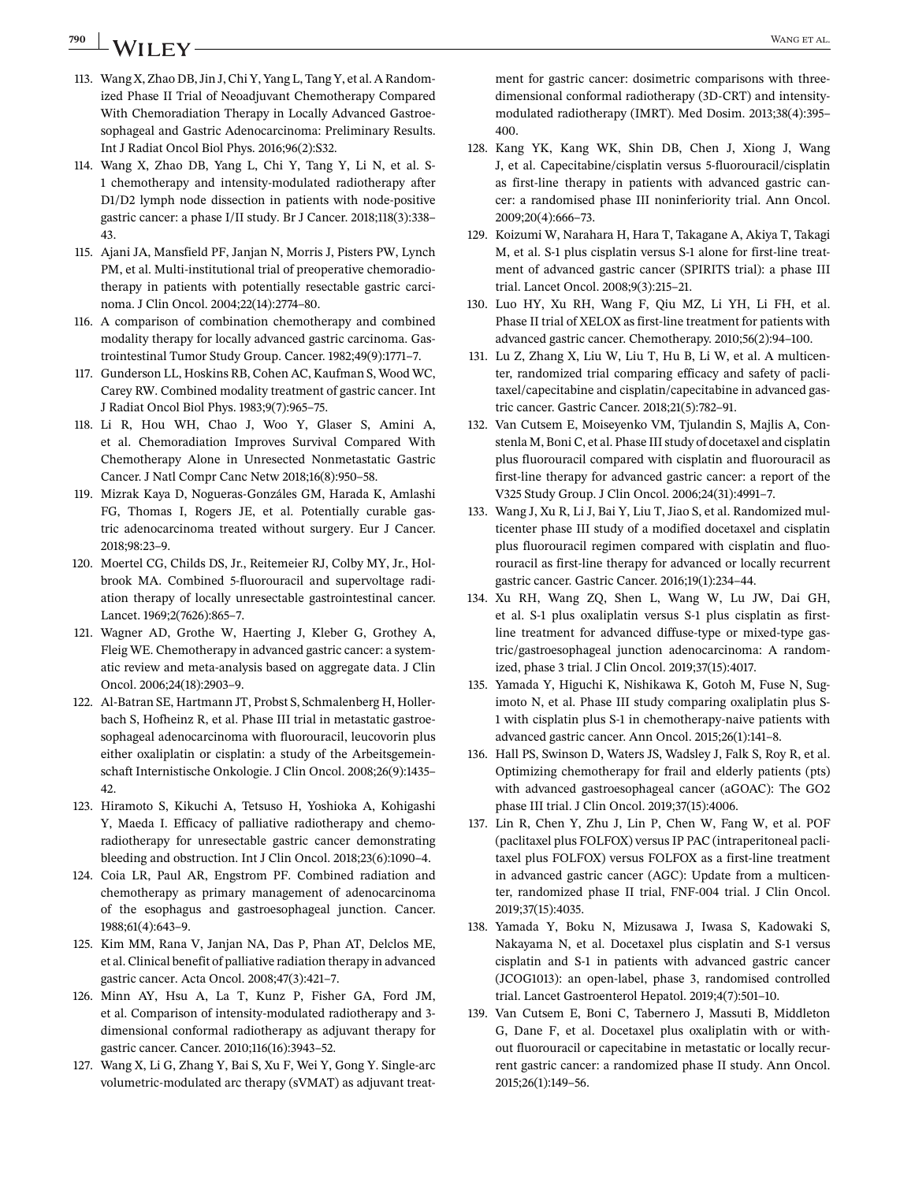# <span id="page-43-0"></span>**790** WANGET AL.

- 113. Wang X, Zhao DB, Jin J, Chi Y, Yang L, Tang Y, et al. A Randomized Phase II Trial of Neoadjuvant Chemotherapy Compared With Chemoradiation Therapy in Locally Advanced Gastroesophageal and Gastric Adenocarcinoma: Preliminary Results. Int J Radiat Oncol Biol Phys. 2016;96(2):S32.
- 114. Wang X, Zhao DB, Yang L, Chi Y, Tang Y, Li N, et al. S-1 chemotherapy and intensity-modulated radiotherapy after D1/D2 lymph node dissection in patients with node-positive gastric cancer: a phase I/II study. Br J Cancer. 2018;118(3):338– 43.
- 115. Ajani JA, Mansfield PF, Janjan N, Morris J, Pisters PW, Lynch PM, et al. Multi-institutional trial of preoperative chemoradiotherapy in patients with potentially resectable gastric carcinoma. J Clin Oncol. 2004;22(14):2774–80.
- 116. A comparison of combination chemotherapy and combined modality therapy for locally advanced gastric carcinoma. Gastrointestinal Tumor Study Group. Cancer. 1982;49(9):1771–7.
- 117. Gunderson LL, Hoskins RB, Cohen AC, Kaufman S, Wood WC, Carey RW. Combined modality treatment of gastric cancer. Int J Radiat Oncol Biol Phys. 1983;9(7):965–75.
- 118. Li R, Hou WH, Chao J, Woo Y, Glaser S, Amini A, et al. Chemoradiation Improves Survival Compared With Chemotherapy Alone in Unresected Nonmetastatic Gastric Cancer. J Natl Compr Canc Netw 2018;16(8):950–58.
- 119. Mizrak Kaya D, Nogueras-Gonzáles GM, Harada K, Amlashi FG, Thomas I, Rogers JE, et al. Potentially curable gastric adenocarcinoma treated without surgery. Eur J Cancer. 2018;98:23–9.
- 120. Moertel CG, Childs DS, Jr., Reitemeier RJ, Colby MY, Jr., Holbrook MA. Combined 5-fluorouracil and supervoltage radiation therapy of locally unresectable gastrointestinal cancer. Lancet. 1969;2(7626):865–7.
- 121. Wagner AD, Grothe W, Haerting J, Kleber G, Grothey A, Fleig WE. Chemotherapy in advanced gastric cancer: a systematic review and meta-analysis based on aggregate data. J Clin Oncol. 2006;24(18):2903–9.
- 122. Al-Batran SE, Hartmann JT, Probst S, Schmalenberg H, Hollerbach S, Hofheinz R, et al. Phase III trial in metastatic gastroesophageal adenocarcinoma with fluorouracil, leucovorin plus either oxaliplatin or cisplatin: a study of the Arbeitsgemeinschaft Internistische Onkologie. J Clin Oncol. 2008;26(9):1435– 42.
- 123. Hiramoto S, Kikuchi A, Tetsuso H, Yoshioka A, Kohigashi Y, Maeda I. Efficacy of palliative radiotherapy and chemoradiotherapy for unresectable gastric cancer demonstrating bleeding and obstruction. Int J Clin Oncol. 2018;23(6):1090–4.
- 124. Coia LR, Paul AR, Engstrom PF. Combined radiation and chemotherapy as primary management of adenocarcinoma of the esophagus and gastroesophageal junction. Cancer. 1988;61(4):643–9.
- 125. Kim MM, Rana V, Janjan NA, Das P, Phan AT, Delclos ME, et al. Clinical benefit of palliative radiation therapy in advanced gastric cancer. Acta Oncol. 2008;47(3):421–7.
- 126. Minn AY, Hsu A, La T, Kunz P, Fisher GA, Ford JM, et al. Comparison of intensity-modulated radiotherapy and 3 dimensional conformal radiotherapy as adjuvant therapy for gastric cancer. Cancer. 2010;116(16):3943–52.
- 127. Wang X, Li G, Zhang Y, Bai S, Xu F, Wei Y, Gong Y. Single-arc volumetric-modulated arc therapy (sVMAT) as adjuvant treat-

ment for gastric cancer: dosimetric comparisons with threedimensional conformal radiotherapy (3D-CRT) and intensitymodulated radiotherapy (IMRT). Med Dosim. 2013;38(4):395– 400.

- 128. Kang YK, Kang WK, Shin DB, Chen J, Xiong J, Wang J, et al. Capecitabine/cisplatin versus 5-fluorouracil/cisplatin as first-line therapy in patients with advanced gastric cancer: a randomised phase III noninferiority trial. Ann Oncol. 2009;20(4):666–73.
- 129. Koizumi W, Narahara H, Hara T, Takagane A, Akiya T, Takagi M, et al. S-1 plus cisplatin versus S-1 alone for first-line treatment of advanced gastric cancer (SPIRITS trial): a phase III trial. Lancet Oncol. 2008;9(3):215–21.
- 130. Luo HY, Xu RH, Wang F, Qiu MZ, Li YH, Li FH, et al. Phase II trial of XELOX as first-line treatment for patients with advanced gastric cancer. Chemotherapy. 2010;56(2):94–100.
- 131. Lu Z, Zhang X, Liu W, Liu T, Hu B, Li W, et al. A multicenter, randomized trial comparing efficacy and safety of paclitaxel/capecitabine and cisplatin/capecitabine in advanced gastric cancer. Gastric Cancer. 2018;21(5):782–91.
- 132. Van Cutsem E, Moiseyenko VM, Tjulandin S, Majlis A, Constenla M, Boni C, et al. Phase III study of docetaxel and cisplatin plus fluorouracil compared with cisplatin and fluorouracil as first-line therapy for advanced gastric cancer: a report of the V325 Study Group. J Clin Oncol. 2006;24(31):4991–7.
- 133. Wang J, Xu R, Li J, Bai Y, Liu T, Jiao S, et al. Randomized multicenter phase III study of a modified docetaxel and cisplatin plus fluorouracil regimen compared with cisplatin and fluorouracil as first-line therapy for advanced or locally recurrent gastric cancer. Gastric Cancer. 2016;19(1):234–44.
- 134. Xu RH, Wang ZQ, Shen L, Wang W, Lu JW, Dai GH, et al. S-1 plus oxaliplatin versus S-1 plus cisplatin as firstline treatment for advanced diffuse-type or mixed-type gastric/gastroesophageal junction adenocarcinoma: A randomized, phase 3 trial. J Clin Oncol. 2019;37(15):4017.
- 135. Yamada Y, Higuchi K, Nishikawa K, Gotoh M, Fuse N, Sugimoto N, et al. Phase III study comparing oxaliplatin plus S-1 with cisplatin plus S-1 in chemotherapy-naive patients with advanced gastric cancer. Ann Oncol. 2015;26(1):141–8.
- 136. Hall PS, Swinson D, Waters JS, Wadsley J, Falk S, Roy R, et al. Optimizing chemotherapy for frail and elderly patients (pts) with advanced gastroesophageal cancer (aGOAC): The GO2 phase III trial. J Clin Oncol. 2019;37(15):4006.
- 137. Lin R, Chen Y, Zhu J, Lin P, Chen W, Fang W, et al. POF (paclitaxel plus FOLFOX) versus IP PAC (intraperitoneal paclitaxel plus FOLFOX) versus FOLFOX as a first-line treatment in advanced gastric cancer (AGC): Update from a multicenter, randomized phase II trial, FNF-004 trial. J Clin Oncol. 2019;37(15):4035.
- 138. Yamada Y, Boku N, Mizusawa J, Iwasa S, Kadowaki S, Nakayama N, et al. Docetaxel plus cisplatin and S-1 versus cisplatin and S-1 in patients with advanced gastric cancer (JCOG1013): an open-label, phase 3, randomised controlled trial. Lancet Gastroenterol Hepatol. 2019;4(7):501–10.
- 139. Van Cutsem E, Boni C, Tabernero J, Massuti B, Middleton G, Dane F, et al. Docetaxel plus oxaliplatin with or without fluorouracil or capecitabine in metastatic or locally recurrent gastric cancer: a randomized phase II study. Ann Oncol. 2015;26(1):149–56.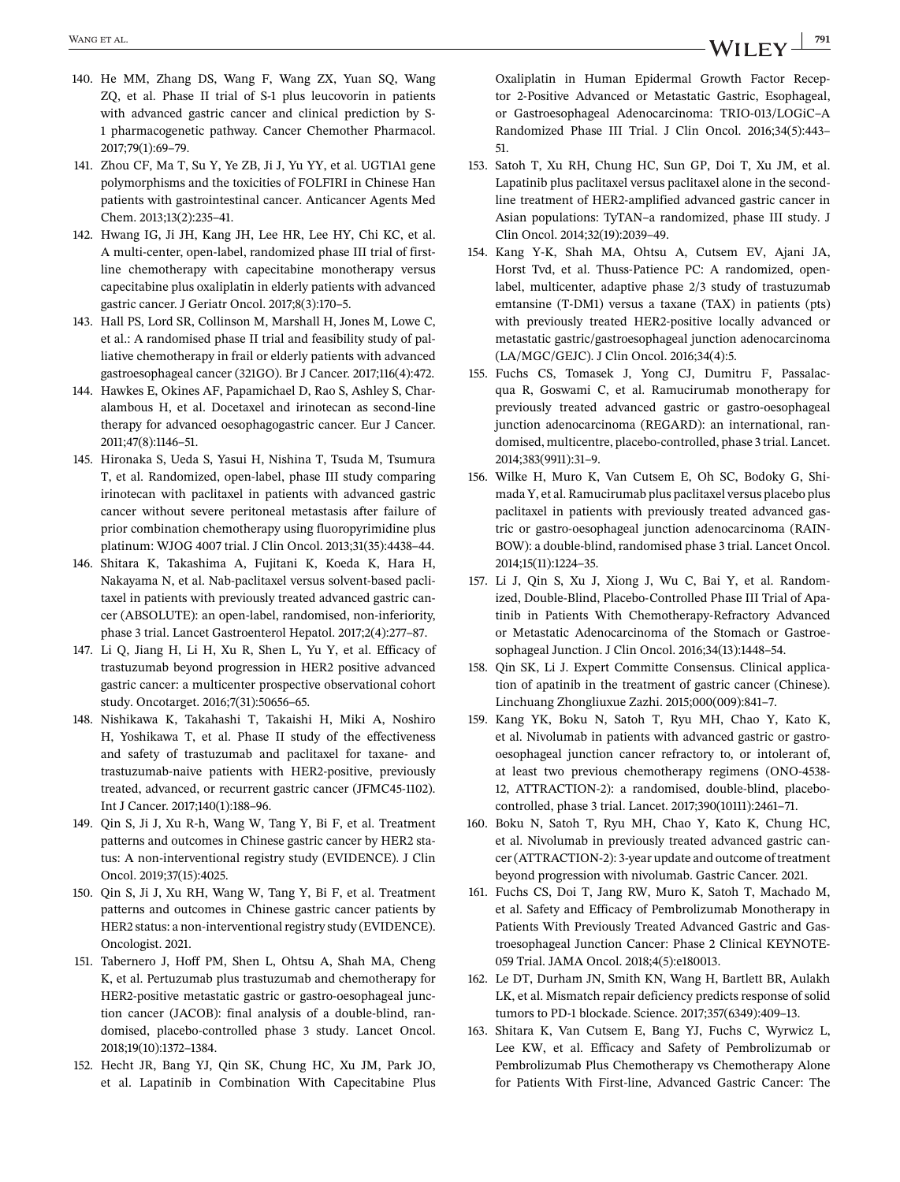- <span id="page-44-0"></span>140. He MM, Zhang DS, Wang F, Wang ZX, Yuan SQ, Wang ZQ, et al. Phase II trial of S-1 plus leucovorin in patients with advanced gastric cancer and clinical prediction by S-1 pharmacogenetic pathway. Cancer Chemother Pharmacol. 2017;79(1):69–79.
- 141. Zhou CF, Ma T, Su Y, Ye ZB, Ji J, Yu YY, et al. UGT1A1 gene polymorphisms and the toxicities of FOLFIRI in Chinese Han patients with gastrointestinal cancer. Anticancer Agents Med Chem. 2013;13(2):235–41.
- 142. Hwang IG, Ji JH, Kang JH, Lee HR, Lee HY, Chi KC, et al. A multi-center, open-label, randomized phase III trial of firstline chemotherapy with capecitabine monotherapy versus capecitabine plus oxaliplatin in elderly patients with advanced gastric cancer. J Geriatr Oncol. 2017;8(3):170–5.
- 143. Hall PS, Lord SR, Collinson M, Marshall H, Jones M, Lowe C, et al.: A randomised phase II trial and feasibility study of palliative chemotherapy in frail or elderly patients with advanced gastroesophageal cancer (321GO). Br J Cancer. 2017;116(4):472.
- 144. Hawkes E, Okines AF, Papamichael D, Rao S, Ashley S, Charalambous H, et al. Docetaxel and irinotecan as second-line therapy for advanced oesophagogastric cancer. Eur J Cancer. 2011;47(8):1146–51.
- 145. Hironaka S, Ueda S, Yasui H, Nishina T, Tsuda M, Tsumura T, et al. Randomized, open-label, phase III study comparing irinotecan with paclitaxel in patients with advanced gastric cancer without severe peritoneal metastasis after failure of prior combination chemotherapy using fluoropyrimidine plus platinum: WJOG 4007 trial. J Clin Oncol. 2013;31(35):4438–44.
- 146. Shitara K, Takashima A, Fujitani K, Koeda K, Hara H, Nakayama N, et al. Nab-paclitaxel versus solvent-based paclitaxel in patients with previously treated advanced gastric cancer (ABSOLUTE): an open-label, randomised, non-inferiority, phase 3 trial. Lancet Gastroenterol Hepatol. 2017;2(4):277–87.
- 147. Li Q, Jiang H, Li H, Xu R, Shen L, Yu Y, et al. Efficacy of trastuzumab beyond progression in HER2 positive advanced gastric cancer: a multicenter prospective observational cohort study. Oncotarget. 2016;7(31):50656–65.
- 148. Nishikawa K, Takahashi T, Takaishi H, Miki A, Noshiro H, Yoshikawa T, et al. Phase II study of the effectiveness and safety of trastuzumab and paclitaxel for taxane- and trastuzumab-naive patients with HER2-positive, previously treated, advanced, or recurrent gastric cancer (JFMC45-1102). Int J Cancer. 2017;140(1):188–96.
- 149. Qin S, Ji J, Xu R-h, Wang W, Tang Y, Bi F, et al. Treatment patterns and outcomes in Chinese gastric cancer by HER2 status: A non-interventional registry study (EVIDENCE). J Clin Oncol. 2019;37(15):4025.
- 150. Qin S, Ji J, Xu RH, Wang W, Tang Y, Bi F, et al. Treatment patterns and outcomes in Chinese gastric cancer patients by HER2 status: a non-interventional registry study (EVIDENCE). Oncologist. 2021.
- 151. Tabernero J, Hoff PM, Shen L, Ohtsu A, Shah MA, Cheng K, et al. Pertuzumab plus trastuzumab and chemotherapy for HER2-positive metastatic gastric or gastro-oesophageal junction cancer (JACOB): final analysis of a double-blind, randomised, placebo-controlled phase 3 study. Lancet Oncol. 2018;19(10):1372–1384.
- 152. Hecht JR, Bang YJ, Qin SK, Chung HC, Xu JM, Park JO, et al. Lapatinib in Combination With Capecitabine Plus

Oxaliplatin in Human Epidermal Growth Factor Receptor 2-Positive Advanced or Metastatic Gastric, Esophageal, or Gastroesophageal Adenocarcinoma: TRIO-013/LOGiC–A Randomized Phase III Trial. J Clin Oncol. 2016;34(5):443– 51.

- 153. Satoh T, Xu RH, Chung HC, Sun GP, Doi T, Xu JM, et al. Lapatinib plus paclitaxel versus paclitaxel alone in the secondline treatment of HER2-amplified advanced gastric cancer in Asian populations: TyTAN–a randomized, phase III study. J Clin Oncol. 2014;32(19):2039–49.
- 154. Kang Y-K, Shah MA, Ohtsu A, Cutsem EV, Ajani JA, Horst Tvd, et al. Thuss-Patience PC: A randomized, openlabel, multicenter, adaptive phase 2/3 study of trastuzumab emtansine (T-DM1) versus a taxane (TAX) in patients (pts) with previously treated HER2-positive locally advanced or metastatic gastric/gastroesophageal junction adenocarcinoma (LA/MGC/GEJC). J Clin Oncol. 2016;34(4):5.
- 155. Fuchs CS, Tomasek J, Yong CJ, Dumitru F, Passalacqua R, Goswami C, et al. Ramucirumab monotherapy for previously treated advanced gastric or gastro-oesophageal junction adenocarcinoma (REGARD): an international, randomised, multicentre, placebo-controlled, phase 3 trial. Lancet. 2014;383(9911):31–9.
- 156. Wilke H, Muro K, Van Cutsem E, Oh SC, Bodoky G, Shimada Y, et al. Ramucirumab plus paclitaxel versus placebo plus paclitaxel in patients with previously treated advanced gastric or gastro-oesophageal junction adenocarcinoma (RAIN-BOW): a double-blind, randomised phase 3 trial. Lancet Oncol. 2014;15(11):1224–35.
- 157. Li J, Qin S, Xu J, Xiong J, Wu C, Bai Y, et al. Randomized, Double-Blind, Placebo-Controlled Phase III Trial of Apatinib in Patients With Chemotherapy-Refractory Advanced or Metastatic Adenocarcinoma of the Stomach or Gastroesophageal Junction. J Clin Oncol. 2016;34(13):1448–54.
- 158. Qin SK, Li J. Expert Committe Consensus. Clinical application of apatinib in the treatment of gastric cancer (Chinese). Linchuang Zhongliuxue Zazhi. 2015;000(009):841–7.
- 159. Kang YK, Boku N, Satoh T, Ryu MH, Chao Y, Kato K, et al. Nivolumab in patients with advanced gastric or gastrooesophageal junction cancer refractory to, or intolerant of, at least two previous chemotherapy regimens (ONO-4538- 12, ATTRACTION-2): a randomised, double-blind, placebocontrolled, phase 3 trial. Lancet. 2017;390(10111):2461–71.
- 160. Boku N, Satoh T, Ryu MH, Chao Y, Kato K, Chung HC, et al. Nivolumab in previously treated advanced gastric cancer (ATTRACTION-2): 3-year update and outcome of treatment beyond progression with nivolumab. Gastric Cancer. 2021.
- 161. Fuchs CS, Doi T, Jang RW, Muro K, Satoh T, Machado M, et al. Safety and Efficacy of Pembrolizumab Monotherapy in Patients With Previously Treated Advanced Gastric and Gastroesophageal Junction Cancer: Phase 2 Clinical KEYNOTE-059 Trial. JAMA Oncol. 2018;4(5):e180013.
- 162. Le DT, Durham JN, Smith KN, Wang H, Bartlett BR, Aulakh LK, et al. Mismatch repair deficiency predicts response of solid tumors to PD-1 blockade. Science. 2017;357(6349):409–13.
- 163. Shitara K, Van Cutsem E, Bang YJ, Fuchs C, Wyrwicz L, Lee KW, et al. Efficacy and Safety of Pembrolizumab or Pembrolizumab Plus Chemotherapy vs Chemotherapy Alone for Patients With First-line, Advanced Gastric Cancer: The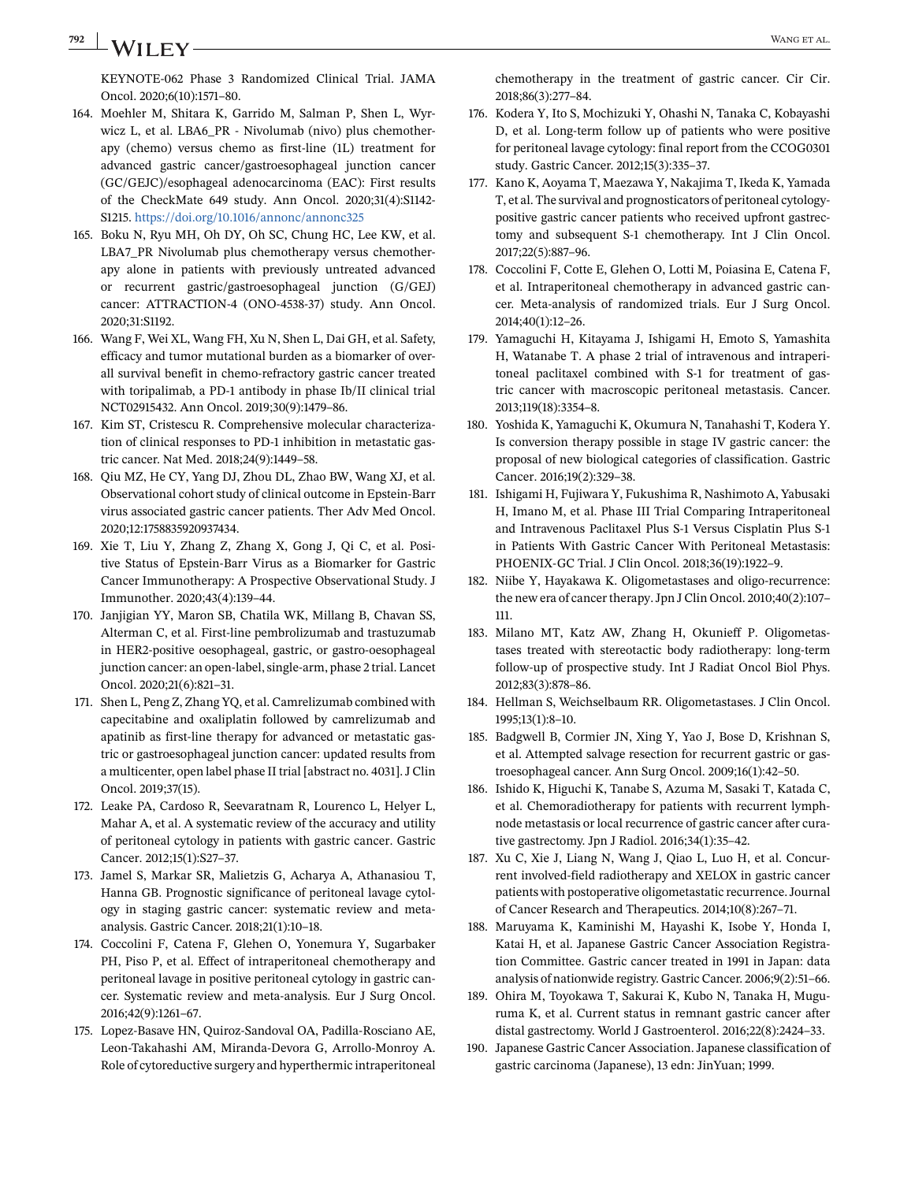## <span id="page-45-0"></span>**792 WANGET AL.** WANGET AL.

KEYNOTE-062 Phase 3 Randomized Clinical Trial. JAMA Oncol. 2020;6(10):1571–80.

- 164. Moehler M, Shitara K, Garrido M, Salman P, Shen L, Wyrwicz L, et al. LBA6\_PR - Nivolumab (nivo) plus chemotherapy (chemo) versus chemo as first-line (1L) treatment for advanced gastric cancer/gastroesophageal junction cancer (GC/GEJC)/esophageal adenocarcinoma (EAC): First results of the CheckMate 649 study. Ann Oncol. 2020;31(4):S1142- S1215. <https://doi.org/10.1016/annonc/annonc325>
- 165. Boku N, Ryu MH, Oh DY, Oh SC, Chung HC, Lee KW, et al. LBA7\_PR Nivolumab plus chemotherapy versus chemotherapy alone in patients with previously untreated advanced or recurrent gastric/gastroesophageal junction (G/GEJ) cancer: ATTRACTION-4 (ONO-4538-37) study. Ann Oncol. 2020;31:S1192.
- 166. Wang F, Wei XL, Wang FH, Xu N, Shen L, Dai GH, et al. Safety, efficacy and tumor mutational burden as a biomarker of overall survival benefit in chemo-refractory gastric cancer treated with toripalimab, a PD-1 antibody in phase Ib/II clinical trial NCT02915432. Ann Oncol. 2019;30(9):1479–86.
- 167. Kim ST, Cristescu R. Comprehensive molecular characterization of clinical responses to PD-1 inhibition in metastatic gastric cancer. Nat Med. 2018;24(9):1449–58.
- 168. Qiu MZ, He CY, Yang DJ, Zhou DL, Zhao BW, Wang XJ, et al. Observational cohort study of clinical outcome in Epstein-Barr virus associated gastric cancer patients. Ther Adv Med Oncol. 2020;12:1758835920937434.
- 169. Xie T, Liu Y, Zhang Z, Zhang X, Gong J, Qi C, et al. Positive Status of Epstein-Barr Virus as a Biomarker for Gastric Cancer Immunotherapy: A Prospective Observational Study. J Immunother. 2020;43(4):139–44.
- 170. Janjigian YY, Maron SB, Chatila WK, Millang B, Chavan SS, Alterman C, et al. First-line pembrolizumab and trastuzumab in HER2-positive oesophageal, gastric, or gastro-oesophageal junction cancer: an open-label, single-arm, phase 2 trial. Lancet Oncol. 2020;21(6):821–31.
- 171. Shen L, Peng Z, Zhang YQ, et al. Camrelizumab combined with capecitabine and oxaliplatin followed by camrelizumab and apatinib as first-line therapy for advanced or metastatic gastric or gastroesophageal junction cancer: updated results from a multicenter, open label phase II trial [abstract no. 4031]. J Clin Oncol. 2019;37(15).
- 172. Leake PA, Cardoso R, Seevaratnam R, Lourenco L, Helyer L, Mahar A, et al. A systematic review of the accuracy and utility of peritoneal cytology in patients with gastric cancer. Gastric Cancer. 2012;15(1):S27–37.
- 173. Jamel S, Markar SR, Malietzis G, Acharya A, Athanasiou T, Hanna GB. Prognostic significance of peritoneal lavage cytology in staging gastric cancer: systematic review and metaanalysis. Gastric Cancer. 2018;21(1):10–18.
- 174. Coccolini F, Catena F, Glehen O, Yonemura Y, Sugarbaker PH, Piso P, et al. Effect of intraperitoneal chemotherapy and peritoneal lavage in positive peritoneal cytology in gastric cancer. Systematic review and meta-analysis. Eur J Surg Oncol. 2016;42(9):1261–67.
- 175. Lopez-Basave HN, Quiroz-Sandoval OA, Padilla-Rosciano AE, Leon-Takahashi AM, Miranda-Devora G, Arrollo-Monroy A. Role of cytoreductive surgery and hyperthermic intraperitoneal

chemotherapy in the treatment of gastric cancer. Cir Cir. 2018;86(3):277–84.

- 176. Kodera Y, Ito S, Mochizuki Y, Ohashi N, Tanaka C, Kobayashi D, et al. Long-term follow up of patients who were positive for peritoneal lavage cytology: final report from the CCOG0301 study. Gastric Cancer. 2012;15(3):335–37.
- 177. Kano K, Aoyama T, Maezawa Y, Nakajima T, Ikeda K, Yamada T, et al. The survival and prognosticators of peritoneal cytologypositive gastric cancer patients who received upfront gastrectomy and subsequent S-1 chemotherapy. Int J Clin Oncol. 2017;22(5):887–96.
- 178. Coccolini F, Cotte E, Glehen O, Lotti M, Poiasina E, Catena F, et al. Intraperitoneal chemotherapy in advanced gastric cancer. Meta-analysis of randomized trials. Eur J Surg Oncol. 2014;40(1):12–26.
- 179. Yamaguchi H, Kitayama J, Ishigami H, Emoto S, Yamashita H, Watanabe T. A phase 2 trial of intravenous and intraperitoneal paclitaxel combined with S-1 for treatment of gastric cancer with macroscopic peritoneal metastasis. Cancer. 2013;119(18):3354–8.
- 180. Yoshida K, Yamaguchi K, Okumura N, Tanahashi T, Kodera Y. Is conversion therapy possible in stage IV gastric cancer: the proposal of new biological categories of classification. Gastric Cancer. 2016;19(2):329–38.
- 181. Ishigami H, Fujiwara Y, Fukushima R, Nashimoto A, Yabusaki H, Imano M, et al. Phase III Trial Comparing Intraperitoneal and Intravenous Paclitaxel Plus S-1 Versus Cisplatin Plus S-1 in Patients With Gastric Cancer With Peritoneal Metastasis: PHOENIX-GC Trial. J Clin Oncol. 2018;36(19):1922–9.
- 182. Niibe Y, Hayakawa K. Oligometastases and oligo-recurrence: the new era of cancer therapy. Jpn J Clin Oncol. 2010;40(2):107– 111.
- 183. Milano MT, Katz AW, Zhang H, Okunieff P. Oligometastases treated with stereotactic body radiotherapy: long-term follow-up of prospective study. Int J Radiat Oncol Biol Phys. 2012;83(3):878–86.
- 184. Hellman S, Weichselbaum RR. Oligometastases. J Clin Oncol. 1995;13(1):8–10.
- 185. Badgwell B, Cormier JN, Xing Y, Yao J, Bose D, Krishnan S, et al. Attempted salvage resection for recurrent gastric or gastroesophageal cancer. Ann Surg Oncol. 2009;16(1):42–50.
- 186. Ishido K, Higuchi K, Tanabe S, Azuma M, Sasaki T, Katada C, et al. Chemoradiotherapy for patients with recurrent lymphnode metastasis or local recurrence of gastric cancer after curative gastrectomy. Jpn J Radiol. 2016;34(1):35–42.
- 187. Xu C, Xie J, Liang N, Wang J, Qiao L, Luo H, et al. Concurrent involved-field radiotherapy and XELOX in gastric cancer patients with postoperative oligometastatic recurrence. Journal of Cancer Research and Therapeutics. 2014;10(8):267–71.
- 188. Maruyama K, Kaminishi M, Hayashi K, Isobe Y, Honda I, Katai H, et al. Japanese Gastric Cancer Association Registration Committee. Gastric cancer treated in 1991 in Japan: data analysis of nationwide registry. Gastric Cancer. 2006;9(2):51–66.
- 189. Ohira M, Toyokawa T, Sakurai K, Kubo N, Tanaka H, Muguruma K, et al. Current status in remnant gastric cancer after distal gastrectomy. World J Gastroenterol. 2016;22(8):2424–33.
- 190. Japanese Gastric Cancer Association. Japanese classification of gastric carcinoma (Japanese), 13 edn: JinYuan; 1999.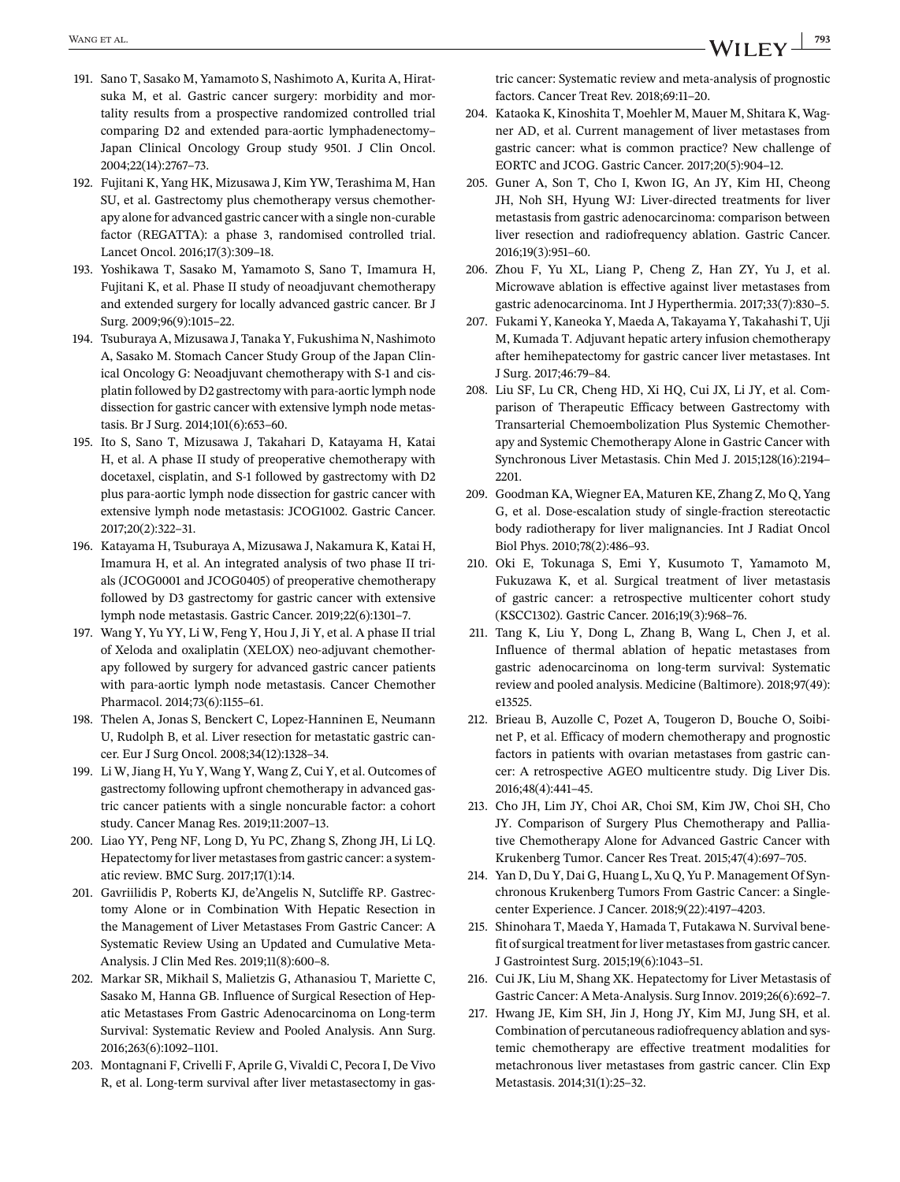- <span id="page-46-0"></span>191. Sano T, Sasako M, Yamamoto S, Nashimoto A, Kurita A, Hiratsuka M, et al. Gastric cancer surgery: morbidity and mortality results from a prospective randomized controlled trial comparing D2 and extended para-aortic lymphadenectomy– Japan Clinical Oncology Group study 9501. J Clin Oncol. 2004;22(14):2767–73.
- 192. Fujitani K, Yang HK, Mizusawa J, Kim YW, Terashima M, Han SU, et al. Gastrectomy plus chemotherapy versus chemotherapy alone for advanced gastric cancer with a single non-curable factor (REGATTA): a phase 3, randomised controlled trial. Lancet Oncol. 2016;17(3):309–18.
- 193. Yoshikawa T, Sasako M, Yamamoto S, Sano T, Imamura H, Fujitani K, et al. Phase II study of neoadjuvant chemotherapy and extended surgery for locally advanced gastric cancer. Br J Surg. 2009;96(9):1015–22.
- 194. Tsuburaya A, Mizusawa J, Tanaka Y, Fukushima N, Nashimoto A, Sasako M. Stomach Cancer Study Group of the Japan Clinical Oncology G: Neoadjuvant chemotherapy with S-1 and cisplatin followed by D2 gastrectomy with para-aortic lymph node dissection for gastric cancer with extensive lymph node metastasis. Br J Surg. 2014;101(6):653–60.
- 195. Ito S, Sano T, Mizusawa J, Takahari D, Katayama H, Katai H, et al. A phase II study of preoperative chemotherapy with docetaxel, cisplatin, and S-1 followed by gastrectomy with D2 plus para-aortic lymph node dissection for gastric cancer with extensive lymph node metastasis: JCOG1002. Gastric Cancer. 2017;20(2):322–31.
- 196. Katayama H, Tsuburaya A, Mizusawa J, Nakamura K, Katai H, Imamura H, et al. An integrated analysis of two phase II trials (JCOG0001 and JCOG0405) of preoperative chemotherapy followed by D3 gastrectomy for gastric cancer with extensive lymph node metastasis. Gastric Cancer. 2019;22(6):1301–7.
- 197. Wang Y, Yu YY, Li W, Feng Y, Hou J, Ji Y, et al. A phase II trial of Xeloda and oxaliplatin (XELOX) neo-adjuvant chemotherapy followed by surgery for advanced gastric cancer patients with para-aortic lymph node metastasis. Cancer Chemother Pharmacol. 2014;73(6):1155–61.
- 198. Thelen A, Jonas S, Benckert C, Lopez-Hanninen E, Neumann U, Rudolph B, et al. Liver resection for metastatic gastric cancer. Eur J Surg Oncol. 2008;34(12):1328–34.
- 199. Li W, Jiang H, Yu Y, Wang Y, Wang Z, Cui Y, et al. Outcomes of gastrectomy following upfront chemotherapy in advanced gastric cancer patients with a single noncurable factor: a cohort study. Cancer Manag Res. 2019;11:2007–13.
- 200. Liao YY, Peng NF, Long D, Yu PC, Zhang S, Zhong JH, Li LQ. Hepatectomy for liver metastases from gastric cancer: a systematic review. BMC Surg. 2017;17(1):14.
- 201. Gavriilidis P, Roberts KJ, de'Angelis N, Sutcliffe RP. Gastrectomy Alone or in Combination With Hepatic Resection in the Management of Liver Metastases From Gastric Cancer: A Systematic Review Using an Updated and Cumulative Meta-Analysis. J Clin Med Res. 2019;11(8):600–8.
- 202. Markar SR, Mikhail S, Malietzis G, Athanasiou T, Mariette C, Sasako M, Hanna GB. Influence of Surgical Resection of Hepatic Metastases From Gastric Adenocarcinoma on Long-term Survival: Systematic Review and Pooled Analysis. Ann Surg. 2016;263(6):1092–1101.
- 203. Montagnani F, Crivelli F, Aprile G, Vivaldi C, Pecora I, De Vivo R, et al. Long-term survival after liver metastasectomy in gas-

tric cancer: Systematic review and meta-analysis of prognostic factors. Cancer Treat Rev. 2018;69:11–20.

- 204. Kataoka K, Kinoshita T, Moehler M, Mauer M, Shitara K, Wagner AD, et al. Current management of liver metastases from gastric cancer: what is common practice? New challenge of EORTC and JCOG. Gastric Cancer. 2017;20(5):904–12.
- 205. Guner A, Son T, Cho I, Kwon IG, An JY, Kim HI, Cheong JH, Noh SH, Hyung WJ: Liver-directed treatments for liver metastasis from gastric adenocarcinoma: comparison between liver resection and radiofrequency ablation. Gastric Cancer. 2016;19(3):951–60.
- 206. Zhou F, Yu XL, Liang P, Cheng Z, Han ZY, Yu J, et al. Microwave ablation is effective against liver metastases from gastric adenocarcinoma. Int J Hyperthermia. 2017;33(7):830–5.
- 207. Fukami Y, Kaneoka Y, Maeda A, Takayama Y, Takahashi T, Uji M, Kumada T. Adjuvant hepatic artery infusion chemotherapy after hemihepatectomy for gastric cancer liver metastases. Int J Surg. 2017;46:79–84.
- 208. Liu SF, Lu CR, Cheng HD, Xi HQ, Cui JX, Li JY, et al. Comparison of Therapeutic Efficacy between Gastrectomy with Transarterial Chemoembolization Plus Systemic Chemotherapy and Systemic Chemotherapy Alone in Gastric Cancer with Synchronous Liver Metastasis. Chin Med J. 2015;128(16):2194– 2201.
- 209. Goodman KA, Wiegner EA, Maturen KE, Zhang Z, Mo Q, Yang G, et al. Dose-escalation study of single-fraction stereotactic body radiotherapy for liver malignancies. Int J Radiat Oncol Biol Phys. 2010;78(2):486–93.
- 210. Oki E, Tokunaga S, Emi Y, Kusumoto T, Yamamoto M, Fukuzawa K, et al. Surgical treatment of liver metastasis of gastric cancer: a retrospective multicenter cohort study (KSCC1302). Gastric Cancer. 2016;19(3):968–76.
- 211. Tang K, Liu Y, Dong L, Zhang B, Wang L, Chen J, et al. Influence of thermal ablation of hepatic metastases from gastric adenocarcinoma on long-term survival: Systematic review and pooled analysis. Medicine (Baltimore). 2018;97(49): e13525.
- 212. Brieau B, Auzolle C, Pozet A, Tougeron D, Bouche O, Soibinet P, et al. Efficacy of modern chemotherapy and prognostic factors in patients with ovarian metastases from gastric cancer: A retrospective AGEO multicentre study. Dig Liver Dis. 2016;48(4):441–45.
- 213. Cho JH, Lim JY, Choi AR, Choi SM, Kim JW, Choi SH, Cho JY. Comparison of Surgery Plus Chemotherapy and Palliative Chemotherapy Alone for Advanced Gastric Cancer with Krukenberg Tumor. Cancer Res Treat. 2015;47(4):697–705.
- 214. Yan D, Du Y, Dai G, Huang L, Xu Q, Yu P. Management Of Synchronous Krukenberg Tumors From Gastric Cancer: a Singlecenter Experience. J Cancer. 2018;9(22):4197–4203.
- 215. Shinohara T, Maeda Y, Hamada T, Futakawa N. Survival benefit of surgical treatment for liver metastases from gastric cancer. J Gastrointest Surg. 2015;19(6):1043–51.
- 216. Cui JK, Liu M, Shang XK. Hepatectomy for Liver Metastasis of Gastric Cancer: A Meta-Analysis. Surg Innov. 2019;26(6):692–7.
- 217. Hwang JE, Kim SH, Jin J, Hong JY, Kim MJ, Jung SH, et al. Combination of percutaneous radiofrequency ablation and systemic chemotherapy are effective treatment modalities for metachronous liver metastases from gastric cancer. Clin Exp Metastasis. 2014;31(1):25–32.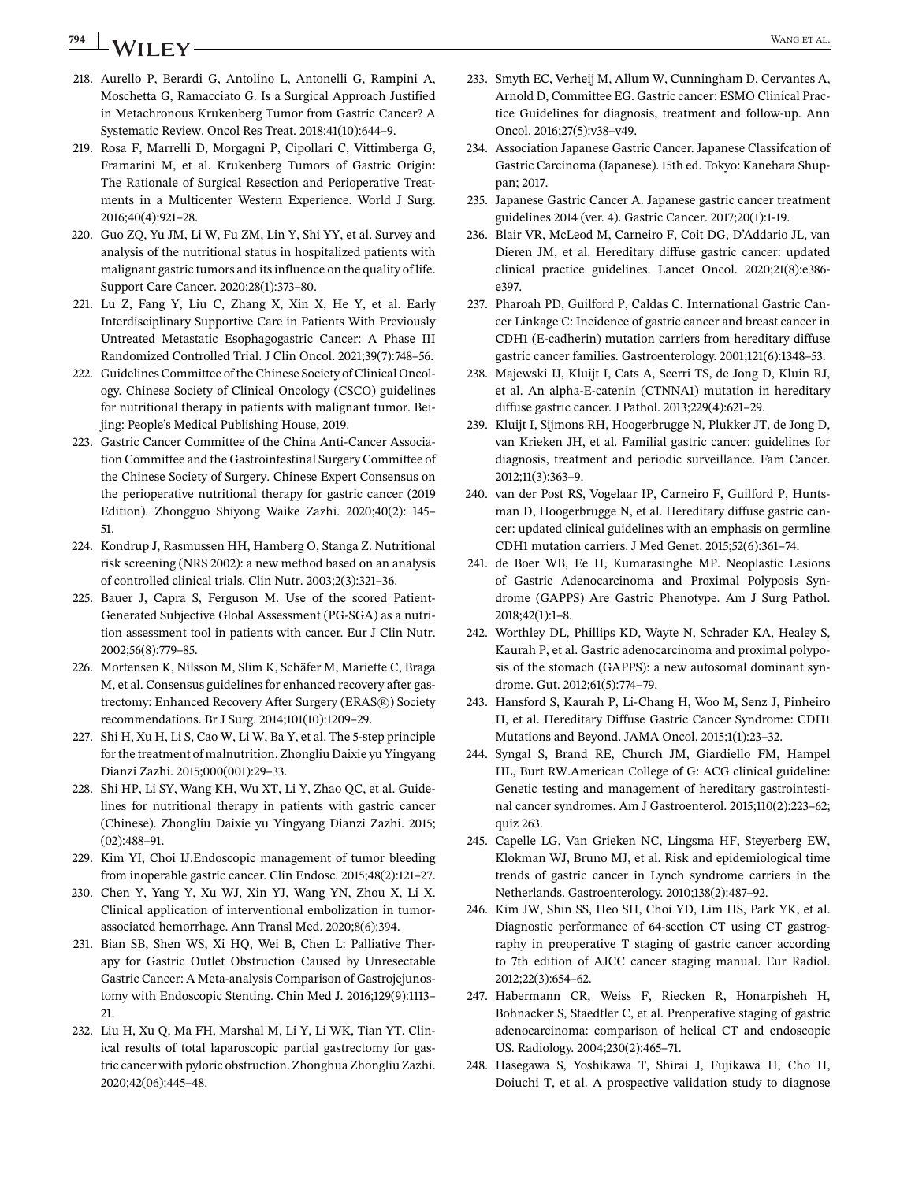## <span id="page-47-0"></span>**794 WANGET AL.** WANGET AL.

- 218. Aurello P, Berardi G, Antolino L, Antonelli G, Rampini A, Moschetta G, Ramacciato G. Is a Surgical Approach Justified in Metachronous Krukenberg Tumor from Gastric Cancer? A Systematic Review. Oncol Res Treat. 2018;41(10):644–9.
- 219. Rosa F, Marrelli D, Morgagni P, Cipollari C, Vittimberga G, Framarini M, et al. Krukenberg Tumors of Gastric Origin: The Rationale of Surgical Resection and Perioperative Treatments in a Multicenter Western Experience. World J Surg. 2016;40(4):921–28.
- 220. Guo ZQ, Yu JM, Li W, Fu ZM, Lin Y, Shi YY, et al. Survey and analysis of the nutritional status in hospitalized patients with malignant gastric tumors and its influence on the quality of life. Support Care Cancer. 2020;28(1):373–80.
- 221. Lu Z, Fang Y, Liu C, Zhang X, Xin X, He Y, et al. Early Interdisciplinary Supportive Care in Patients With Previously Untreated Metastatic Esophagogastric Cancer: A Phase III Randomized Controlled Trial. J Clin Oncol. 2021;39(7):748–56.
- 222. Guidelines Committee of the Chinese Society of Clinical Oncology. Chinese Society of Clinical Oncology (CSCO) guidelines for nutritional therapy in patients with malignant tumor. Beijing: People's Medical Publishing House, 2019.
- 223. Gastric Cancer Committee of the China Anti-Cancer Association Committee and the Gastrointestinal Surgery Committee of the Chinese Society of Surgery. Chinese Expert Consensus on the perioperative nutritional therapy for gastric cancer (2019 Edition). Zhongguo Shiyong Waike Zazhi. 2020;40(2): 145– 51.
- 224. Kondrup J, Rasmussen HH, Hamberg O, Stanga Z. Nutritional risk screening (NRS 2002): a new method based on an analysis of controlled clinical trials. Clin Nutr. 2003;2(3):321–36.
- 225. Bauer J, Capra S, Ferguson M. Use of the scored Patient-Generated Subjective Global Assessment (PG-SGA) as a nutrition assessment tool in patients with cancer. Eur J Clin Nutr. 2002;56(8):779–85.
- 226. Mortensen K, Nilsson M, Slim K, Schäfer M, Mariette C, Braga M, et al. Consensus guidelines for enhanced recovery after gastrectomy: Enhanced Recovery After Surgery (ERAS®) Society recommendations. Br J Surg. 2014;101(10):1209–29.
- 227. Shi H, Xu H, Li S, Cao W, Li W, Ba Y, et al. The 5-step principle for the treatment of malnutrition. Zhongliu Daixie yu Yingyang Dianzi Zazhi. 2015;000(001):29–33.
- 228. Shi HP, Li SY, Wang KH, Wu XT, Li Y, Zhao QC, et al. Guidelines for nutritional therapy in patients with gastric cancer (Chinese). Zhongliu Daixie yu Yingyang Dianzi Zazhi. 2015; (02):488–91.
- 229. Kim YI, Choi IJ.Endoscopic management of tumor bleeding from inoperable gastric cancer. Clin Endosc. 2015;48(2):121–27.
- 230. Chen Y, Yang Y, Xu WJ, Xin YJ, Wang YN, Zhou X, Li X. Clinical application of interventional embolization in tumorassociated hemorrhage. Ann Transl Med. 2020;8(6):394.
- 231. Bian SB, Shen WS, Xi HQ, Wei B, Chen L: Palliative Therapy for Gastric Outlet Obstruction Caused by Unresectable Gastric Cancer: A Meta-analysis Comparison of Gastrojejunostomy with Endoscopic Stenting. Chin Med J. 2016;129(9):1113– 21.
- 232. Liu H, Xu Q, Ma FH, Marshal M, Li Y, Li WK, Tian YT. Clinical results of total laparoscopic partial gastrectomy for gastric cancer with pyloric obstruction. Zhonghua Zhongliu Zazhi. 2020;42(06):445–48.
- 233. Smyth EC, Verheij M, Allum W, Cunningham D, Cervantes A, Arnold D, Committee EG. Gastric cancer: ESMO Clinical Practice Guidelines for diagnosis, treatment and follow-up. Ann Oncol. 2016;27(5):v38–v49.
- 234. Association Japanese Gastric Cancer. Japanese Classifcation of Gastric Carcinoma (Japanese). 15th ed. Tokyo: Kanehara Shuppan; 2017.
- 235. Japanese Gastric Cancer A. Japanese gastric cancer treatment guidelines 2014 (ver. 4). Gastric Cancer. 2017;20(1):1-19.
- 236. Blair VR, McLeod M, Carneiro F, Coit DG, D'Addario JL, van Dieren JM, et al. Hereditary diffuse gastric cancer: updated clinical practice guidelines. Lancet Oncol. 2020;21(8):e386 e397.
- 237. Pharoah PD, Guilford P, Caldas C. International Gastric Cancer Linkage C: Incidence of gastric cancer and breast cancer in CDH1 (E-cadherin) mutation carriers from hereditary diffuse gastric cancer families. Gastroenterology. 2001;121(6):1348–53.
- 238. Majewski IJ, Kluijt I, Cats A, Scerri TS, de Jong D, Kluin RJ, et al. An alpha-E-catenin (CTNNA1) mutation in hereditary diffuse gastric cancer. J Pathol. 2013;229(4):621–29.
- 239. Kluijt I, Sijmons RH, Hoogerbrugge N, Plukker JT, de Jong D, van Krieken JH, et al. Familial gastric cancer: guidelines for diagnosis, treatment and periodic surveillance. Fam Cancer. 2012;11(3):363–9.
- 240. van der Post RS, Vogelaar IP, Carneiro F, Guilford P, Huntsman D, Hoogerbrugge N, et al. Hereditary diffuse gastric cancer: updated clinical guidelines with an emphasis on germline CDH1 mutation carriers. J Med Genet. 2015;52(6):361–74.
- 241. de Boer WB, Ee H, Kumarasinghe MP. Neoplastic Lesions of Gastric Adenocarcinoma and Proximal Polyposis Syndrome (GAPPS) Are Gastric Phenotype. Am J Surg Pathol. 2018;42(1):1–8.
- 242. Worthley DL, Phillips KD, Wayte N, Schrader KA, Healey S, Kaurah P, et al. Gastric adenocarcinoma and proximal polyposis of the stomach (GAPPS): a new autosomal dominant syndrome. Gut. 2012;61(5):774–79.
- 243. Hansford S, Kaurah P, Li-Chang H, Woo M, Senz J, Pinheiro H, et al. Hereditary Diffuse Gastric Cancer Syndrome: CDH1 Mutations and Beyond. JAMA Oncol. 2015;1(1):23–32.
- 244. Syngal S, Brand RE, Church JM, Giardiello FM, Hampel HL, Burt RW.American College of G: ACG clinical guideline: Genetic testing and management of hereditary gastrointestinal cancer syndromes. Am J Gastroenterol. 2015;110(2):223–62; quiz 263.
- 245. Capelle LG, Van Grieken NC, Lingsma HF, Steyerberg EW, Klokman WJ, Bruno MJ, et al. Risk and epidemiological time trends of gastric cancer in Lynch syndrome carriers in the Netherlands. Gastroenterology. 2010;138(2):487–92.
- 246. Kim JW, Shin SS, Heo SH, Choi YD, Lim HS, Park YK, et al. Diagnostic performance of 64-section CT using CT gastrography in preoperative T staging of gastric cancer according to 7th edition of AJCC cancer staging manual. Eur Radiol. 2012;22(3):654–62.
- 247. Habermann CR, Weiss F, Riecken R, Honarpisheh H, Bohnacker S, Staedtler C, et al. Preoperative staging of gastric adenocarcinoma: comparison of helical CT and endoscopic US. Radiology. 2004;230(2):465–71.
- 248. Hasegawa S, Yoshikawa T, Shirai J, Fujikawa H, Cho H, Doiuchi T, et al. A prospective validation study to diagnose